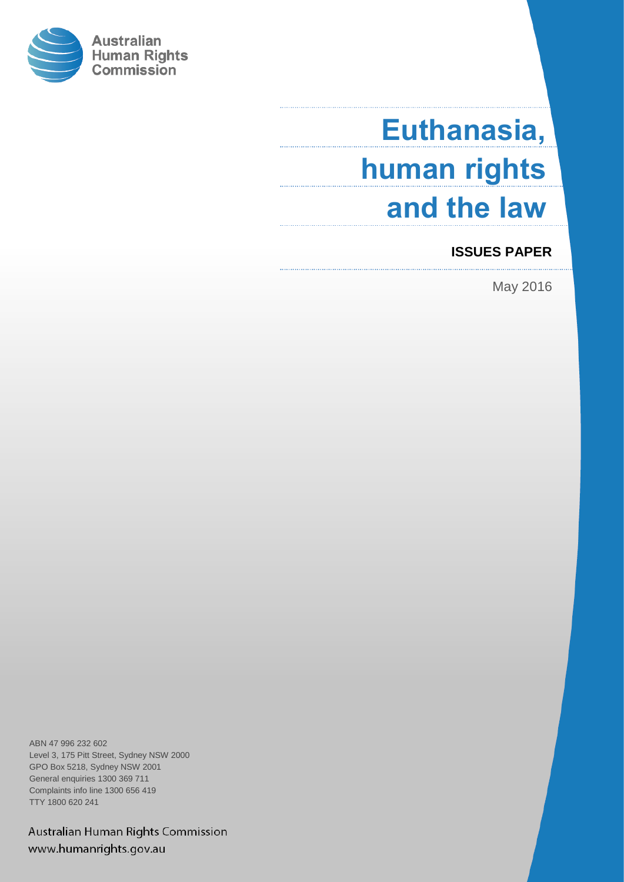

# **Euthanasia, human rights and the law**

# **ISSUES PAPER**

May 2016

ABN 47 996 232 602 Level 3, 175 Pitt Street, Sydney NSW 2000 GPO Box 5218, Sydney NSW 2001 General enquiries 1300 369 711 Complaints info line 1300 656 419 TTY 1800 620 241

Australian Human Rights Commission www.humanrights.gov.au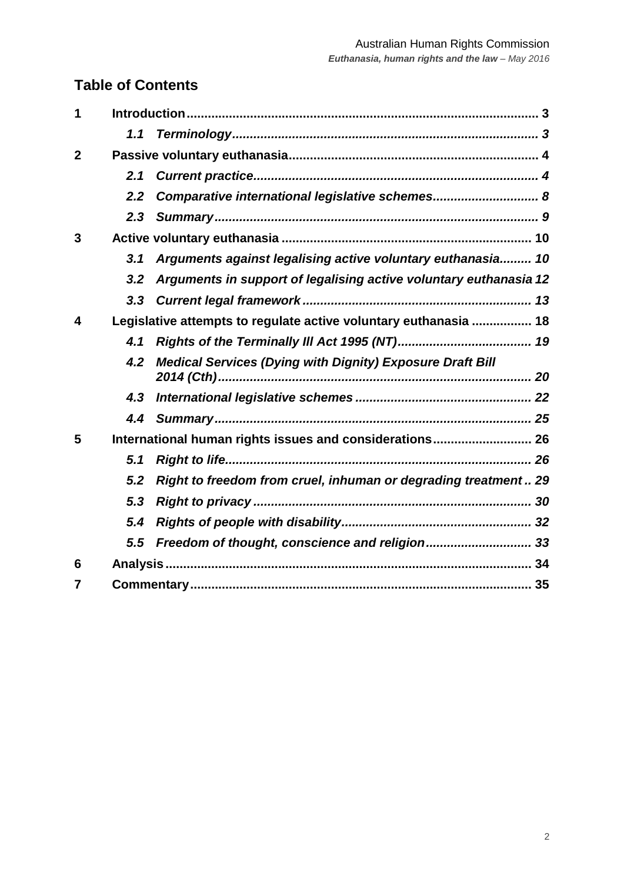# **Table of Contents**

| 1            |                                                                  |                                                                   |  |  |
|--------------|------------------------------------------------------------------|-------------------------------------------------------------------|--|--|
|              | 1.1                                                              |                                                                   |  |  |
| $\mathbf{2}$ |                                                                  |                                                                   |  |  |
|              | 2.1                                                              |                                                                   |  |  |
|              | 2.2                                                              | Comparative international legislative schemes 8                   |  |  |
|              |                                                                  |                                                                   |  |  |
| 3            |                                                                  |                                                                   |  |  |
|              | 3.1                                                              | Arguments against legalising active voluntary euthanasia 10       |  |  |
|              | 3.2                                                              | Arguments in support of legalising active voluntary euthanasia 12 |  |  |
|              |                                                                  |                                                                   |  |  |
| 4            | Legislative attempts to regulate active voluntary euthanasia  18 |                                                                   |  |  |
|              | 4.1                                                              |                                                                   |  |  |
|              | 4.2                                                              | <b>Medical Services (Dying with Dignity) Exposure Draft Bill</b>  |  |  |
|              |                                                                  |                                                                   |  |  |
|              |                                                                  |                                                                   |  |  |
| 5            | International human rights issues and considerations 26          |                                                                   |  |  |
|              | 5.1                                                              |                                                                   |  |  |
|              | 5.2                                                              | Right to freedom from cruel, inhuman or degrading treatment 29    |  |  |
|              | 5.3                                                              |                                                                   |  |  |
|              | 5.4                                                              |                                                                   |  |  |
|              | 5.5                                                              | Freedom of thought, conscience and religion 33                    |  |  |
| 6            |                                                                  |                                                                   |  |  |
| 7            |                                                                  |                                                                   |  |  |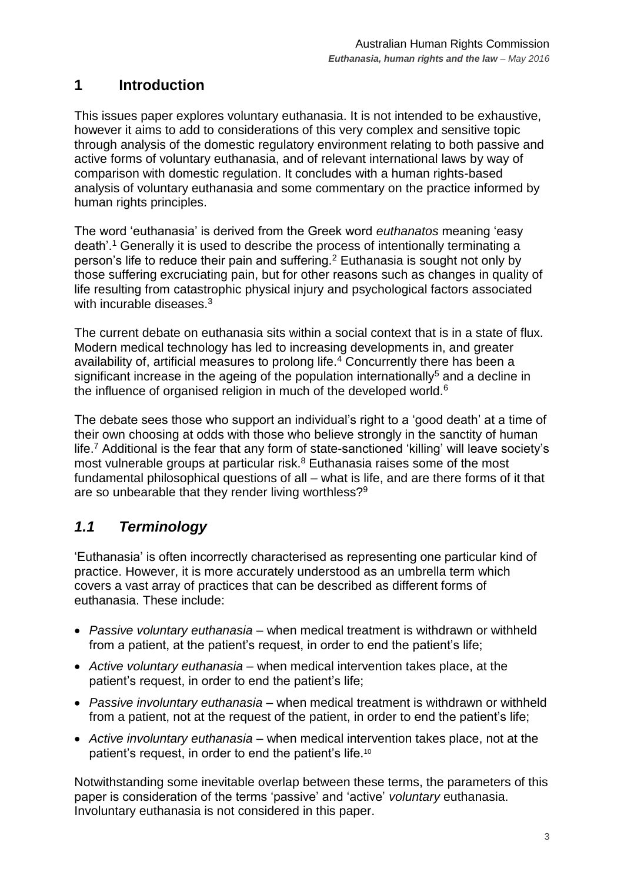# <span id="page-2-0"></span>**1 Introduction**

This issues paper explores voluntary euthanasia. It is not intended to be exhaustive, however it aims to add to considerations of this very complex and sensitive topic through analysis of the domestic regulatory environment relating to both passive and active forms of voluntary euthanasia, and of relevant international laws by way of comparison with domestic regulation. It concludes with a human rights-based analysis of voluntary euthanasia and some commentary on the practice informed by human rights principles.

The word 'euthanasia' is derived from the Greek word *euthanatos* meaning 'easy death'.<sup>1</sup> Generally it is used to describe the process of intentionally terminating a person's life to reduce their pain and suffering.<sup>2</sup> Euthanasia is sought not only by those suffering excruciating pain, but for other reasons such as changes in quality of life resulting from catastrophic physical injury and psychological factors associated with incurable diseases.<sup>3</sup>

The current debate on euthanasia sits within a social context that is in a state of flux. Modern medical technology has led to increasing developments in, and greater availability of, artificial measures to prolong life.<sup>4</sup> Concurrently there has been a significant increase in the ageing of the population internationally<sup>5</sup> and a decline in the influence of organised religion in much of the developed world.<sup>6</sup>

The debate sees those who support an individual's right to a 'good death' at a time of their own choosing at odds with those who believe strongly in the sanctity of human life.<sup>7</sup> Additional is the fear that any form of state-sanctioned 'killing' will leave society's most vulnerable groups at particular risk.<sup>8</sup> Euthanasia raises some of the most fundamental philosophical questions of all – what is life, and are there forms of it that are so unbearable that they render living worthless?<sup>9</sup>

# <span id="page-2-1"></span>*1.1 Terminology*

'Euthanasia' is often incorrectly characterised as representing one particular kind of practice. However, it is more accurately understood as an umbrella term which covers a vast array of practices that can be described as different forms of euthanasia. These include:

- *Passive voluntary euthanasia* when medical treatment is withdrawn or withheld from a patient, at the patient's request, in order to end the patient's life;
- *Active voluntary euthanasia* when medical intervention takes place, at the patient's request, in order to end the patient's life;
- *Passive involuntary euthanasia* when medical treatment is withdrawn or withheld from a patient, not at the request of the patient, in order to end the patient's life;
- *Active involuntary euthanasia* when medical intervention takes place, not at the patient's request, in order to end the patient's life.<sup>10</sup>

Notwithstanding some inevitable overlap between these terms, the parameters of this paper is consideration of the terms 'passive' and 'active' *voluntary* euthanasia. Involuntary euthanasia is not considered in this paper.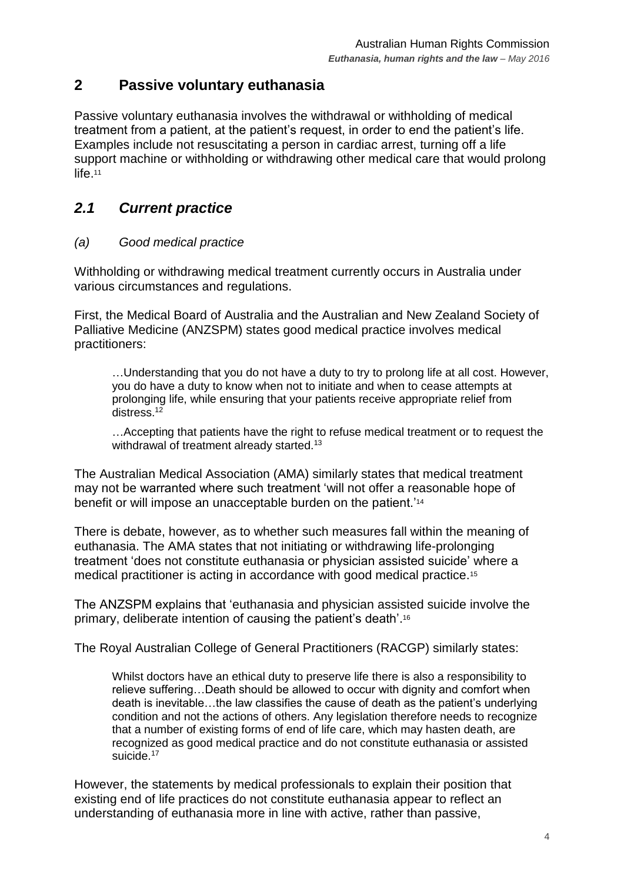# <span id="page-3-0"></span>**2 Passive voluntary euthanasia**

Passive voluntary euthanasia involves the withdrawal or withholding of medical treatment from a patient, at the patient's request, in order to end the patient's life. Examples include not resuscitating a person in cardiac arrest, turning off a life support machine or withholding or withdrawing other medical care that would prolong life.<sup>11</sup>

# <span id="page-3-1"></span>*2.1 Current practice*

#### *(a) Good medical practice*

Withholding or withdrawing medical treatment currently occurs in Australia under various circumstances and regulations.

First, the Medical Board of Australia and the Australian and New Zealand Society of Palliative Medicine (ANZSPM) states good medical practice involves medical practitioners:

…Understanding that you do not have a duty to try to prolong life at all cost. However, you do have a duty to know when not to initiate and when to cease attempts at prolonging life, while ensuring that your patients receive appropriate relief from distress.<sup>12</sup>

…Accepting that patients have the right to refuse medical treatment or to request the withdrawal of treatment already started.<sup>13</sup>

The Australian Medical Association (AMA) similarly states that medical treatment may not be warranted where such treatment 'will not offer a reasonable hope of benefit or will impose an unacceptable burden on the patient.'<sup>14</sup>

There is debate, however, as to whether such measures fall within the meaning of euthanasia. The AMA states that not initiating or withdrawing life-prolonging treatment 'does not constitute euthanasia or physician assisted suicide' where a medical practitioner is acting in accordance with good medical practice.<sup>15</sup>

The ANZSPM explains that 'euthanasia and physician assisted suicide involve the primary, deliberate intention of causing the patient's death'. 16

The Royal Australian College of General Practitioners (RACGP) similarly states:

Whilst doctors have an ethical duty to preserve life there is also a responsibility to relieve suffering…Death should be allowed to occur with dignity and comfort when death is inevitable…the law classifies the cause of death as the patient's underlying condition and not the actions of others. Any legislation therefore needs to recognize that a number of existing forms of end of life care, which may hasten death, are recognized as good medical practice and do not constitute euthanasia or assisted suicide.<sup>17</sup>

However, the statements by medical professionals to explain their position that existing end of life practices do not constitute euthanasia appear to reflect an understanding of euthanasia more in line with active, rather than passive,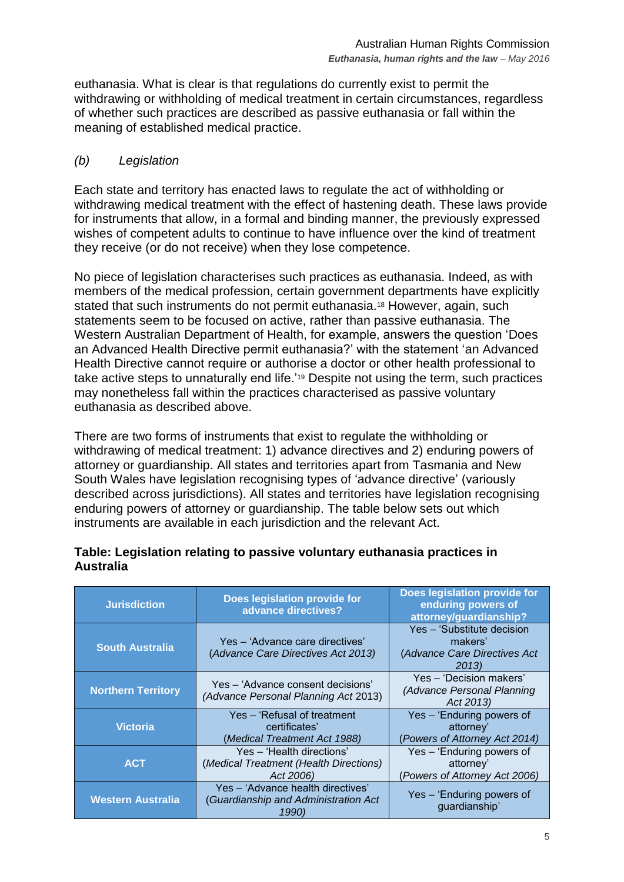euthanasia. What is clear is that regulations do currently exist to permit the withdrawing or withholding of medical treatment in certain circumstances, regardless of whether such practices are described as passive euthanasia or fall within the meaning of established medical practice.

#### *(b) Legislation*

Each state and territory has enacted laws to regulate the act of withholding or withdrawing medical treatment with the effect of hastening death. These laws provide for instruments that allow, in a formal and binding manner, the previously expressed wishes of competent adults to continue to have influence over the kind of treatment they receive (or do not receive) when they lose competence.

No piece of legislation characterises such practices as euthanasia. Indeed, as with members of the medical profession, certain government departments have explicitly stated that such instruments do not permit euthanasia.<sup>18</sup> However, again, such statements seem to be focused on active, rather than passive euthanasia. The Western Australian Department of Health, for example, answers the question 'Does an Advanced Health Directive permit euthanasia?' with the statement 'an Advanced Health Directive cannot require or authorise a doctor or other health professional to take active steps to unnaturally end life.'<sup>19</sup> Despite not using the term, such practices may nonetheless fall within the practices characterised as passive voluntary euthanasia as described above.

There are two forms of instruments that exist to regulate the withholding or withdrawing of medical treatment: 1) advance directives and 2) enduring powers of attorney or guardianship. All states and territories apart from Tasmania and New South Wales have legislation recognising types of 'advance directive' (variously described across jurisdictions). All states and territories have legislation recognising enduring powers of attorney or guardianship. The table below sets out which instruments are available in each jurisdiction and the relevant Act.

| <b>Jurisdiction</b>       | Does legislation provide for<br>advance directives?                                | Does legislation provide for<br>enduring powers of<br>attorney/guardianship?   |
|---------------------------|------------------------------------------------------------------------------------|--------------------------------------------------------------------------------|
| <b>South Australia</b>    | Yes – 'Advance care directives'<br>(Advance Care Directives Act 2013)              | Yes - 'Substitute decision<br>makers'<br>(Advance Care Directives Act<br>2013) |
| <b>Northern Territory</b> | Yes – 'Advance consent decisions'<br>(Advance Personal Planning Act 2013)          | Yes - 'Decision makers'<br>(Advance Personal Planning<br>Act 2013)             |
| <b>Victoria</b>           | Yes – 'Refusal of treatment<br>certificates'<br>(Medical Treatment Act 1988)       | Yes - 'Enduring powers of<br>attorney'<br>(Powers of Attorney Act 2014)        |
| <b>ACT</b>                | Yes - 'Health directions'<br>(Medical Treatment (Health Directions)<br>Act 2006)   | Yes - 'Enduring powers of<br>attorney'<br>(Powers of Attorney Act 2006)        |
| <b>Western Australia</b>  | Yes - 'Advance health directives'<br>(Guardianship and Administration Act<br>1990) | Yes – 'Enduring powers of<br>guardianship'                                     |

#### **Table: Legislation relating to passive voluntary euthanasia practices in Australia**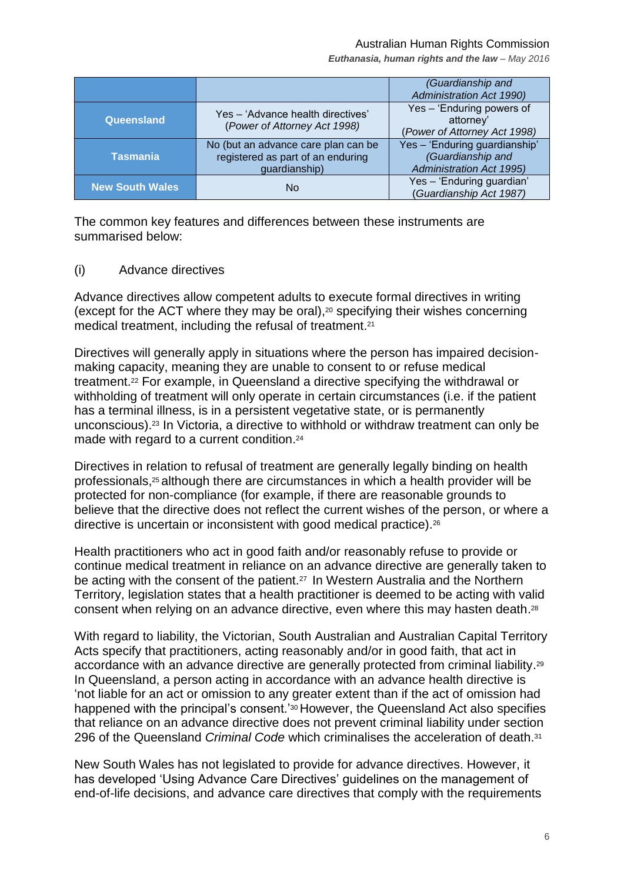#### Australian Human Rights Commission

*Euthanasia, human rights and the law – May 2016*

|                        |                                                                                           | (Guardianship and<br><b>Administration Act 1990)</b>                                  |
|------------------------|-------------------------------------------------------------------------------------------|---------------------------------------------------------------------------------------|
| Queensland             | Yes - 'Advance health directives'<br>(Power of Attorney Act 1998)                         | Yes - 'Enduring powers of<br>attorney'<br>(Power of Attorney Act 1998)                |
| Tasmania               | No (but an advance care plan can be<br>registered as part of an enduring<br>guardianship) | Yes - 'Enduring guardianship'<br>(Guardianship and<br><b>Administration Act 1995)</b> |
| <b>New South Wales</b> | No                                                                                        | Yes - 'Enduring guardian'<br>(Guardianship Act 1987)                                  |

The common key features and differences between these instruments are summarised below:

(i) Advance directives

Advance directives allow competent adults to execute formal directives in writing (except for the ACT where they may be oral), <sup>20</sup> specifying their wishes concerning medical treatment, including the refusal of treatment.<sup>21</sup>

Directives will generally apply in situations where the person has impaired decisionmaking capacity, meaning they are unable to consent to or refuse medical treatment. <sup>22</sup> For example, in Queensland a directive specifying the withdrawal or withholding of treatment will only operate in certain circumstances (i.e. if the patient has a terminal illness, is in a persistent vegetative state, or is permanently unconscious). <sup>23</sup> In Victoria, a directive to withhold or withdraw treatment can only be made with regard to a current condition.<sup>24</sup>

Directives in relation to refusal of treatment are generally legally binding on health professionals, <sup>25</sup> although there are circumstances in which a health provider will be protected for non-compliance (for example, if there are reasonable grounds to believe that the directive does not reflect the current wishes of the person, or where a directive is uncertain or inconsistent with good medical practice).<sup>26</sup>

Health practitioners who act in good faith and/or reasonably refuse to provide or continue medical treatment in reliance on an advance directive are generally taken to be acting with the consent of the patient.<sup>27</sup> In Western Australia and the Northern Territory, legislation states that a health practitioner is deemed to be acting with valid consent when relying on an advance directive, even where this may hasten death.<sup>28</sup>

With regard to liability, the Victorian, South Australian and Australian Capital Territory Acts specify that practitioners, acting reasonably and/or in good faith, that act in accordance with an advance directive are generally protected from criminal liability.<sup>29</sup> In Queensland, a person acting in accordance with an advance health directive is 'not liable for an act or omission to any greater extent than if the act of omission had happened with the principal's consent.'<sup>30</sup> However, the Queensland Act also specifies that reliance on an advance directive does not prevent criminal liability under section 296 of the Queensland *Criminal Code* which criminalises the acceleration of death.<sup>31</sup>

New South Wales has not legislated to provide for advance directives. However, it has developed 'Using Advance Care Directives' guidelines on the management of end-of-life decisions, and advance care directives that comply with the requirements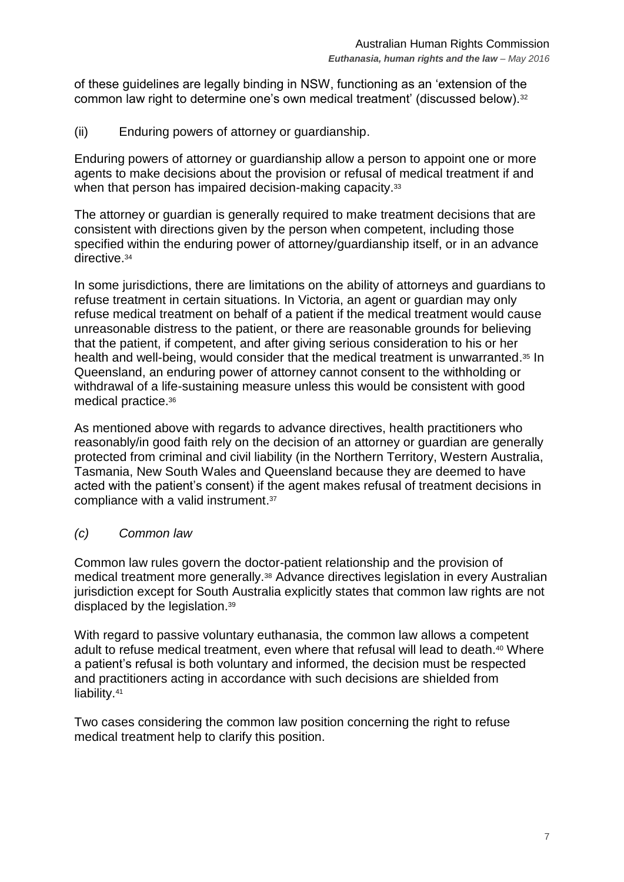of these guidelines are legally binding in NSW, functioning as an 'extension of the common law right to determine one's own medical treatment' (discussed below).<sup>32</sup>

(ii) Enduring powers of attorney or guardianship.

Enduring powers of attorney or guardianship allow a person to appoint one or more agents to make decisions about the provision or refusal of medical treatment if and when that person has impaired decision-making capacity.<sup>33</sup>

The attorney or guardian is generally required to make treatment decisions that are consistent with directions given by the person when competent, including those specified within the enduring power of attorney/guardianship itself, or in an advance directive. 34

In some jurisdictions, there are limitations on the ability of attorneys and guardians to refuse treatment in certain situations. In Victoria, an agent or guardian may only refuse medical treatment on behalf of a patient if the medical treatment would cause unreasonable distress to the patient, or there are reasonable grounds for believing that the patient, if competent, and after giving serious consideration to his or her health and well-being, would consider that the medical treatment is unwarranted.<sup>35</sup> In Queensland, an enduring power of attorney cannot consent to the withholding or withdrawal of a life-sustaining measure unless this would be consistent with good medical practice. 36

As mentioned above with regards to advance directives, health practitioners who reasonably/in good faith rely on the decision of an attorney or guardian are generally protected from criminal and civil liability (in the Northern Territory, Western Australia, Tasmania, New South Wales and Queensland because they are deemed to have acted with the patient's consent) if the agent makes refusal of treatment decisions in compliance with a valid instrument. 37

## *(c) Common law*

Common law rules govern the doctor-patient relationship and the provision of medical treatment more generally.<sup>38</sup> Advance directives legislation in every Australian jurisdiction except for South Australia explicitly states that common law rights are not displaced by the legislation.<sup>39</sup>

With regard to passive voluntary euthanasia, the common law allows a competent adult to refuse medical treatment, even where that refusal will lead to death.<sup>40</sup> Where a patient's refusal is both voluntary and informed, the decision must be respected and practitioners acting in accordance with such decisions are shielded from liability. 41

Two cases considering the common law position concerning the right to refuse medical treatment help to clarify this position.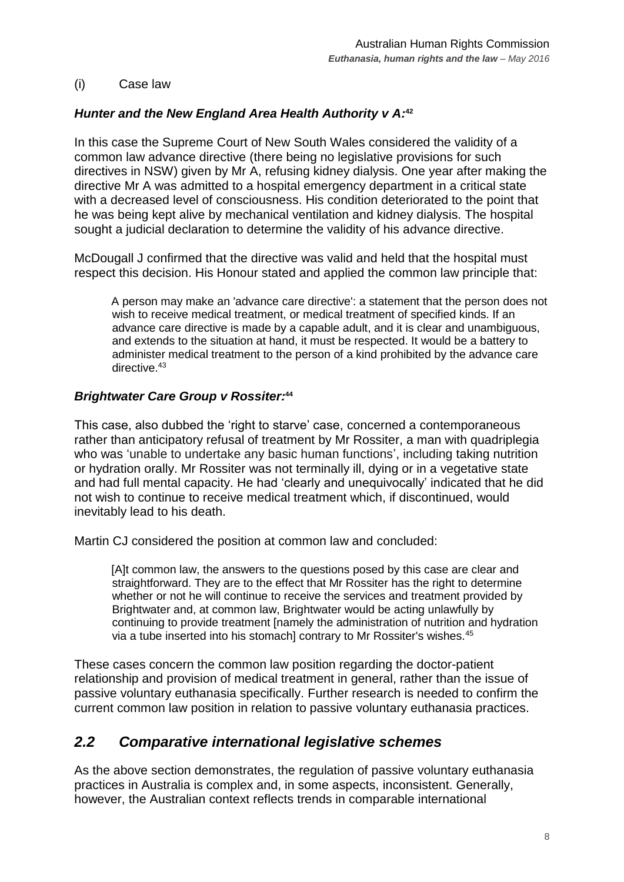#### (i) Case law

## *Hunter and the New England Area Health Authority v A:* **42**

In this case the Supreme Court of New South Wales considered the validity of a common law advance directive (there being no legislative provisions for such directives in NSW) given by Mr A, refusing kidney dialysis. One year after making the directive Mr A was admitted to a hospital emergency department in a critical state with a decreased level of consciousness. His condition deteriorated to the point that he was being kept alive by mechanical ventilation and kidney dialysis. The hospital sought a judicial declaration to determine the validity of his advance directive.

McDougall J confirmed that the directive was valid and held that the hospital must respect this decision. His Honour stated and applied the common law principle that:

A person may make an 'advance care directive': a statement that the person does not wish to receive medical treatment, or medical treatment of specified kinds. If an advance care directive is made by a capable adult, and it is clear and unambiguous, and extends to the situation at hand, it must be respected. It would be a battery to administer medical treatment to the person of a kind prohibited by the advance care directive.<sup>43</sup>

#### *Brightwater Care Group v Rossiter:* **44**

This case, also dubbed the 'right to starve' case, concerned a contemporaneous rather than anticipatory refusal of treatment by Mr Rossiter, a man with quadriplegia who was 'unable to undertake any basic human functions', including taking nutrition or hydration orally. Mr Rossiter was not terminally ill, dying or in a vegetative state and had full mental capacity. He had 'clearly and unequivocally' indicated that he did not wish to continue to receive medical treatment which, if discontinued, would inevitably lead to his death.

Martin CJ considered the position at common law and concluded:

[A]t common law, the answers to the questions posed by this case are clear and straightforward. They are to the effect that Mr Rossiter has the right to determine whether or not he will continue to receive the services and treatment provided by Brightwater and, at common law, Brightwater would be acting unlawfully by continuing to provide treatment [namely the administration of nutrition and hydration via a tube inserted into his stomach] contrary to Mr Rossiter's wishes.<sup>45</sup>

These cases concern the common law position regarding the doctor-patient relationship and provision of medical treatment in general, rather than the issue of passive voluntary euthanasia specifically. Further research is needed to confirm the current common law position in relation to passive voluntary euthanasia practices.

## <span id="page-7-0"></span>*2.2 Comparative international legislative schemes*

As the above section demonstrates, the regulation of passive voluntary euthanasia practices in Australia is complex and, in some aspects, inconsistent. Generally, however, the Australian context reflects trends in comparable international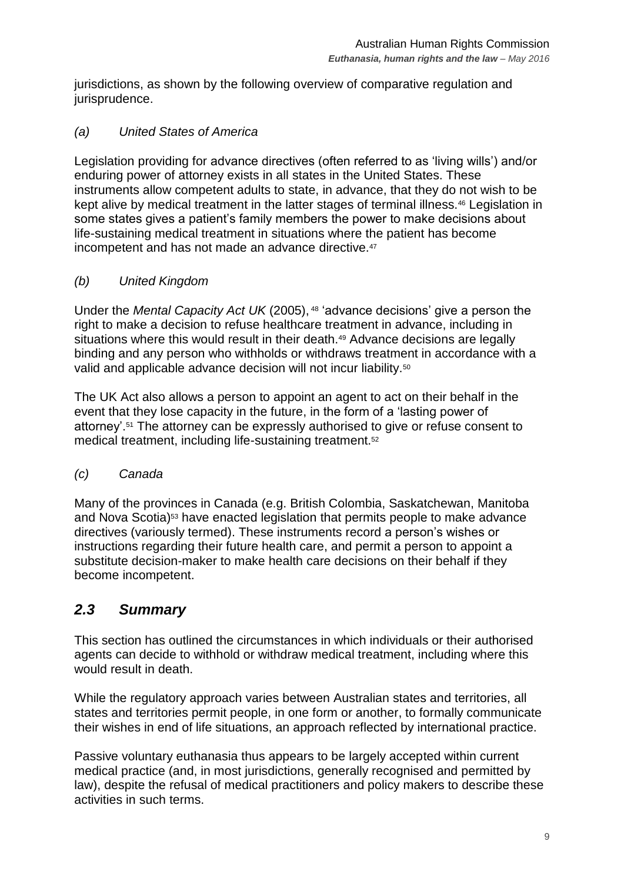jurisdictions, as shown by the following overview of comparative regulation and jurisprudence.

## *(a) United States of America*

Legislation providing for advance directives (often referred to as 'living wills') and/or enduring power of attorney exists in all states in the United States. These instruments allow competent adults to state, in advance, that they do not wish to be kept alive by medical treatment in the latter stages of terminal illness.<sup>46</sup> Legislation in some states gives a patient's family members the power to make decisions about life-sustaining medical treatment in situations where the patient has become incompetent and has not made an advance directive.<sup>47</sup>

## *(b) United Kingdom*

Under the *Mental Capacity Act UK* (2005), <sup>48</sup> 'advance decisions' give a person the right to make a decision to refuse healthcare treatment in advance, including in situations where this would result in their death.<sup>49</sup> Advance decisions are legally binding and any person who withholds or withdraws treatment in accordance with a valid and applicable advance decision will not incur liability.<sup>50</sup>

The UK Act also allows a person to appoint an agent to act on their behalf in the event that they lose capacity in the future, in the form of a 'lasting power of attorney'.<sup>51</sup> The attorney can be expressly authorised to give or refuse consent to medical treatment, including life-sustaining treatment.<sup>52</sup>

## *(c) Canada*

Many of the provinces in Canada (e.g. British Colombia, Saskatchewan, Manitoba and Nova Scotia)<sup>53</sup> have enacted legislation that permits people to make advance directives (variously termed). These instruments record a person's wishes or instructions regarding their future health care, and permit a person to appoint a substitute decision-maker to make health care decisions on their behalf if they become incompetent.

# <span id="page-8-0"></span>*2.3 Summary*

This section has outlined the circumstances in which individuals or their authorised agents can decide to withhold or withdraw medical treatment, including where this would result in death.

While the regulatory approach varies between Australian states and territories, all states and territories permit people, in one form or another, to formally communicate their wishes in end of life situations, an approach reflected by international practice.

Passive voluntary euthanasia thus appears to be largely accepted within current medical practice (and, in most jurisdictions, generally recognised and permitted by law), despite the refusal of medical practitioners and policy makers to describe these activities in such terms.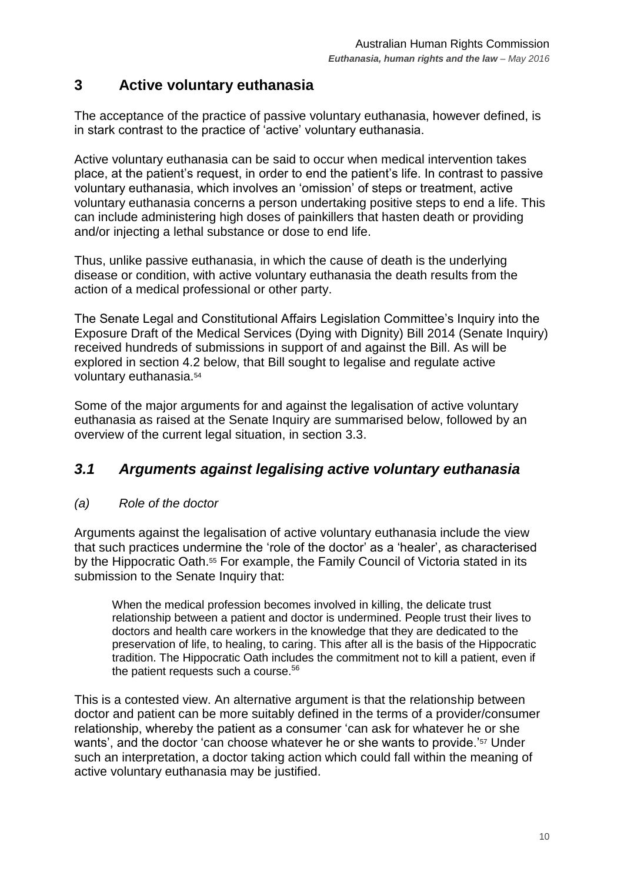# <span id="page-9-0"></span>**3 Active voluntary euthanasia**

The acceptance of the practice of passive voluntary euthanasia, however defined, is in stark contrast to the practice of 'active' voluntary euthanasia.

Active voluntary euthanasia can be said to occur when medical intervention takes place, at the patient's request, in order to end the patient's life. In contrast to passive voluntary euthanasia, which involves an 'omission' of steps or treatment, active voluntary euthanasia concerns a person undertaking positive steps to end a life. This can include administering high doses of painkillers that hasten death or providing and/or injecting a lethal substance or dose to end life.

Thus, unlike passive euthanasia, in which the cause of death is the underlying disease or condition, with active voluntary euthanasia the death results from the action of a medical professional or other party.

The Senate Legal and Constitutional Affairs Legislation Committee's Inquiry into the Exposure Draft of the Medical Services (Dying with Dignity) Bill 2014 (Senate Inquiry) received hundreds of submissions in support of and against the Bill. As will be explored in section 4.2 below, that Bill sought to legalise and regulate active voluntary euthanasia.<sup>54</sup>

Some of the major arguments for and against the legalisation of active voluntary euthanasia as raised at the Senate Inquiry are summarised below, followed by an overview of the current legal situation, in section 3.3.

# <span id="page-9-1"></span>*3.1 Arguments against legalising active voluntary euthanasia*

## *(a) Role of the doctor*

Arguments against the legalisation of active voluntary euthanasia include the view that such practices undermine the 'role of the doctor' as a 'healer', as characterised by the Hippocratic Oath.<sup>55</sup> For example, the Family Council of Victoria stated in its submission to the Senate Inquiry that:

When the medical profession becomes involved in killing, the delicate trust relationship between a patient and doctor is undermined. People trust their lives to doctors and health care workers in the knowledge that they are dedicated to the preservation of life, to healing, to caring. This after all is the basis of the Hippocratic tradition. The Hippocratic Oath includes the commitment not to kill a patient, even if the patient requests such a course.<sup>56</sup>

This is a contested view. An alternative argument is that the relationship between doctor and patient can be more suitably defined in the terms of a provider/consumer relationship, whereby the patient as a consumer 'can ask for whatever he or she wants', and the doctor 'can choose whatever he or she wants to provide.'<sup>57</sup> Under such an interpretation, a doctor taking action which could fall within the meaning of active voluntary euthanasia may be justified.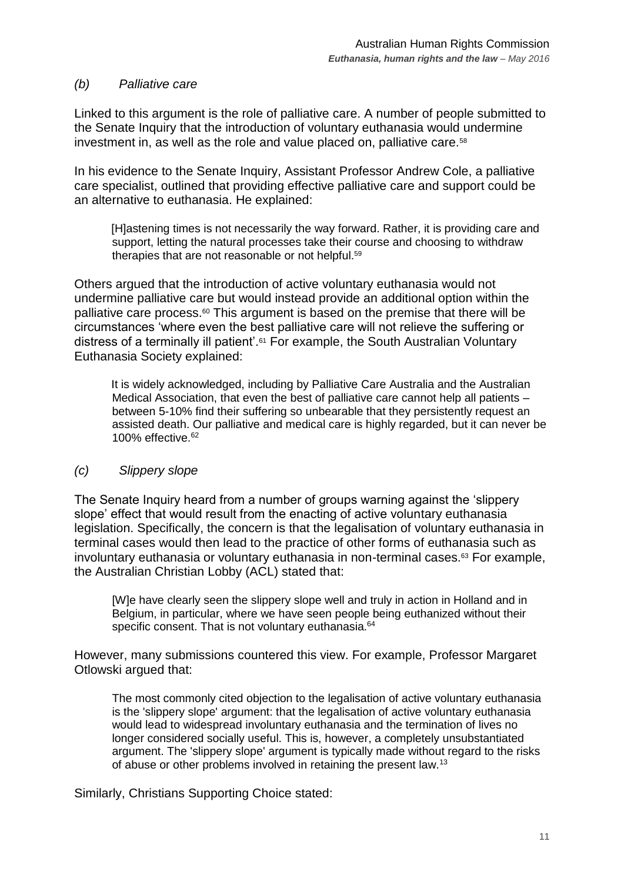#### *(b) Palliative care*

Linked to this argument is the role of palliative care. A number of people submitted to the Senate Inquiry that the introduction of voluntary euthanasia would undermine investment in, as well as the role and value placed on, palliative care.<sup>58</sup>

In his evidence to the Senate Inquiry, Assistant Professor Andrew Cole, a palliative care specialist, outlined that providing effective palliative care and support could be an alternative to euthanasia. He explained:

[H]astening times is not necessarily the way forward. Rather, it is providing care and support, letting the natural processes take their course and choosing to withdraw therapies that are not reasonable or not helpful.<sup>59</sup>

Others argued that the introduction of active voluntary euthanasia would not undermine palliative care but would instead provide an additional option within the palliative care process.<sup>60</sup> This argument is based on the premise that there will be circumstances 'where even the best palliative care will not relieve the suffering or distress of a terminally ill patient'.<sup>61</sup> For example, the South Australian Voluntary Euthanasia Society explained:

It is widely acknowledged, including by Palliative Care Australia and the Australian Medical Association, that even the best of palliative care cannot help all patients – between 5-10% find their suffering so unbearable that they persistently request an assisted death. Our palliative and medical care is highly regarded, but it can never be 100% effective.<sup>62</sup>

#### *(c) Slippery slope*

The Senate Inquiry heard from a number of groups warning against the 'slippery slope' effect that would result from the enacting of active voluntary euthanasia legislation. Specifically, the concern is that the legalisation of voluntary euthanasia in terminal cases would then lead to the practice of other forms of euthanasia such as involuntary euthanasia or voluntary euthanasia in non-terminal cases.<sup>63</sup> For example, the Australian Christian Lobby (ACL) stated that:

[W]e have clearly seen the slippery slope well and truly in action in Holland and in Belgium, in particular, where we have seen people being euthanized without their specific consent. That is not voluntary euthanasia.<sup>64</sup>

However, many submissions countered this view. For example, Professor Margaret Otlowski argued that:

The most commonly cited objection to the legalisation of active voluntary euthanasia is the 'slippery slope' argument: that the legalisation of active voluntary euthanasia would lead to widespread involuntary euthanasia and the termination of lives no longer considered socially useful. This is, however, a completely unsubstantiated argument. The 'slippery slope' argument is typically made without regard to the risks of abuse or other problems involved in retaining the present law.<sup>13</sup>

Similarly, Christians Supporting Choice stated: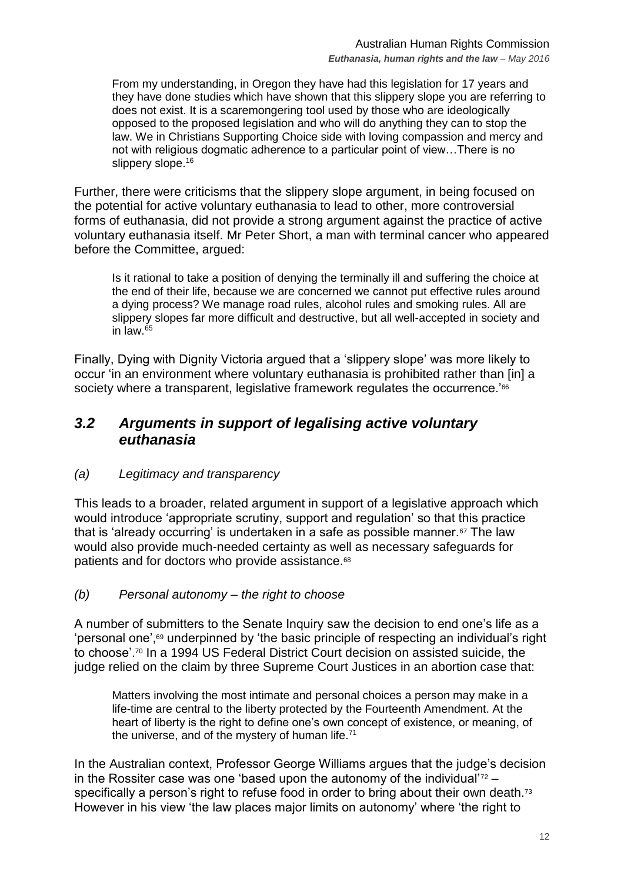From my understanding, in Oregon they have had this legislation for 17 years and they have done studies which have shown that this slippery slope you are referring to does not exist. It is a scaremongering tool used by those who are ideologically opposed to the proposed legislation and who will do anything they can to stop the law. We in Christians Supporting Choice side with loving compassion and mercy and not with religious dogmatic adherence to a particular point of view…There is no slippery slope.<sup>16</sup>

Further, there were criticisms that the slippery slope argument, in being focused on the potential for active voluntary euthanasia to lead to other, more controversial forms of euthanasia, did not provide a strong argument against the practice of active voluntary euthanasia itself. Mr Peter Short, a man with terminal cancer who appeared before the Committee, argued:

Is it rational to take a position of denying the terminally ill and suffering the choice at the end of their life, because we are concerned we cannot put effective rules around a dying process? We manage road rules, alcohol rules and smoking rules. All are slippery slopes far more difficult and destructive, but all well-accepted in society and in law. $65$ 

Finally, Dying with Dignity Victoria argued that a 'slippery slope' was more likely to occur 'in an environment where voluntary euthanasia is prohibited rather than [in] a society where a transparent, legislative framework regulates the occurrence.<sup>'66</sup>

## <span id="page-11-0"></span>*3.2 Arguments in support of legalising active voluntary euthanasia*

## *(a) Legitimacy and transparency*

This leads to a broader, related argument in support of a legislative approach which would introduce 'appropriate scrutiny, support and regulation' so that this practice that is 'already occurring' is undertaken in a safe as possible manner.<sup>67</sup> The law would also provide much-needed certainty as well as necessary safeguards for patients and for doctors who provide assistance.<sup>68</sup>

#### *(b) Personal autonomy – the right to choose*

A number of submitters to the Senate Inquiry saw the decision to end one's life as a 'personal one', <sup>69</sup> underpinned by 'the basic principle of respecting an individual's right to choose'.<sup>70</sup> In a 1994 US Federal District Court decision on assisted suicide, the judge relied on the claim by three Supreme Court Justices in an abortion case that:

Matters involving the most intimate and personal choices a person may make in a life-time are central to the liberty protected by the Fourteenth Amendment. At the heart of liberty is the right to define one's own concept of existence, or meaning, of the universe, and of the mystery of human life. $71$ 

In the Australian context, Professor George Williams argues that the judge's decision in the Rossiter case was one 'based upon the autonomy of the individual' $72$ specifically a person's right to refuse food in order to bring about their own death.<sup>73</sup> However in his view 'the law places major limits on autonomy' where 'the right to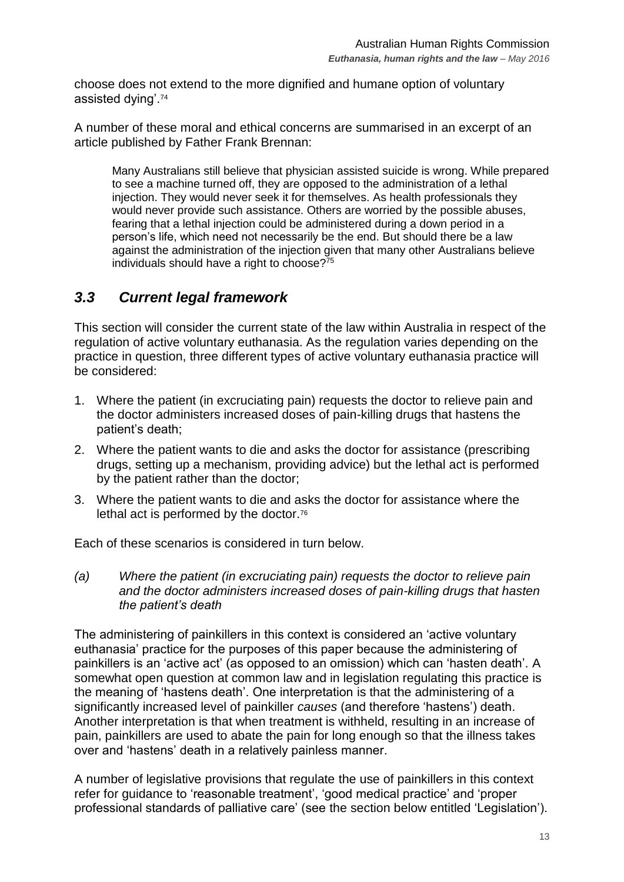choose does not extend to the more dignified and humane option of voluntary assisted dying'.<sup>74</sup>

A number of these moral and ethical concerns are summarised in an excerpt of an article published by Father Frank Brennan:

Many Australians still believe that physician assisted suicide is wrong. While prepared to see a machine turned off, they are opposed to the administration of a lethal injection. They would never seek it for themselves. As health professionals they would never provide such assistance. Others are worried by the possible abuses, fearing that a lethal injection could be administered during a down period in a person's life, which need not necessarily be the end. But should there be a law against the administration of the injection given that many other Australians believe individuals should have a right to choose?<sup>75</sup>

## <span id="page-12-0"></span>*3.3 Current legal framework*

This section will consider the current state of the law within Australia in respect of the regulation of active voluntary euthanasia. As the regulation varies depending on the practice in question, three different types of active voluntary euthanasia practice will be considered:

- 1. Where the patient (in excruciating pain) requests the doctor to relieve pain and the doctor administers increased doses of pain-killing drugs that hastens the patient's death;
- 2. Where the patient wants to die and asks the doctor for assistance (prescribing drugs, setting up a mechanism, providing advice) but the lethal act is performed by the patient rather than the doctor;
- 3. Where the patient wants to die and asks the doctor for assistance where the lethal act is performed by the doctor.<sup>76</sup>

Each of these scenarios is considered in turn below.

*(a) Where the patient (in excruciating pain) requests the doctor to relieve pain and the doctor administers increased doses of pain-killing drugs that hasten the patient's death*

The administering of painkillers in this context is considered an 'active voluntary euthanasia' practice for the purposes of this paper because the administering of painkillers is an 'active act' (as opposed to an omission) which can 'hasten death'. A somewhat open question at common law and in legislation regulating this practice is the meaning of 'hastens death'. One interpretation is that the administering of a significantly increased level of painkiller *causes* (and therefore 'hastens') death. Another interpretation is that when treatment is withheld, resulting in an increase of pain, painkillers are used to abate the pain for long enough so that the illness takes over and 'hastens' death in a relatively painless manner.

A number of legislative provisions that regulate the use of painkillers in this context refer for guidance to 'reasonable treatment', 'good medical practice' and 'proper professional standards of palliative care' (see the section below entitled 'Legislation').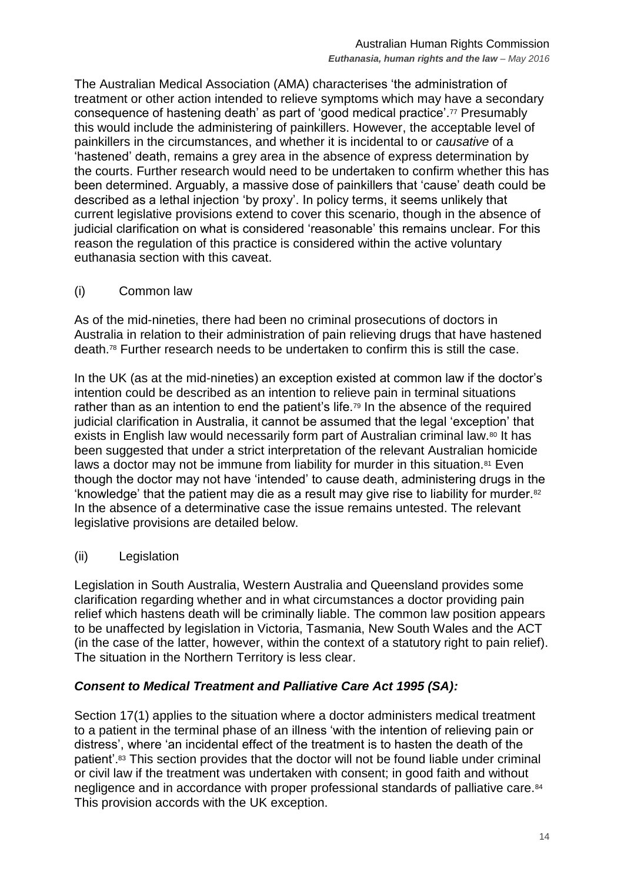The Australian Medical Association (AMA) characterises 'the administration of treatment or other action intended to relieve symptoms which may have a secondary consequence of hastening death' as part of 'good medical practice'.<sup>77</sup> Presumably this would include the administering of painkillers. However, the acceptable level of painkillers in the circumstances, and whether it is incidental to or *causative* of a 'hastened' death, remains a grey area in the absence of express determination by the courts. Further research would need to be undertaken to confirm whether this has been determined. Arguably, a massive dose of painkillers that 'cause' death could be described as a lethal injection 'by proxy'. In policy terms, it seems unlikely that current legislative provisions extend to cover this scenario, though in the absence of iudicial clarification on what is considered 'reasonable' this remains unclear. For this reason the regulation of this practice is considered within the active voluntary euthanasia section with this caveat.

(i) Common law

As of the mid-nineties, there had been no criminal prosecutions of doctors in Australia in relation to their administration of pain relieving drugs that have hastened death.<sup>78</sup> Further research needs to be undertaken to confirm this is still the case.

In the UK (as at the mid-nineties) an exception existed at common law if the doctor's intention could be described as an intention to relieve pain in terminal situations rather than as an intention to end the patient's life.<sup>79</sup> In the absence of the required judicial clarification in Australia, it cannot be assumed that the legal 'exception' that exists in English law would necessarily form part of Australian criminal law.<sup>80</sup> It has been suggested that under a strict interpretation of the relevant Australian homicide laws a doctor may not be immune from liability for murder in this situation.<sup>81</sup> Even though the doctor may not have 'intended' to cause death, administering drugs in the 'knowledge' that the patient may die as a result may give rise to liability for murder.<sup>82</sup> In the absence of a determinative case the issue remains untested. The relevant legislative provisions are detailed below.

(ii) Legislation

Legislation in South Australia, Western Australia and Queensland provides some clarification regarding whether and in what circumstances a doctor providing pain relief which hastens death will be criminally liable. The common law position appears to be unaffected by legislation in Victoria, Tasmania, New South Wales and the ACT (in the case of the latter, however, within the context of a statutory right to pain relief). The situation in the Northern Territory is less clear.

#### *Consent to Medical Treatment and Palliative Care Act 1995 (SA):*

Section 17(1) applies to the situation where a doctor administers medical treatment to a patient in the terminal phase of an illness 'with the intention of relieving pain or distress', where 'an incidental effect of the treatment is to hasten the death of the patient'.<sup>83</sup> This section provides that the doctor will not be found liable under criminal or civil law if the treatment was undertaken with consent; in good faith and without negligence and in accordance with proper professional standards of palliative care.<sup>84</sup> This provision accords with the UK exception.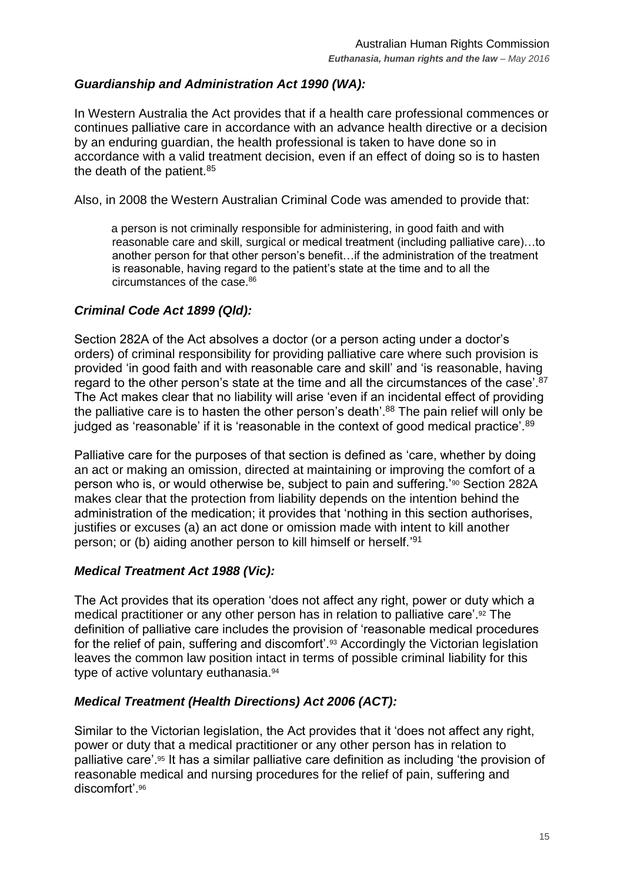## *Guardianship and Administration Act 1990 (WA):*

In Western Australia the Act provides that if a health care professional commences or continues palliative care in accordance with an advance health directive or a decision by an enduring guardian, the health professional is taken to have done so in accordance with a valid treatment decision, even if an effect of doing so is to hasten the death of the patient.<sup>85</sup>

Also, in 2008 the Western Australian Criminal Code was amended to provide that:

a person is not criminally responsible for administering, in good faith and with reasonable care and skill, surgical or medical treatment (including palliative care)…to another person for that other person's benefit…if the administration of the treatment is reasonable, having regard to the patient's state at the time and to all the circumstances of the case.<sup>86</sup>

#### *Criminal Code Act 1899 (Qld):*

Section 282A of the Act absolves a doctor (or a person acting under a doctor's orders) of criminal responsibility for providing palliative care where such provision is provided 'in good faith and with reasonable care and skill' and 'is reasonable, having regard to the other person's state at the time and all the circumstances of the case'.<sup>87</sup> The Act makes clear that no liability will arise 'even if an incidental effect of providing the palliative care is to hasten the other person's death'.<sup>88</sup> The pain relief will only be judged as 'reasonable' if it is 'reasonable in the context of good medical practice'.<sup>89</sup>

Palliative care for the purposes of that section is defined as 'care, whether by doing an act or making an omission, directed at maintaining or improving the comfort of a person who is, or would otherwise be, subject to pain and suffering.'<sup>90</sup> Section 282A makes clear that the protection from liability depends on the intention behind the administration of the medication; it provides that 'nothing in this section authorises, justifies or excuses (a) an act done or omission made with intent to kill another person; or (b) aiding another person to kill himself or herself.' 91

#### *Medical Treatment Act 1988 (Vic):*

The Act provides that its operation 'does not affect any right, power or duty which a medical practitioner or any other person has in relation to palliative care'.<sup>92</sup> The definition of palliative care includes the provision of 'reasonable medical procedures for the relief of pain, suffering and discomfort'.<sup>93</sup> Accordingly the Victorian legislation leaves the common law position intact in terms of possible criminal liability for this type of active voluntary euthanasia.<sup>94</sup>

## *Medical Treatment (Health Directions) Act 2006 (ACT):*

Similar to the Victorian legislation, the Act provides that it 'does not affect any right, power or duty that a medical practitioner or any other person has in relation to palliative care'.<sup>95</sup> It has a similar palliative care definition as including 'the provision of reasonable medical and nursing procedures for the relief of pain, suffering and discomfort'.<sup>96</sup>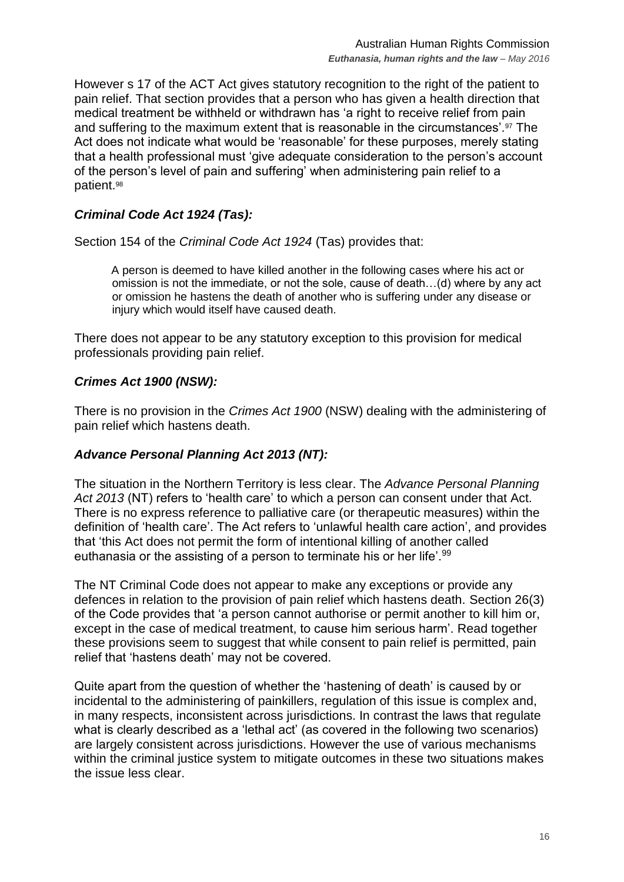However s 17 of the ACT Act gives statutory recognition to the right of the patient to pain relief. That section provides that a person who has given a health direction that medical treatment be withheld or withdrawn has 'a right to receive relief from pain and suffering to the maximum extent that is reasonable in the circumstances'.<sup>97</sup> The Act does not indicate what would be 'reasonable' for these purposes, merely stating that a health professional must 'give adequate consideration to the person's account of the person's level of pain and suffering' when administering pain relief to a patient.<sup>98</sup>

## *Criminal Code Act 1924 (Tas):*

Section 154 of the *Criminal Code Act 1924* (Tas) provides that:

A person is deemed to have killed another in the following cases where his act or omission is not the immediate, or not the sole, cause of death…(d) where by any act or omission he hastens the death of another who is suffering under any disease or injury which would itself have caused death.

There does not appear to be any statutory exception to this provision for medical professionals providing pain relief.

## *Crimes Act 1900 (NSW):*

There is no provision in the *Crimes Act 1900* (NSW) dealing with the administering of pain relief which hastens death.

## *Advance Personal Planning Act 2013 (NT):*

The situation in the Northern Territory is less clear. The *Advance Personal Planning Act 2013* (NT) refers to 'health care' to which a person can consent under that Act. There is no express reference to palliative care (or therapeutic measures) within the definition of 'health care'. The Act refers to 'unlawful health care action', and provides that 'this Act does not permit the form of intentional killing of another called euthanasia or the assisting of a person to terminate his or her life'.<sup>99</sup>

The NT Criminal Code does not appear to make any exceptions or provide any defences in relation to the provision of pain relief which hastens death. Section 26(3) of the Code provides that 'a person cannot authorise or permit another to kill him or, except in the case of medical treatment, to cause him serious harm'. Read together these provisions seem to suggest that while consent to pain relief is permitted, pain relief that 'hastens death' may not be covered.

Quite apart from the question of whether the 'hastening of death' is caused by or incidental to the administering of painkillers, regulation of this issue is complex and, in many respects, inconsistent across jurisdictions. In contrast the laws that regulate what is clearly described as a 'lethal act' (as covered in the following two scenarios) are largely consistent across jurisdictions. However the use of various mechanisms within the criminal justice system to mitigate outcomes in these two situations makes the issue less clear.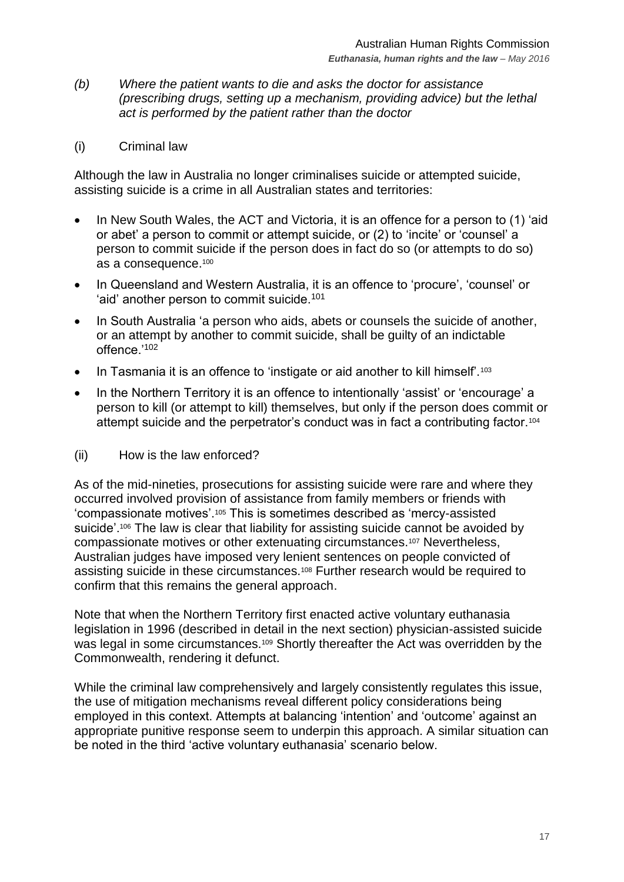- *(b) Where the patient wants to die and asks the doctor for assistance (prescribing drugs, setting up a mechanism, providing advice) but the lethal act is performed by the patient rather than the doctor*
- (i) Criminal law

Although the law in Australia no longer criminalises suicide or attempted suicide, assisting suicide is a crime in all Australian states and territories:

- In New South Wales, the ACT and Victoria, it is an offence for a person to (1) 'aid or abet' a person to commit or attempt suicide, or (2) to 'incite' or 'counsel' a person to commit suicide if the person does in fact do so (or attempts to do so) as a consequence.<sup>100</sup>
- In Queensland and Western Australia, it is an offence to 'procure', 'counsel' or 'aid' another person to commit suicide.<sup>101</sup>
- In South Australia 'a person who aids, abets or counsels the suicide of another, or an attempt by another to commit suicide, shall be guilty of an indictable offence.'<sup>102</sup>
- In Tasmania it is an offence to 'instigate or aid another to kill himself'.<sup>103</sup>
- In the Northern Territory it is an offence to intentionally 'assist' or 'encourage' a person to kill (or attempt to kill) themselves, but only if the person does commit or attempt suicide and the perpetrator's conduct was in fact a contributing factor.<sup>104</sup>
- (ii) How is the law enforced?

As of the mid-nineties, prosecutions for assisting suicide were rare and where they occurred involved provision of assistance from family members or friends with 'compassionate motives'.<sup>105</sup> This is sometimes described as 'mercy-assisted suicide'.<sup>106</sup> The law is clear that liability for assisting suicide cannot be avoided by compassionate motives or other extenuating circumstances.<sup>107</sup> Nevertheless, Australian judges have imposed very lenient sentences on people convicted of assisting suicide in these circumstances.<sup>108</sup> Further research would be required to confirm that this remains the general approach.

Note that when the Northern Territory first enacted active voluntary euthanasia legislation in 1996 (described in detail in the next section) physician-assisted suicide was legal in some circumstances.<sup>109</sup> Shortly thereafter the Act was overridden by the Commonwealth, rendering it defunct.

While the criminal law comprehensively and largely consistently regulates this issue, the use of mitigation mechanisms reveal different policy considerations being employed in this context. Attempts at balancing 'intention' and 'outcome' against an appropriate punitive response seem to underpin this approach. A similar situation can be noted in the third 'active voluntary euthanasia' scenario below.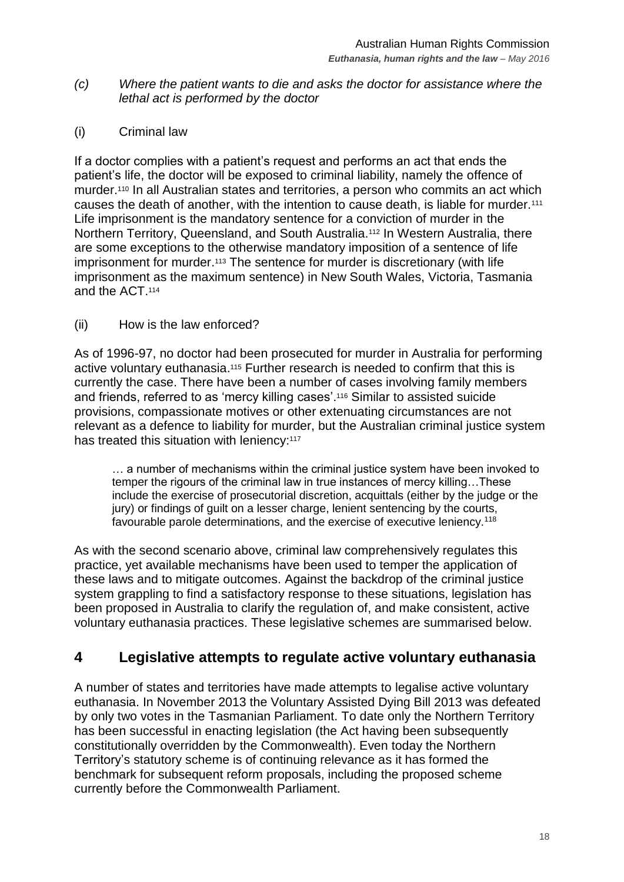- *(c) Where the patient wants to die and asks the doctor for assistance where the lethal act is performed by the doctor*
- (i) Criminal law

If a doctor complies with a patient's request and performs an act that ends the patient's life, the doctor will be exposed to criminal liability, namely the offence of murder.<sup>110</sup> In all Australian states and territories, a person who commits an act which causes the death of another, with the intention to cause death, is liable for murder.<sup>111</sup> Life imprisonment is the mandatory sentence for a conviction of murder in the Northern Territory, Queensland, and South Australia.<sup>112</sup> In Western Australia, there are some exceptions to the otherwise mandatory imposition of a sentence of life imprisonment for murder. <sup>113</sup> The sentence for murder is discretionary (with life imprisonment as the maximum sentence) in New South Wales, Victoria, Tasmania and the ACT.<sup>114</sup>

#### (ii) How is the law enforced?

As of 1996-97, no doctor had been prosecuted for murder in Australia for performing active voluntary euthanasia.<sup>115</sup> Further research is needed to confirm that this is currently the case. There have been a number of cases involving family members and friends, referred to as 'mercy killing cases'.<sup>116</sup> Similar to assisted suicide provisions, compassionate motives or other extenuating circumstances are not relevant as a defence to liability for murder, but the Australian criminal justice system has treated this situation with leniency:<sup>117</sup>

… a number of mechanisms within the criminal justice system have been invoked to temper the rigours of the criminal law in true instances of mercy killing…These include the exercise of prosecutorial discretion, acquittals (either by the judge or the jury) or findings of guilt on a lesser charge, lenient sentencing by the courts, favourable parole determinations, and the exercise of executive leniency.<sup>118</sup>

As with the second scenario above, criminal law comprehensively regulates this practice, yet available mechanisms have been used to temper the application of these laws and to mitigate outcomes. Against the backdrop of the criminal justice system grappling to find a satisfactory response to these situations, legislation has been proposed in Australia to clarify the regulation of, and make consistent, active voluntary euthanasia practices. These legislative schemes are summarised below.

# <span id="page-17-0"></span>**4 Legislative attempts to regulate active voluntary euthanasia**

A number of states and territories have made attempts to legalise active voluntary euthanasia. In November 2013 the Voluntary Assisted Dying Bill 2013 was defeated by only two votes in the Tasmanian Parliament. To date only the Northern Territory has been successful in enacting legislation (the Act having been subsequently constitutionally overridden by the Commonwealth). Even today the Northern Territory's statutory scheme is of continuing relevance as it has formed the benchmark for subsequent reform proposals, including the proposed scheme currently before the Commonwealth Parliament.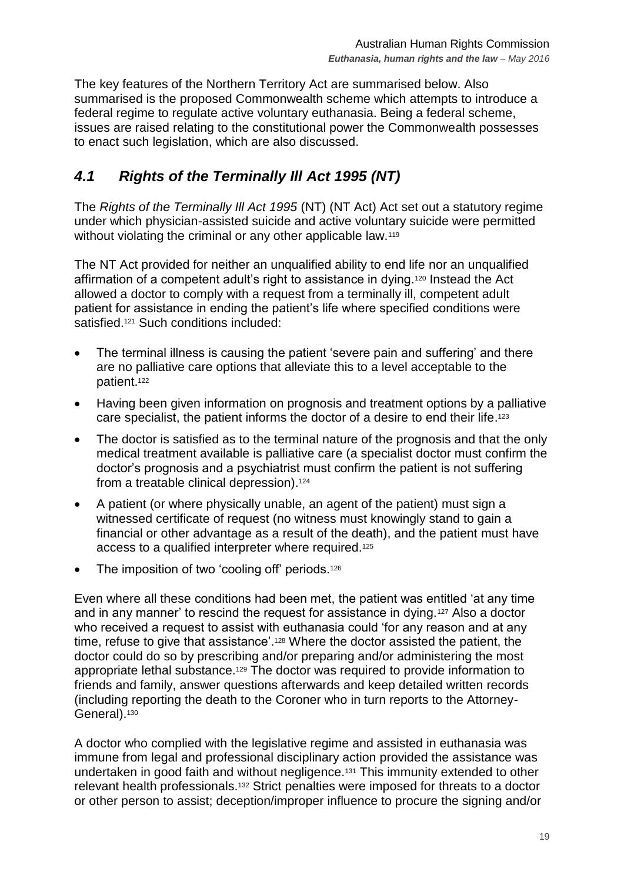The key features of the Northern Territory Act are summarised below. Also summarised is the proposed Commonwealth scheme which attempts to introduce a federal regime to regulate active voluntary euthanasia. Being a federal scheme, issues are raised relating to the constitutional power the Commonwealth possesses to enact such legislation, which are also discussed.

# <span id="page-18-0"></span>*4.1 Rights of the Terminally Ill Act 1995 (NT)*

The *Rights of the Terminally Ill Act 1995* (NT) (NT Act) Act set out a statutory regime under which physician-assisted suicide and active voluntary suicide were permitted without violating the criminal or any other applicable law.<sup>119</sup>

The NT Act provided for neither an unqualified ability to end life nor an unqualified affirmation of a competent adult's right to assistance in dying.<sup>120</sup> Instead the Act allowed a doctor to comply with a request from a terminally ill, competent adult patient for assistance in ending the patient's life where specified conditions were satisfied.<sup>121</sup> Such conditions included:

- The terminal illness is causing the patient 'severe pain and suffering' and there are no palliative care options that alleviate this to a level acceptable to the patient. 122
- Having been given information on prognosis and treatment options by a palliative care specialist, the patient informs the doctor of a desire to end their life.<sup>123</sup>
- The doctor is satisfied as to the terminal nature of the prognosis and that the only medical treatment available is palliative care (a specialist doctor must confirm the doctor's prognosis and a psychiatrist must confirm the patient is not suffering from a treatable clinical depression). 124
- A patient (or where physically unable, an agent of the patient) must sign a witnessed certificate of request (no witness must knowingly stand to gain a financial or other advantage as a result of the death), and the patient must have access to a qualified interpreter where required.<sup>125</sup>
- The imposition of two 'cooling off' periods.<sup>126</sup>

Even where all these conditions had been met, the patient was entitled 'at any time and in any manner' to rescind the request for assistance in dying.<sup>127</sup> Also a doctor who received a request to assist with euthanasia could 'for any reason and at any time, refuse to give that assistance'.<sup>128</sup> Where the doctor assisted the patient, the doctor could do so by prescribing and/or preparing and/or administering the most appropriate lethal substance.<sup>129</sup> The doctor was required to provide information to friends and family, answer questions afterwards and keep detailed written records (including reporting the death to the Coroner who in turn reports to the Attorney-General).<sup>130</sup>

A doctor who complied with the legislative regime and assisted in euthanasia was immune from legal and professional disciplinary action provided the assistance was undertaken in good faith and without negligence.<sup>131</sup> This immunity extended to other relevant health professionals.<sup>132</sup> Strict penalties were imposed for threats to a doctor or other person to assist; deception/improper influence to procure the signing and/or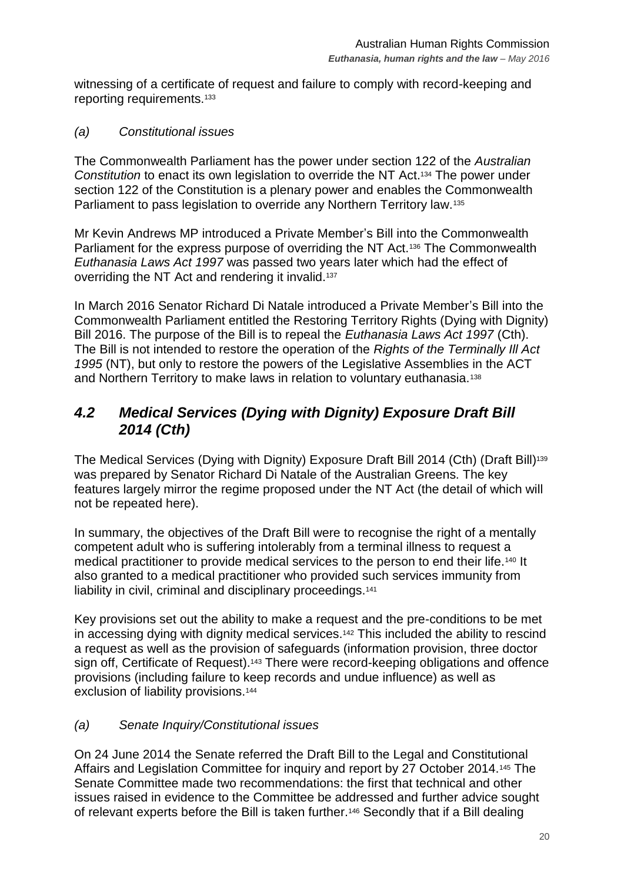witnessing of a certificate of request and failure to comply with record-keeping and reporting requirements.<sup>133</sup>

*(a) Constitutional issues*

The Commonwealth Parliament has the power under section 122 of the *Australian Constitution* to enact its own legislation to override the NT Act.<sup>134</sup> The power under section 122 of the Constitution is a plenary power and enables the Commonwealth Parliament to pass legislation to override any Northern Territory law.<sup>135</sup>

Mr Kevin Andrews MP introduced a Private Member's Bill into the Commonwealth Parliament for the express purpose of overriding the NT Act.<sup>136</sup> The Commonwealth *Euthanasia Laws Act 1997* was passed two years later which had the effect of overriding the NT Act and rendering it invalid.<sup>137</sup>

In March 2016 Senator Richard Di Natale introduced a Private Member's Bill into the Commonwealth Parliament entitled the Restoring Territory Rights (Dying with Dignity) Bill 2016. The purpose of the Bill is to repeal the *Euthanasia Laws Act 1997* (Cth). The Bill is not intended to restore the operation of the *Rights of the Terminally Ill Act 1995* (NT), but only to restore the powers of the Legislative Assemblies in the ACT and Northern Territory to make laws in relation to voluntary euthanasia.<sup>138</sup>

# <span id="page-19-0"></span>*4.2 Medical Services (Dying with Dignity) Exposure Draft Bill 2014 (Cth)*

The Medical Services (Dying with Dignity) Exposure Draft Bill 2014 (Cth) (Draft Bill)<sup>139</sup> was prepared by Senator Richard Di Natale of the Australian Greens. The key features largely mirror the regime proposed under the NT Act (the detail of which will not be repeated here).

In summary, the objectives of the Draft Bill were to recognise the right of a mentally competent adult who is suffering intolerably from a terminal illness to request a medical practitioner to provide medical services to the person to end their life.<sup>140</sup> It also granted to a medical practitioner who provided such services immunity from liability in civil, criminal and disciplinary proceedings.<sup>141</sup>

Key provisions set out the ability to make a request and the pre-conditions to be met in accessing dying with dignity medical services.<sup>142</sup> This included the ability to rescind a request as well as the provision of safeguards (information provision, three doctor sign off, Certificate of Request).<sup>143</sup> There were record-keeping obligations and offence provisions (including failure to keep records and undue influence) as well as exclusion of liability provisions.<sup>144</sup>

## *(a) Senate Inquiry/Constitutional issues*

On 24 June 2014 the Senate referred the Draft Bill to the Legal and Constitutional Affairs and Legislation Committee for inquiry and report by 27 October 2014.<sup>145</sup> The Senate Committee made two recommendations: the first that technical and other issues raised in evidence to the Committee be addressed and further advice sought of relevant experts before the Bill is taken further.<sup>146</sup> Secondly that if a Bill dealing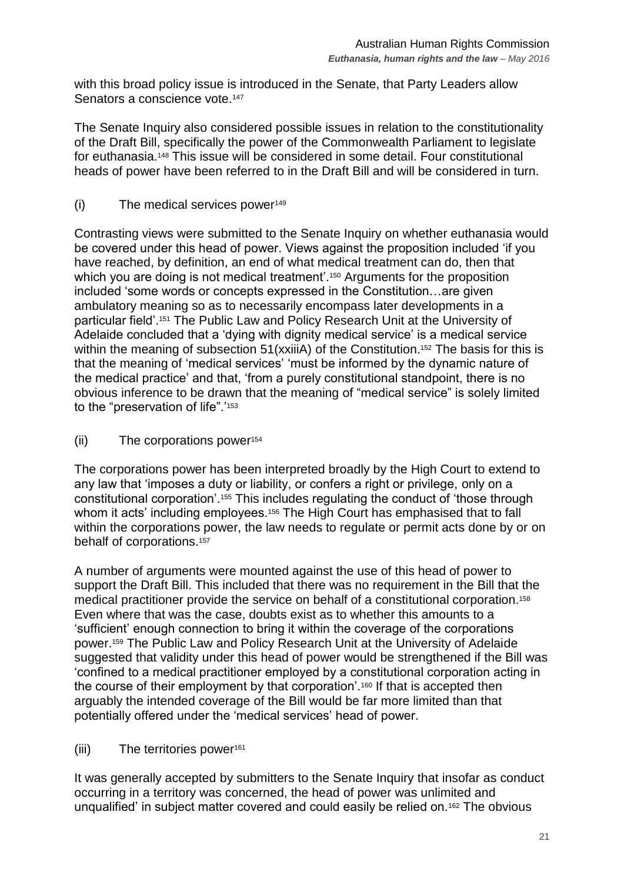with this broad policy issue is introduced in the Senate, that Party Leaders allow Senators a conscience vote.<sup>147</sup>

The Senate Inquiry also considered possible issues in relation to the constitutionality of the Draft Bill, specifically the power of the Commonwealth Parliament to legislate for euthanasia.<sup>148</sup> This issue will be considered in some detail. Four constitutional heads of power have been referred to in the Draft Bill and will be considered in turn.

(i) The medical services power<sup>149</sup>

Contrasting views were submitted to the Senate Inquiry on whether euthanasia would be covered under this head of power. Views against the proposition included 'if you have reached, by definition, an end of what medical treatment can do, then that which you are doing is not medical treatment'.<sup>150</sup> Arguments for the proposition included 'some words or concepts expressed in the Constitution…are given ambulatory meaning so as to necessarily encompass later developments in a particular field'.<sup>151</sup> The Public Law and Policy Research Unit at the University of Adelaide concluded that a 'dying with dignity medical service' is a medical service within the meaning of subsection 51(xxiiiA) of the Constitution.<sup>152</sup> The basis for this is that the meaning of 'medical services' 'must be informed by the dynamic nature of the medical practice' and that, 'from a purely constitutional standpoint, there is no obvious inference to be drawn that the meaning of "medical service" is solely limited to the "preservation of life".<sup>'153</sup>

(ii) The corporations power<sup>154</sup>

The corporations power has been interpreted broadly by the High Court to extend to any law that 'imposes a duty or liability, or confers a right or privilege, only on a constitutional corporation'.<sup>155</sup> This includes regulating the conduct of 'those through whom it acts' including employees.<sup>156</sup> The High Court has emphasised that to fall within the corporations power, the law needs to regulate or permit acts done by or on behalf of corporations.<sup>157</sup>

A number of arguments were mounted against the use of this head of power to support the Draft Bill. This included that there was no requirement in the Bill that the medical practitioner provide the service on behalf of a constitutional corporation.<sup>158</sup> Even where that was the case, doubts exist as to whether this amounts to a 'sufficient' enough connection to bring it within the coverage of the corporations power.<sup>159</sup> The Public Law and Policy Research Unit at the University of Adelaide suggested that validity under this head of power would be strengthened if the Bill was 'confined to a medical practitioner employed by a constitutional corporation acting in the course of their employment by that corporation'.<sup>160</sup> If that is accepted then arguably the intended coverage of the Bill would be far more limited than that potentially offered under the 'medical services' head of power.

(iii) The territories power<sup>161</sup>

It was generally accepted by submitters to the Senate Inquiry that insofar as conduct occurring in a territory was concerned, the head of power was unlimited and unqualified' in subject matter covered and could easily be relied on.<sup>162</sup> The obvious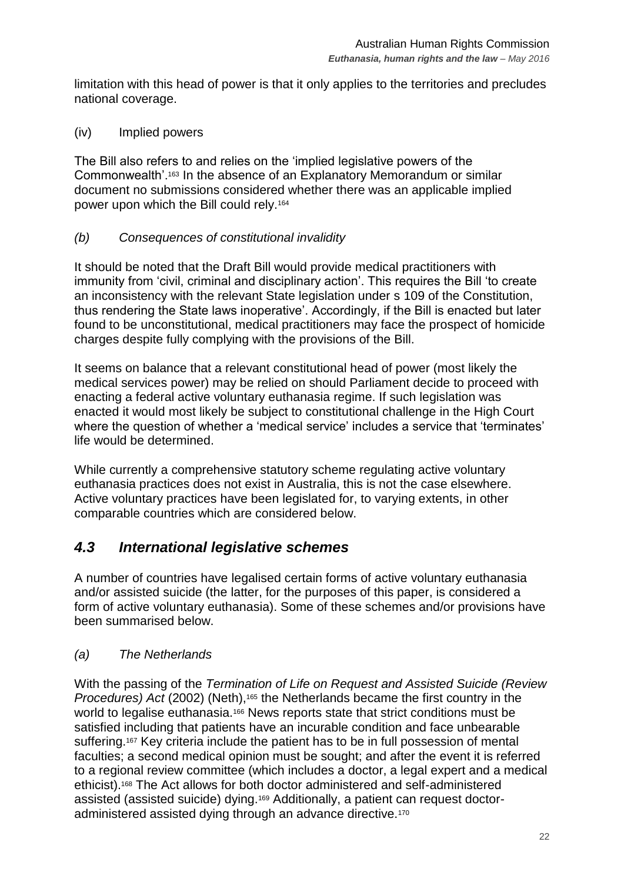limitation with this head of power is that it only applies to the territories and precludes national coverage.

(iv) Implied powers

The Bill also refers to and relies on the 'implied legislative powers of the Commonwealth'.<sup>163</sup> In the absence of an Explanatory Memorandum or similar document no submissions considered whether there was an applicable implied power upon which the Bill could rely.<sup>164</sup>

## *(b) Consequences of constitutional invalidity*

It should be noted that the Draft Bill would provide medical practitioners with immunity from 'civil, criminal and disciplinary action'. This requires the Bill 'to create an inconsistency with the relevant State legislation under s 109 of the Constitution, thus rendering the State laws inoperative'. Accordingly, if the Bill is enacted but later found to be unconstitutional, medical practitioners may face the prospect of homicide charges despite fully complying with the provisions of the Bill.

It seems on balance that a relevant constitutional head of power (most likely the medical services power) may be relied on should Parliament decide to proceed with enacting a federal active voluntary euthanasia regime. If such legislation was enacted it would most likely be subject to constitutional challenge in the High Court where the question of whether a 'medical service' includes a service that 'terminates' life would be determined.

While currently a comprehensive statutory scheme regulating active voluntary euthanasia practices does not exist in Australia, this is not the case elsewhere. Active voluntary practices have been legislated for, to varying extents, in other comparable countries which are considered below.

# <span id="page-21-0"></span>*4.3 International legislative schemes*

A number of countries have legalised certain forms of active voluntary euthanasia and/or assisted suicide (the latter, for the purposes of this paper, is considered a form of active voluntary euthanasia). Some of these schemes and/or provisions have been summarised below.

## *(a) The Netherlands*

With the passing of the *Termination of Life on Request and Assisted Suicide (Review Procedures) Act* (2002) (Neth),<sup>165</sup> the Netherlands became the first country in the world to legalise euthanasia.<sup>166</sup> News reports state that strict conditions must be satisfied including that patients have an incurable condition and face unbearable suffering.<sup>167</sup> Key criteria include the patient has to be in full possession of mental faculties; a second medical opinion must be sought; and after the event it is referred to a regional review committee (which includes a doctor, a legal expert and a medical ethicist).<sup>168</sup> The Act allows for both doctor administered and self-administered assisted (assisted suicide) dying.<sup>169</sup> Additionally, a patient can request doctoradministered assisted dying through an advance directive.170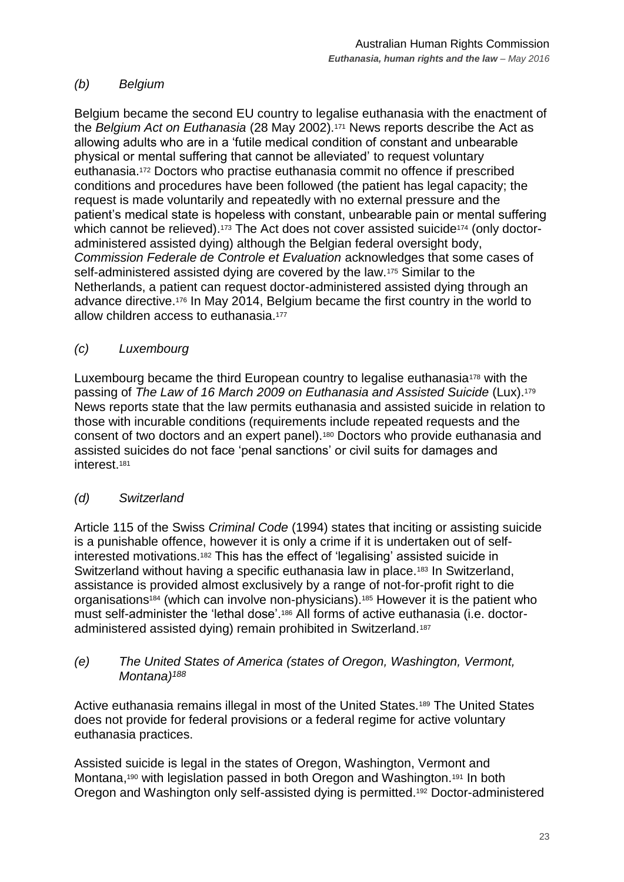## *(b) Belgium*

Belgium became the second EU country to legalise euthanasia with the enactment of the *Belgium Act on Euthanasia* (28 May 2002).<sup>171</sup> News reports describe the Act as allowing adults who are in a 'futile medical condition of constant and unbearable physical or mental suffering that cannot be alleviated' to request voluntary euthanasia.<sup>172</sup> Doctors who practise euthanasia commit no offence if prescribed conditions and procedures have been followed (the patient has legal capacity; the request is made voluntarily and repeatedly with no external pressure and the patient's medical state is hopeless with constant, unbearable pain or mental suffering which cannot be relieved).<sup>173</sup> The Act does not cover assisted suicide<sup>174</sup> (only doctoradministered assisted dying) although the Belgian federal oversight body, *Commission Federale de Controle et Evaluation* acknowledges that some cases of self-administered assisted dying are covered by the law.<sup>175</sup> Similar to the Netherlands, a patient can request doctor-administered assisted dying through an advance directive.<sup>176</sup> In May 2014, Belgium became the first country in the world to allow children access to euthanasia.<sup>177</sup>

## *(c) Luxembourg*

Luxembourg became the third European country to legalise euthanasia<sup>178</sup> with the passing of *The Law of 16 March 2009 on Euthanasia and Assisted Suicide* (Lux).<sup>179</sup> News reports state that the law permits euthanasia and assisted suicide in relation to those with incurable conditions (requirements include repeated requests and the consent of two doctors and an expert panel).<sup>180</sup> Doctors who provide euthanasia and assisted suicides do not face 'penal sanctions' or civil suits for damages and interest.<sup>181</sup>

## *(d) Switzerland*

Article 115 of the Swiss *Criminal Code* (1994) states that inciting or assisting suicide is a punishable offence, however it is only a crime if it is undertaken out of selfinterested motivations.<sup>182</sup> This has the effect of 'legalising' assisted suicide in Switzerland without having a specific euthanasia law in place.<sup>183</sup> In Switzerland, assistance is provided almost exclusively by a range of not-for-profit right to die organisations<sup>184</sup> (which can involve non-physicians).<sup>185</sup> However it is the patient who must self-administer the 'lethal dose'.<sup>186</sup> All forms of active euthanasia (i.e. doctoradministered assisted dying) remain prohibited in Switzerland.<sup>187</sup>

#### *(e) The United States of America (states of Oregon, Washington, Vermont, Montana)<sup>188</sup>*

Active euthanasia remains illegal in most of the United States.<sup>189</sup> The United States does not provide for federal provisions or a federal regime for active voluntary euthanasia practices.

Assisted suicide is legal in the states of Oregon, Washington, Vermont and Montana,<sup>190</sup> with legislation passed in both Oregon and Washington.<sup>191</sup> In both Oregon and Washington only self-assisted dying is permitted.<sup>192</sup> Doctor-administered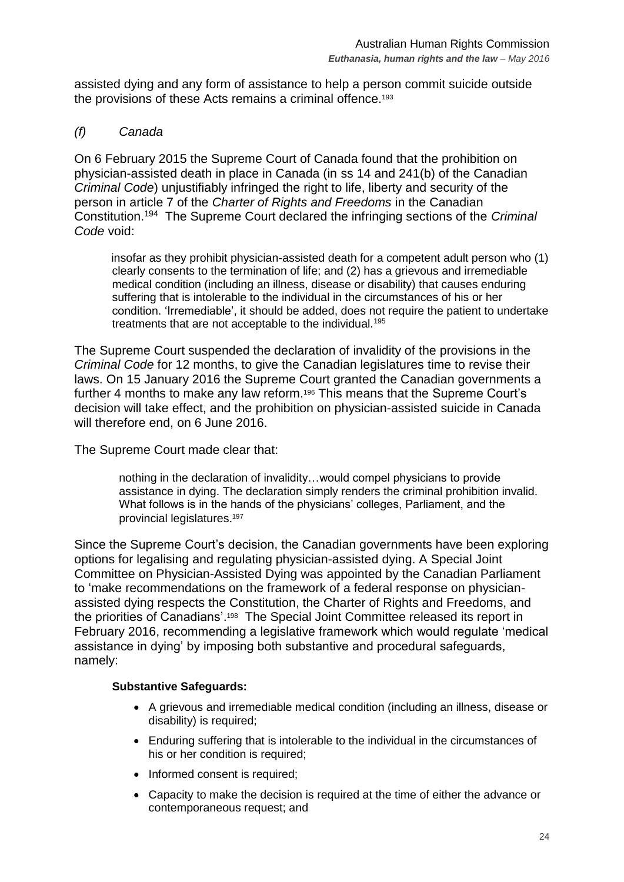assisted dying and any form of assistance to help a person commit suicide outside the provisions of these Acts remains a criminal offence.<sup>193</sup>

#### *(f) Canada*

On 6 February 2015 the Supreme Court of Canada found that the prohibition on physician-assisted death in place in Canada (in ss 14 and 241(b) of the Canadian *Criminal Code*) unjustifiably infringed the right to life, liberty and security of the person in article 7 of the *Charter of Rights and Freedoms* in the Canadian Constitution. 194 The Supreme Court declared the infringing sections of the *Criminal Code* void:

insofar as they prohibit physician-assisted death for a competent adult person who (1) clearly consents to the termination of life; and (2) has a grievous and irremediable medical condition (including an illness, disease or disability) that causes enduring suffering that is intolerable to the individual in the circumstances of his or her condition. 'Irremediable', it should be added, does not require the patient to undertake treatments that are not acceptable to the individual.<sup>195</sup>

The Supreme Court suspended the declaration of invalidity of the provisions in the *Criminal Code* for 12 months, to give the Canadian legislatures time to revise their laws. On 15 January 2016 the Supreme Court granted the Canadian governments a further 4 months to make any law reform.<sup>196</sup> This means that the Supreme Court's decision will take effect, and the prohibition on physician-assisted suicide in Canada will therefore end, on 6 June 2016.

The Supreme Court made clear that:

nothing in the declaration of invalidity…would compel physicians to provide assistance in dying. The declaration simply renders the criminal prohibition invalid. What follows is in the hands of the physicians' colleges, Parliament, and the provincial legislatures. 197

Since the Supreme Court's decision, the Canadian governments have been exploring options for legalising and regulating physician-assisted dying. A Special Joint Committee on Physician-Assisted Dying was appointed by the Canadian Parliament to 'make recommendations on the framework of a federal response on physicianassisted dying respects the Constitution, the Charter of Rights and Freedoms, and the priorities of Canadians'. 198 The Special Joint Committee released its report in February 2016, recommending a legislative framework which would regulate 'medical assistance in dying' by imposing both substantive and procedural safeguards, namely:

#### **Substantive Safeguards:**

- A grievous and irremediable medical condition (including an illness, disease or disability) is required;
- Enduring suffering that is intolerable to the individual in the circumstances of his or her condition is required:
- Informed consent is required;
- Capacity to make the decision is required at the time of either the advance or contemporaneous request; and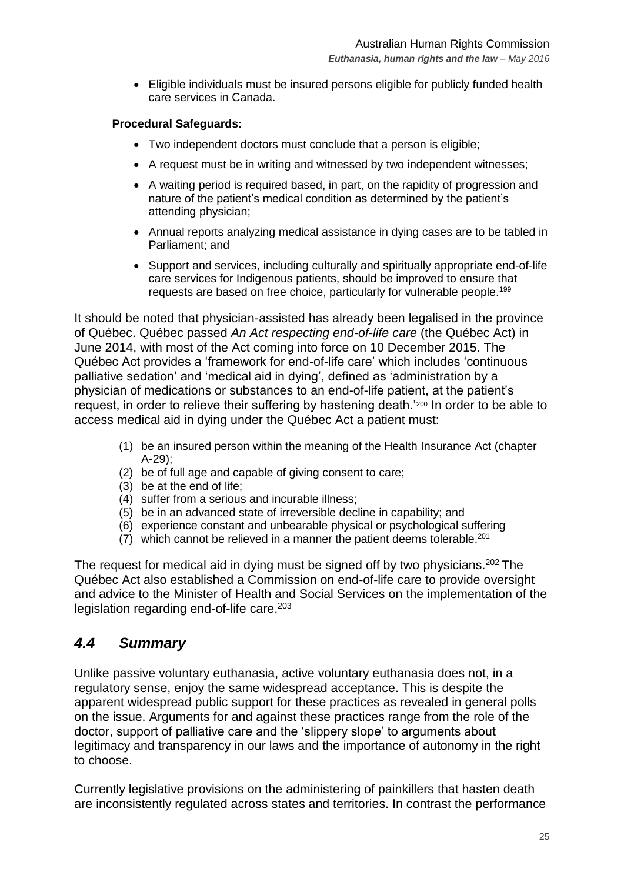Eligible individuals must be insured persons eligible for publicly funded health care services in Canada.

#### **Procedural Safeguards:**

- Two independent doctors must conclude that a person is eligible;
- A request must be in writing and witnessed by two independent witnesses;
- A waiting period is required based, in part, on the rapidity of progression and nature of the patient's medical condition as determined by the patient's attending physician;
- Annual reports analyzing medical assistance in dying cases are to be tabled in Parliament; and
- Support and services, including culturally and spiritually appropriate end-of-life care services for Indigenous patients, should be improved to ensure that requests are based on free choice, particularly for vulnerable people.<sup>199</sup>

It should be noted that physician-assisted has already been legalised in the province of Québec. Québec passed *An Act respecting end-of-life care* (the Québec Act) in June 2014, with most of the Act coming into force on 10 December 2015. The Québec Act provides a 'framework for end-of-life care' which includes 'continuous palliative sedation' and 'medical aid in dying', defined as 'administration by a physician of medications or substances to an end-of-life patient, at the patient's request, in order to relieve their suffering by hastening death.<sup>'200</sup> In order to be able to access medical aid in dying under the Québec Act a patient must:

- (1) be an insured person within the meaning of the Health Insurance Act (chapter A-29);
- (2) be of full age and capable of giving consent to care;
- (3) be at the end of life;
- (4) suffer from a serious and incurable illness;
- (5) be in an advanced state of irreversible decline in capability; and
- (6) experience constant and unbearable physical or psychological suffering
- (7) which cannot be relieved in a manner the patient deems tolerable.<sup>201</sup>

The request for medical aid in dying must be signed off by two physicians.<sup>202</sup> The Québec Act also established a Commission on end-of-life care to provide oversight and advice to the Minister of Health and Social Services on the implementation of the legislation regarding end-of-life care.<sup>203</sup>

## <span id="page-24-0"></span>*4.4 Summary*

Unlike passive voluntary euthanasia, active voluntary euthanasia does not, in a regulatory sense, enjoy the same widespread acceptance. This is despite the apparent widespread public support for these practices as revealed in general polls on the issue. Arguments for and against these practices range from the role of the doctor, support of palliative care and the 'slippery slope' to arguments about legitimacy and transparency in our laws and the importance of autonomy in the right to choose.

Currently legislative provisions on the administering of painkillers that hasten death are inconsistently regulated across states and territories. In contrast the performance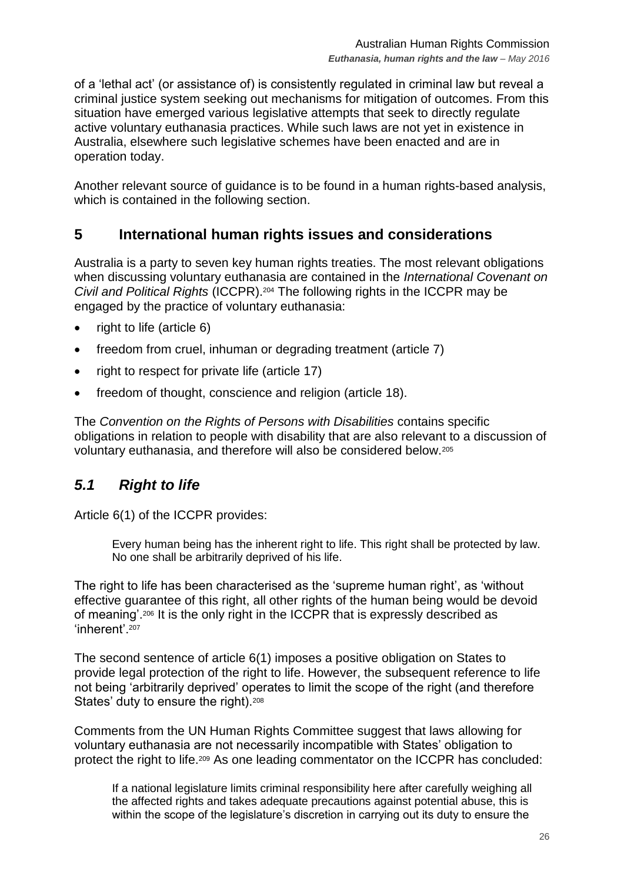of a 'lethal act' (or assistance of) is consistently regulated in criminal law but reveal a criminal justice system seeking out mechanisms for mitigation of outcomes. From this situation have emerged various legislative attempts that seek to directly regulate active voluntary euthanasia practices. While such laws are not yet in existence in Australia, elsewhere such legislative schemes have been enacted and are in operation today.

Another relevant source of guidance is to be found in a human rights-based analysis, which is contained in the following section.

# <span id="page-25-0"></span>**5 International human rights issues and considerations**

Australia is a party to seven key human rights treaties. The most relevant obligations when discussing voluntary euthanasia are contained in the *International Covenant on Civil and Political Rights* (ICCPR).<sup>204</sup> The following rights in the ICCPR may be engaged by the practice of voluntary euthanasia:

- $\bullet$  right to life (article 6)
- freedom from cruel, inhuman or degrading treatment (article 7)
- right to respect for private life (article 17)
- freedom of thought, conscience and religion (article 18).

The *Convention on the Rights of Persons with Disabilities* contains specific obligations in relation to people with disability that are also relevant to a discussion of voluntary euthanasia, and therefore will also be considered below.<sup>205</sup>

# <span id="page-25-1"></span>*5.1 Right to life*

Article 6(1) of the ICCPR provides:

Every human being has the inherent right to life. This right shall be protected by law. No one shall be arbitrarily deprived of his life.

The right to life has been characterised as the 'supreme human right', as 'without effective guarantee of this right, all other rights of the human being would be devoid of meaning'.<sup>206</sup> It is the only right in the ICCPR that is expressly described as 'inherent' 207

The second sentence of article 6(1) imposes a positive obligation on States to provide legal protection of the right to life. However, the subsequent reference to life not being 'arbitrarily deprived' operates to limit the scope of the right (and therefore States' duty to ensure the right).<sup>208</sup>

Comments from the UN Human Rights Committee suggest that laws allowing for voluntary euthanasia are not necessarily incompatible with States' obligation to protect the right to life.<sup>209</sup> As one leading commentator on the ICCPR has concluded:

If a national legislature limits criminal responsibility here after carefully weighing all the affected rights and takes adequate precautions against potential abuse, this is within the scope of the legislature's discretion in carrying out its duty to ensure the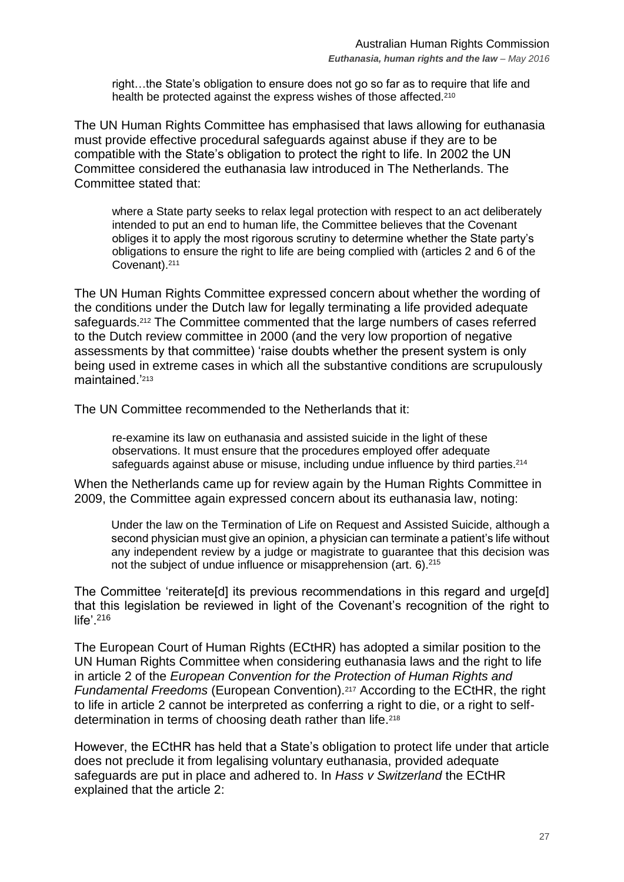right…the State's obligation to ensure does not go so far as to require that life and health be protected against the express wishes of those affected.<sup>210</sup>

The UN Human Rights Committee has emphasised that laws allowing for euthanasia must provide effective procedural safeguards against abuse if they are to be compatible with the State's obligation to protect the right to life. In 2002 the UN Committee considered the euthanasia law introduced in The Netherlands. The Committee stated that:

where a State party seeks to relax legal protection with respect to an act deliberately intended to put an end to human life, the Committee believes that the Covenant obliges it to apply the most rigorous scrutiny to determine whether the State party's obligations to ensure the right to life are being complied with (articles 2 and 6 of the Covenant).<sup>211</sup>

The UN Human Rights Committee expressed concern about whether the wording of the conditions under the Dutch law for legally terminating a life provided adequate safeguards.<sup>212</sup> The Committee commented that the large numbers of cases referred to the Dutch review committee in 2000 (and the very low proportion of negative assessments by that committee) 'raise doubts whether the present system is only being used in extreme cases in which all the substantive conditions are scrupulously maintained<sup>'213</sup>

The UN Committee recommended to the Netherlands that it:

re-examine its law on euthanasia and assisted suicide in the light of these observations. It must ensure that the procedures employed offer adequate safeguards against abuse or misuse, including undue influence by third parties.<sup>214</sup>

When the Netherlands came up for review again by the Human Rights Committee in 2009, the Committee again expressed concern about its euthanasia law, noting:

Under the law on the Termination of Life on Request and Assisted Suicide, although a second physician must give an opinion, a physician can terminate a patient's life without any independent review by a judge or magistrate to guarantee that this decision was not the subject of undue influence or misapprehension (art. 6).<sup>215</sup>

The Committee 'reiterate[d] its previous recommendations in this regard and urge[d] that this legislation be reviewed in light of the Covenant's recognition of the right to life'. 216

The European Court of Human Rights (ECtHR) has adopted a similar position to the UN Human Rights Committee when considering euthanasia laws and the right to life in article 2 of the *European Convention for the Protection of Human Rights and Fundamental Freedoms* (European Convention).<sup>217</sup> According to the ECtHR, the right to life in article 2 cannot be interpreted as conferring a right to die, or a right to selfdetermination in terms of choosing death rather than life.<sup>218</sup>

However, the ECtHR has held that a State's obligation to protect life under that article does not preclude it from legalising voluntary euthanasia, provided adequate safeguards are put in place and adhered to. In *Hass v Switzerland* the ECtHR explained that the article 2: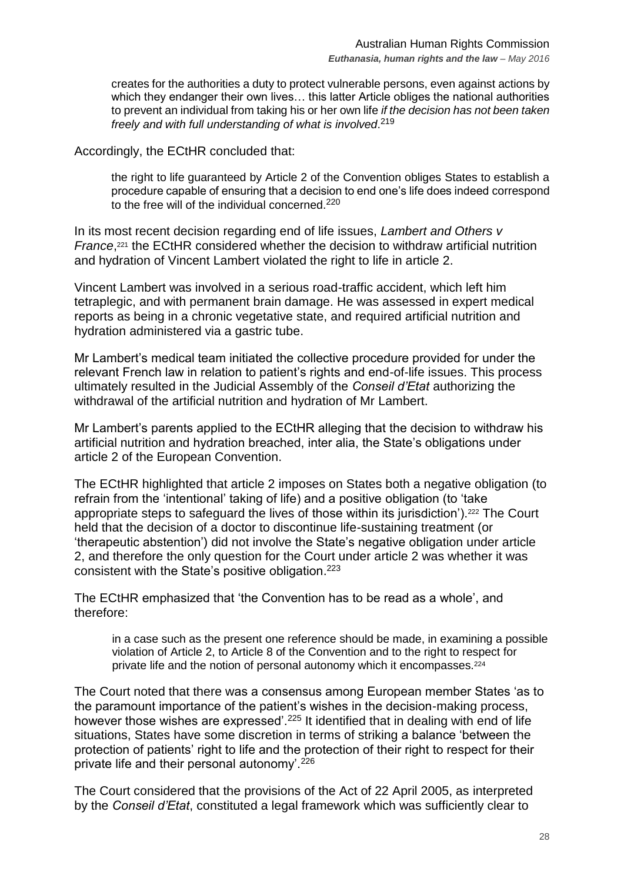creates for the authorities a duty to protect vulnerable persons, even against actions by which they endanger their own lives… this latter Article obliges the national authorities to prevent an individual from taking his or her own life *if the decision has not been taken freely and with full understanding of what is involved*. 219

Accordingly, the ECtHR concluded that:

the right to life guaranteed by Article 2 of the Convention obliges States to establish a procedure capable of ensuring that a decision to end one's life does indeed correspond to the free will of the individual concerned.<sup>220</sup>

In its most recent decision regarding end of life issues, *Lambert and Others v France*,<sup>221</sup> the ECtHR considered whether the decision to withdraw artificial nutrition and hydration of Vincent Lambert violated the right to life in article 2.

Vincent Lambert was involved in a serious road-traffic accident, which left him tetraplegic, and with permanent brain damage. He was assessed in expert medical reports as being in a chronic vegetative state, and required artificial nutrition and hydration administered via a gastric tube.

Mr Lambert's medical team initiated the collective procedure provided for under the relevant French law in relation to patient's rights and end-of-life issues. This process ultimately resulted in the Judicial Assembly of the *Conseil d'Etat* authorizing the withdrawal of the artificial nutrition and hydration of Mr Lambert.

Mr Lambert's parents applied to the ECtHR alleging that the decision to withdraw his artificial nutrition and hydration breached, inter alia, the State's obligations under article 2 of the European Convention.

The ECtHR highlighted that article 2 imposes on States both a negative obligation (to refrain from the 'intentional' taking of life) and a positive obligation (to 'take appropriate steps to safeguard the lives of those within its jurisdiction').<sup>222</sup> The Court held that the decision of a doctor to discontinue life-sustaining treatment (or 'therapeutic abstention') did not involve the State's negative obligation under article 2, and therefore the only question for the Court under article 2 was whether it was consistent with the State's positive obligation. 223

The ECtHR emphasized that 'the Convention has to be read as a whole', and therefore:

in a case such as the present one reference should be made, in examining a possible violation of Article 2, to Article 8 of the Convention and to the right to respect for private life and the notion of personal autonomy which it encompasses.<sup>224</sup>

The Court noted that there was a consensus among European member States 'as to the paramount importance of the patient's wishes in the decision-making process, however those wishes are expressed'.<sup>225</sup> It identified that in dealing with end of life situations, States have some discretion in terms of striking a balance 'between the protection of patients' right to life and the protection of their right to respect for their private life and their personal autonomy'.<sup>226</sup>

The Court considered that the provisions of the Act of 22 April 2005, as interpreted by the *Conseil d'Etat*, constituted a legal framework which was sufficiently clear to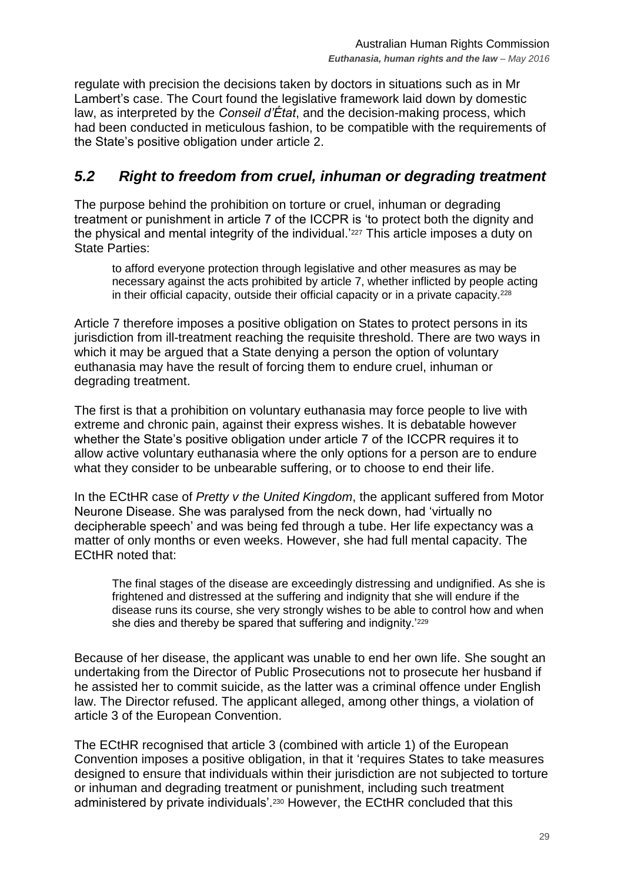regulate with precision the decisions taken by doctors in situations such as in Mr Lambert's case. The Court found the legislative framework laid down by domestic law, as interpreted by the *Conseil d'État*, and the decision-making process, which had been conducted in meticulous fashion, to be compatible with the requirements of the State's positive obligation under article 2.

# <span id="page-28-0"></span>*5.2 Right to freedom from cruel, inhuman or degrading treatment*

The purpose behind the prohibition on torture or cruel, inhuman or degrading treatment or punishment in article 7 of the ICCPR is 'to protect both the dignity and the physical and mental integrity of the individual.<sup>'227</sup> This article imposes a duty on State Parties:

to afford everyone protection through legislative and other measures as may be necessary against the acts prohibited by article 7, whether inflicted by people acting in their official capacity, outside their official capacity or in a private capacity.<sup>228</sup>

Article 7 therefore imposes a positive obligation on States to protect persons in its jurisdiction from ill-treatment reaching the requisite threshold. There are two ways in which it may be argued that a State denying a person the option of voluntary euthanasia may have the result of forcing them to endure cruel, inhuman or degrading treatment.

The first is that a prohibition on voluntary euthanasia may force people to live with extreme and chronic pain, against their express wishes. It is debatable however whether the State's positive obligation under article 7 of the ICCPR requires it to allow active voluntary euthanasia where the only options for a person are to endure what they consider to be unbearable suffering, or to choose to end their life.

In the ECtHR case of *Pretty v the United Kingdom*, the applicant suffered from Motor Neurone Disease. She was paralysed from the neck down, had 'virtually no decipherable speech' and was being fed through a tube. Her life expectancy was a matter of only months or even weeks. However, she had full mental capacity. The ECtHR noted that:

The final stages of the disease are exceedingly distressing and undignified. As she is frightened and distressed at the suffering and indignity that she will endure if the disease runs its course, she very strongly wishes to be able to control how and when she dies and thereby be spared that suffering and indignity.'229

Because of her disease, the applicant was unable to end her own life. She sought an undertaking from the Director of Public Prosecutions not to prosecute her husband if he assisted her to commit suicide, as the latter was a criminal offence under English law. The Director refused. The applicant alleged, among other things, a violation of article 3 of the European Convention.

The ECtHR recognised that article 3 (combined with article 1) of the European Convention imposes a positive obligation, in that it 'requires States to take measures designed to ensure that individuals within their jurisdiction are not subjected to torture or inhuman and degrading treatment or punishment, including such treatment administered by private individuals'.<sup>230</sup> However, the ECtHR concluded that this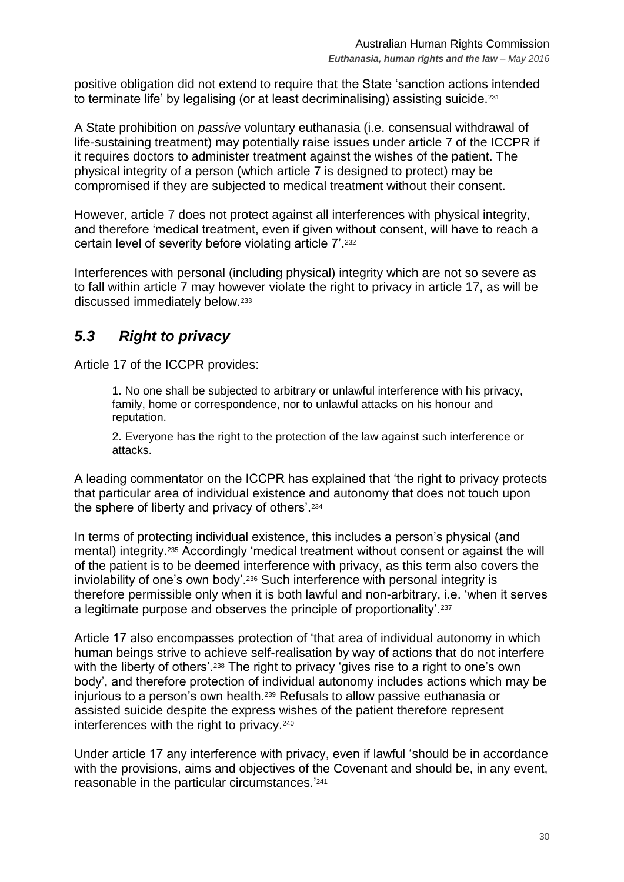positive obligation did not extend to require that the State 'sanction actions intended to terminate life' by legalising (or at least decriminalising) assisting suicide.<sup>231</sup>

A State prohibition on *passive* voluntary euthanasia (i.e. consensual withdrawal of life-sustaining treatment) may potentially raise issues under article 7 of the ICCPR if it requires doctors to administer treatment against the wishes of the patient. The physical integrity of a person (which article 7 is designed to protect) may be compromised if they are subjected to medical treatment without their consent.

However, article 7 does not protect against all interferences with physical integrity, and therefore 'medical treatment, even if given without consent, will have to reach a certain level of severity before violating article 7'.<sup>232</sup>

Interferences with personal (including physical) integrity which are not so severe as to fall within article 7 may however violate the right to privacy in article 17, as will be discussed immediately below.<sup>233</sup>

# <span id="page-29-0"></span>*5.3 Right to privacy*

Article 17 of the ICCPR provides:

1. No one shall be subjected to arbitrary or unlawful interference with his privacy, family, home or correspondence, nor to unlawful attacks on his honour and reputation.

2. Everyone has the right to the protection of the law against such interference or attacks.

A leading commentator on the ICCPR has explained that 'the right to privacy protects that particular area of individual existence and autonomy that does not touch upon the sphere of liberty and privacy of others'.<sup>234</sup>

In terms of protecting individual existence, this includes a person's physical (and mental) integrity.<sup>235</sup> Accordingly 'medical treatment without consent or against the will of the patient is to be deemed interference with privacy, as this term also covers the inviolability of one's own body'.<sup>236</sup> Such interference with personal integrity is therefore permissible only when it is both lawful and non-arbitrary, i.e. 'when it serves a legitimate purpose and observes the principle of proportionality'.<sup>237</sup>

Article 17 also encompasses protection of 'that area of individual autonomy in which human beings strive to achieve self-realisation by way of actions that do not interfere with the liberty of others'.<sup>238</sup> The right to privacy 'gives rise to a right to one's own body', and therefore protection of individual autonomy includes actions which may be injurious to a person's own health.<sup>239</sup> Refusals to allow passive euthanasia or assisted suicide despite the express wishes of the patient therefore represent interferences with the right to privacy.<sup>240</sup>

Under article 17 any interference with privacy, even if lawful 'should be in accordance with the provisions, aims and objectives of the Covenant and should be, in any event, reasonable in the particular circumstances.' 241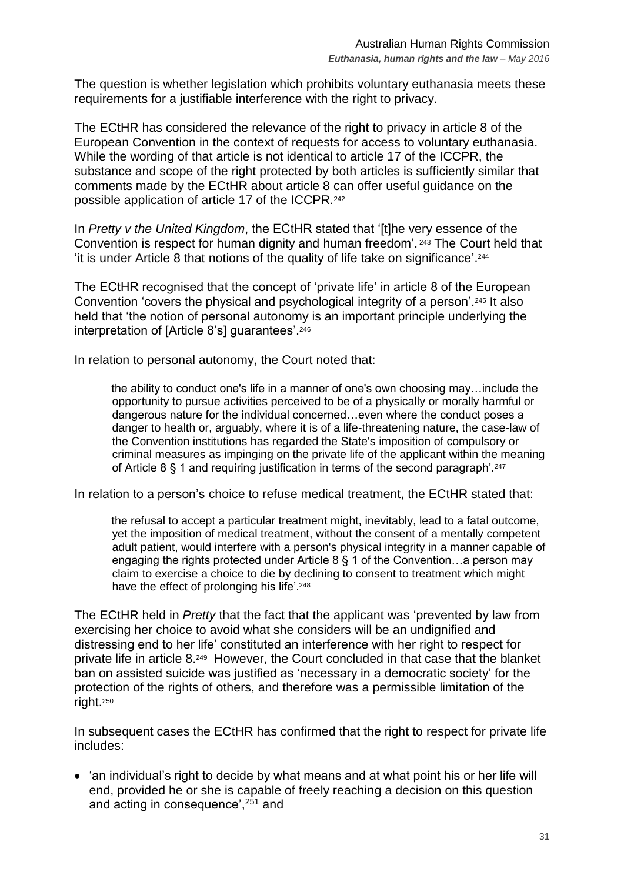The question is whether legislation which prohibits voluntary euthanasia meets these requirements for a justifiable interference with the right to privacy.

The ECtHR has considered the relevance of the right to privacy in article 8 of the European Convention in the context of requests for access to voluntary euthanasia. While the wording of that article is not identical to article 17 of the ICCPR, the substance and scope of the right protected by both articles is sufficiently similar that comments made by the ECtHR about article 8 can offer useful guidance on the possible application of article 17 of the ICCPR.<sup>242</sup>

In *Pretty v the United Kingdom*, the ECtHR stated that '[t]he very essence of the Convention is respect for human dignity and human freedom'. <sup>243</sup> The Court held that 'it is under Article 8 that notions of the quality of life take on significance'. 244

The ECtHR recognised that the concept of 'private life' in article 8 of the European Convention 'covers the physical and psychological integrity of a person'.<sup>245</sup> It also held that 'the notion of personal autonomy is an important principle underlying the interpretation of [Article 8's] guarantees'.<sup>246</sup>

In relation to personal autonomy, the Court noted that:

the ability to conduct one's life in a manner of one's own choosing may…include the opportunity to pursue activities perceived to be of a physically or morally harmful or dangerous nature for the individual concerned…even where the conduct poses a danger to health or, arguably, where it is of a life-threatening nature, the case-law of the Convention institutions has regarded the State's imposition of compulsory or criminal measures as impinging on the private life of the applicant within the meaning of Article 8 § 1 and requiring justification in terms of the second paragraph'.<sup>247</sup>

In relation to a person's choice to refuse medical treatment, the ECtHR stated that:

the refusal to accept a particular treatment might, inevitably, lead to a fatal outcome, yet the imposition of medical treatment, without the consent of a mentally competent adult patient, would interfere with a person's physical integrity in a manner capable of engaging the rights protected under Article 8 § 1 of the Convention…a person may claim to exercise a choice to die by declining to consent to treatment which might have the effect of prolonging his life'.<sup>248</sup>

The ECtHR held in *Pretty* that the fact that the applicant was 'prevented by law from exercising her choice to avoid what she considers will be an undignified and distressing end to her life' constituted an interference with her right to respect for private life in article 8. 249 However, the Court concluded in that case that the blanket ban on assisted suicide was justified as 'necessary in a democratic society' for the protection of the rights of others, and therefore was a permissible limitation of the right. 250

In subsequent cases the ECtHR has confirmed that the right to respect for private life includes:

 'an individual's right to decide by what means and at what point his or her life will end, provided he or she is capable of freely reaching a decision on this question and acting in consequence',<sup>251</sup> and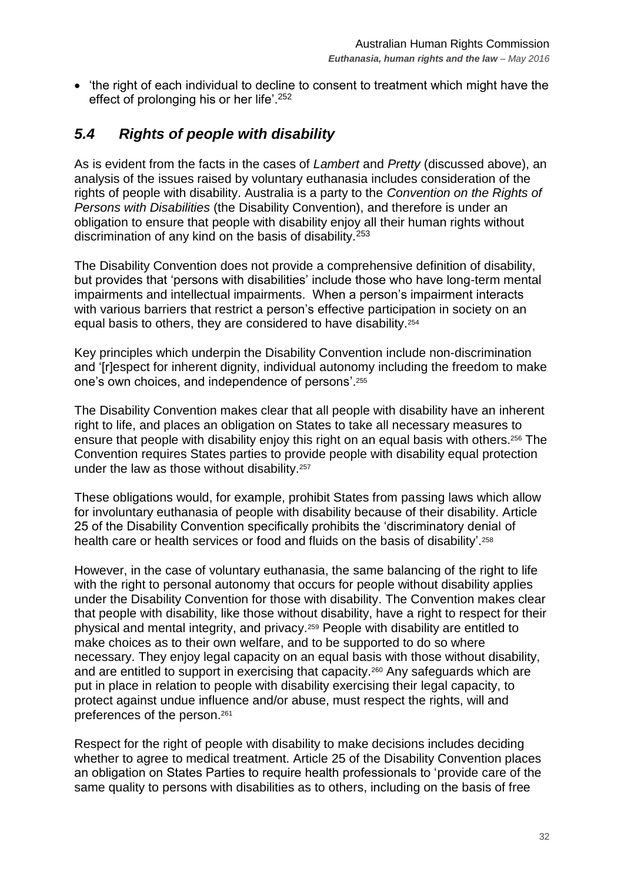'the right of each individual to decline to consent to treatment which might have the effect of prolonging his or her life'.<sup>252</sup>

# <span id="page-31-0"></span>*5.4 Rights of people with disability*

As is evident from the facts in the cases of *Lambert* and *Pretty* (discussed above), an analysis of the issues raised by voluntary euthanasia includes consideration of the rights of people with disability. Australia is a party to the *Convention on the Rights of Persons with Disabilities* (the Disability Convention), and therefore is under an obligation to ensure that people with disability enjoy all their human rights without discrimination of any kind on the basis of disability.<sup>253</sup>

The Disability Convention does not provide a comprehensive definition of disability, but provides that 'persons with disabilities' include those who have long-term mental impairments and intellectual impairments. When a person's impairment interacts with various barriers that restrict a person's effective participation in society on an equal basis to others, they are considered to have disability.<sup>254</sup>

Key principles which underpin the Disability Convention include non-discrimination and '[r]espect for inherent dignity, individual autonomy including the freedom to make one's own choices, and independence of persons'. 255

The Disability Convention makes clear that all people with disability have an inherent right to life, and places an obligation on States to take all necessary measures to ensure that people with disability enjoy this right on an equal basis with others.<sup>256</sup> The Convention requires States parties to provide people with disability equal protection under the law as those without disability.<sup>257</sup>

These obligations would, for example, prohibit States from passing laws which allow for involuntary euthanasia of people with disability because of their disability. Article 25 of the Disability Convention specifically prohibits the 'discriminatory denial of health care or health services or food and fluids on the basis of disability'. 258

However, in the case of voluntary euthanasia, the same balancing of the right to life with the right to personal autonomy that occurs for people without disability applies under the Disability Convention for those with disability. The Convention makes clear that people with disability, like those without disability, have a right to respect for their physical and mental integrity, and privacy.<sup>259</sup> People with disability are entitled to make choices as to their own welfare, and to be supported to do so where necessary. They enjoy legal capacity on an equal basis with those without disability, and are entitled to support in exercising that capacity.<sup>260</sup> Any safeguards which are put in place in relation to people with disability exercising their legal capacity, to protect against undue influence and/or abuse, must respect the rights, will and preferences of the person.<sup>261</sup>

Respect for the right of people with disability to make decisions includes deciding whether to agree to medical treatment. Article 25 of the Disability Convention places an obligation on States Parties to require health professionals to 'provide care of the same quality to persons with disabilities as to others, including on the basis of free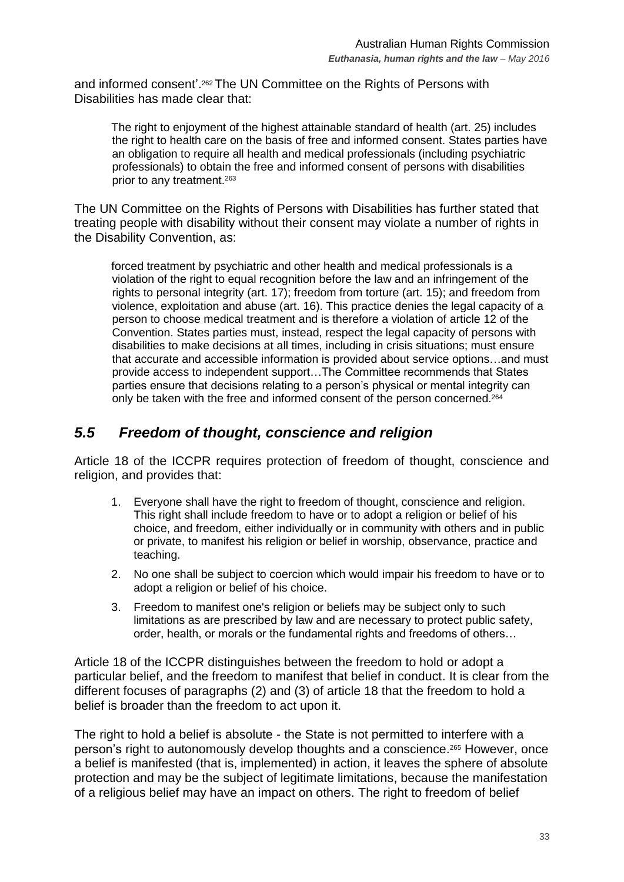and informed consent'. <sup>262</sup>The UN Committee on the Rights of Persons with Disabilities has made clear that:

The right to enjoyment of the highest attainable standard of health (art. 25) includes the right to health care on the basis of free and informed consent. States parties have an obligation to require all health and medical professionals (including psychiatric professionals) to obtain the free and informed consent of persons with disabilities prior to any treatment.<sup>263</sup>

The UN Committee on the Rights of Persons with Disabilities has further stated that treating people with disability without their consent may violate a number of rights in the Disability Convention, as:

forced treatment by psychiatric and other health and medical professionals is a violation of the right to equal recognition before the law and an infringement of the rights to personal integrity (art. 17); freedom from torture (art. 15); and freedom from violence, exploitation and abuse (art. 16). This practice denies the legal capacity of a person to choose medical treatment and is therefore a violation of article 12 of the Convention. States parties must, instead, respect the legal capacity of persons with disabilities to make decisions at all times, including in crisis situations; must ensure that accurate and accessible information is provided about service options…and must provide access to independent support…The Committee recommends that States parties ensure that decisions relating to a person's physical or mental integrity can only be taken with the free and informed consent of the person concerned.<sup>264</sup>

## <span id="page-32-0"></span>*5.5 Freedom of thought, conscience and religion*

Article 18 of the ICCPR requires protection of freedom of thought, conscience and religion, and provides that:

- 1. Everyone shall have the right to freedom of thought, conscience and religion. This right shall include freedom to have or to adopt a religion or belief of his choice, and freedom, either individually or in community with others and in public or private, to manifest his religion or belief in worship, observance, practice and teaching.
- 2. No one shall be subject to coercion which would impair his freedom to have or to adopt a religion or belief of his choice.
- 3. Freedom to manifest one's religion or beliefs may be subject only to such limitations as are prescribed by law and are necessary to protect public safety, order, health, or morals or the fundamental rights and freedoms of others…

Article 18 of the ICCPR distinguishes between the freedom to hold or adopt a particular belief, and the freedom to manifest that belief in conduct. It is clear from the different focuses of paragraphs (2) and (3) of article 18 that the freedom to hold a belief is broader than the freedom to act upon it.

The right to hold a belief is absolute - the State is not permitted to interfere with a person's right to autonomously develop thoughts and a conscience.<sup>265</sup> However, once a belief is manifested (that is, implemented) in action, it leaves the sphere of absolute protection and may be the subject of legitimate limitations, because the manifestation of a religious belief may have an impact on others. The right to freedom of belief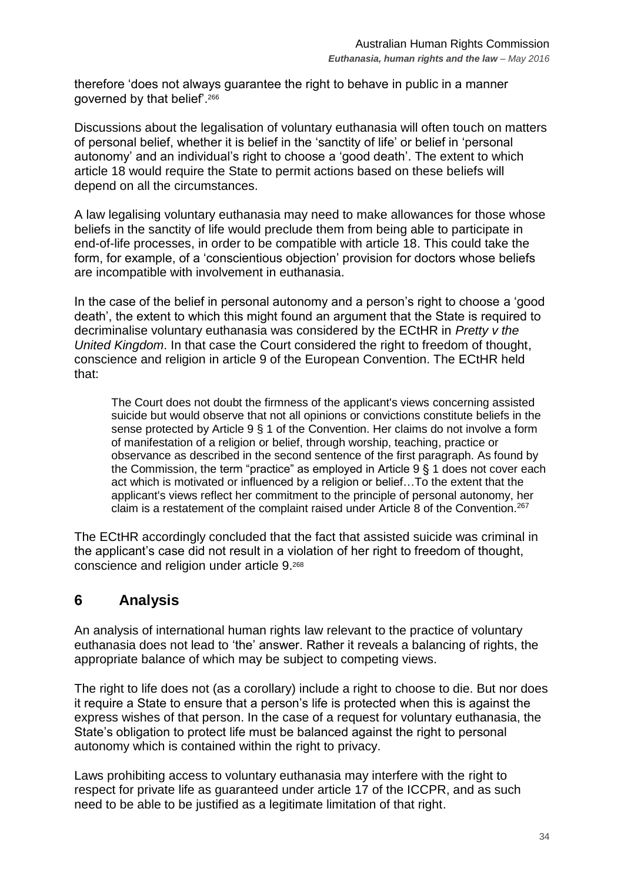therefore 'does not always guarantee the right to behave in public in a manner governed by that belief'.<sup>266</sup>

Discussions about the legalisation of voluntary euthanasia will often touch on matters of personal belief, whether it is belief in the 'sanctity of life' or belief in 'personal autonomy' and an individual's right to choose a 'good death'. The extent to which article 18 would require the State to permit actions based on these beliefs will depend on all the circumstances.

A law legalising voluntary euthanasia may need to make allowances for those whose beliefs in the sanctity of life would preclude them from being able to participate in end-of-life processes, in order to be compatible with article 18. This could take the form, for example, of a 'conscientious objection' provision for doctors whose beliefs are incompatible with involvement in euthanasia.

In the case of the belief in personal autonomy and a person's right to choose a 'good death', the extent to which this might found an argument that the State is required to decriminalise voluntary euthanasia was considered by the ECtHR in *Pretty v the United Kingdom*. In that case the Court considered the right to freedom of thought, conscience and religion in article 9 of the European Convention. The ECtHR held that:

The Court does not doubt the firmness of the applicant's views concerning assisted suicide but would observe that not all opinions or convictions constitute beliefs in the sense protected by Article 9 § 1 of the Convention. Her claims do not involve a form of manifestation of a religion or belief, through worship, teaching, practice or observance as described in the second sentence of the first paragraph. As found by the Commission, the term "practice" as employed in Article 9 § 1 does not cover each act which is motivated or influenced by a religion or belief…To the extent that the applicant's views reflect her commitment to the principle of personal autonomy, her claim is a restatement of the complaint raised under Article 8 of the Convention.<sup>267</sup>

The ECtHR accordingly concluded that the fact that assisted suicide was criminal in the applicant's case did not result in a violation of her right to freedom of thought, conscience and religion under article 9. 268

# <span id="page-33-0"></span>**6 Analysis**

An analysis of international human rights law relevant to the practice of voluntary euthanasia does not lead to 'the' answer. Rather it reveals a balancing of rights, the appropriate balance of which may be subject to competing views.

The right to life does not (as a corollary) include a right to choose to die. But nor does it require a State to ensure that a person's life is protected when this is against the express wishes of that person. In the case of a request for voluntary euthanasia, the State's obligation to protect life must be balanced against the right to personal autonomy which is contained within the right to privacy.

Laws prohibiting access to voluntary euthanasia may interfere with the right to respect for private life as guaranteed under article 17 of the ICCPR, and as such need to be able to be justified as a legitimate limitation of that right.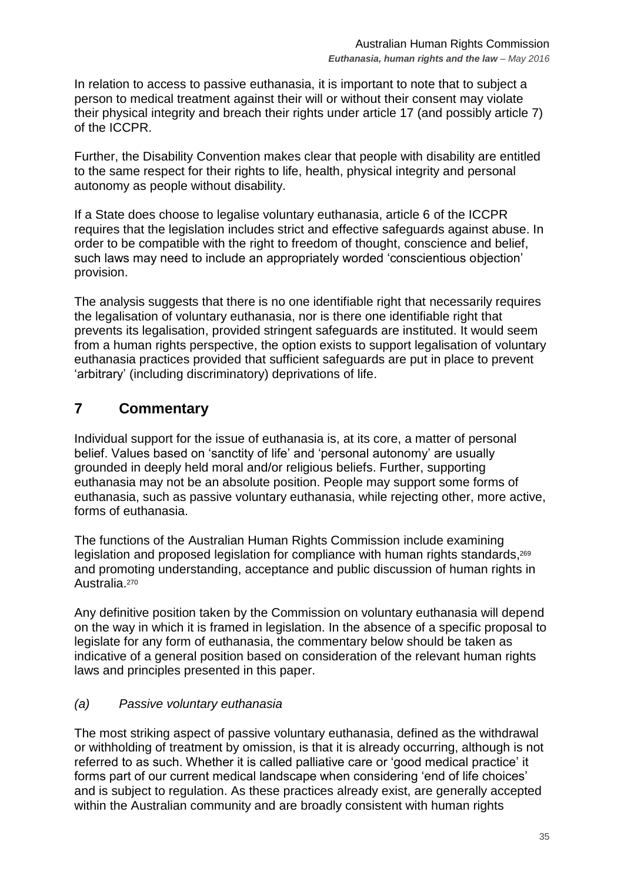In relation to access to passive euthanasia, it is important to note that to subject a person to medical treatment against their will or without their consent may violate their physical integrity and breach their rights under article 17 (and possibly article 7) of the ICCPR.

Further, the Disability Convention makes clear that people with disability are entitled to the same respect for their rights to life, health, physical integrity and personal autonomy as people without disability.

If a State does choose to legalise voluntary euthanasia, article 6 of the ICCPR requires that the legislation includes strict and effective safeguards against abuse. In order to be compatible with the right to freedom of thought, conscience and belief, such laws may need to include an appropriately worded 'conscientious objection' provision.

The analysis suggests that there is no one identifiable right that necessarily requires the legalisation of voluntary euthanasia, nor is there one identifiable right that prevents its legalisation, provided stringent safeguards are instituted. It would seem from a human rights perspective, the option exists to support legalisation of voluntary euthanasia practices provided that sufficient safeguards are put in place to prevent 'arbitrary' (including discriminatory) deprivations of life.

# <span id="page-34-0"></span>**7 Commentary**

Individual support for the issue of euthanasia is, at its core, a matter of personal belief. Values based on 'sanctity of life' and 'personal autonomy' are usually grounded in deeply held moral and/or religious beliefs. Further, supporting euthanasia may not be an absolute position. People may support some forms of euthanasia, such as passive voluntary euthanasia, while rejecting other, more active, forms of euthanasia.

The functions of the Australian Human Rights Commission include examining legislation and proposed legislation for compliance with human rights standards,<sup>269</sup> and promoting understanding, acceptance and public discussion of human rights in Australia.<sup>270</sup>

Any definitive position taken by the Commission on voluntary euthanasia will depend on the way in which it is framed in legislation. In the absence of a specific proposal to legislate for any form of euthanasia, the commentary below should be taken as indicative of a general position based on consideration of the relevant human rights laws and principles presented in this paper.

## *(a) Passive voluntary euthanasia*

The most striking aspect of passive voluntary euthanasia, defined as the withdrawal or withholding of treatment by omission, is that it is already occurring, although is not referred to as such. Whether it is called palliative care or 'good medical practice' it forms part of our current medical landscape when considering 'end of life choices' and is subject to regulation. As these practices already exist, are generally accepted within the Australian community and are broadly consistent with human rights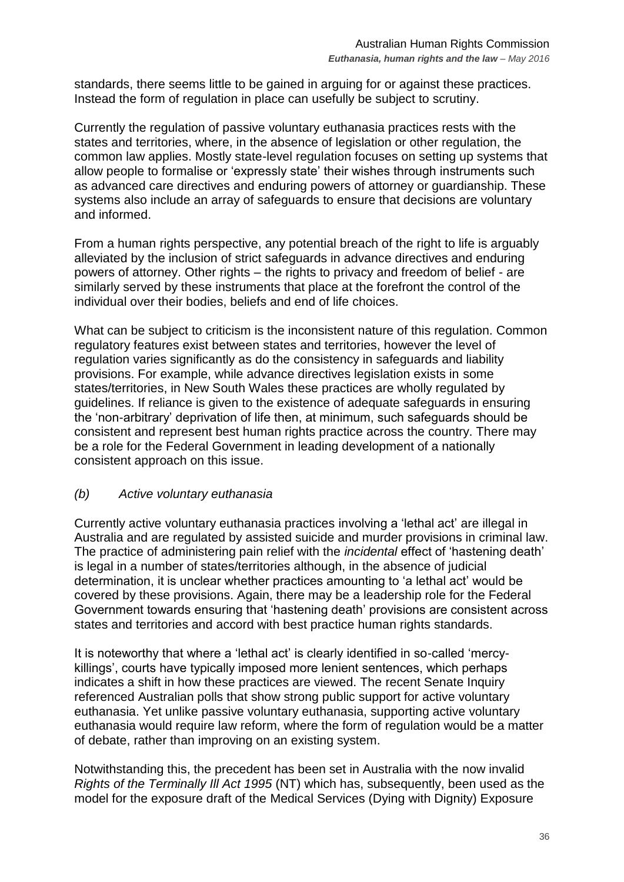standards, there seems little to be gained in arguing for or against these practices. Instead the form of regulation in place can usefully be subject to scrutiny.

Currently the regulation of passive voluntary euthanasia practices rests with the states and territories, where, in the absence of legislation or other regulation, the common law applies. Mostly state-level regulation focuses on setting up systems that allow people to formalise or 'expressly state' their wishes through instruments such as advanced care directives and enduring powers of attorney or guardianship. These systems also include an array of safeguards to ensure that decisions are voluntary and informed.

From a human rights perspective, any potential breach of the right to life is arguably alleviated by the inclusion of strict safeguards in advance directives and enduring powers of attorney. Other rights – the rights to privacy and freedom of belief - are similarly served by these instruments that place at the forefront the control of the individual over their bodies, beliefs and end of life choices.

What can be subject to criticism is the inconsistent nature of this regulation. Common regulatory features exist between states and territories, however the level of regulation varies significantly as do the consistency in safeguards and liability provisions. For example, while advance directives legislation exists in some states/territories, in New South Wales these practices are wholly regulated by guidelines. If reliance is given to the existence of adequate safeguards in ensuring the 'non-arbitrary' deprivation of life then, at minimum, such safeguards should be consistent and represent best human rights practice across the country. There may be a role for the Federal Government in leading development of a nationally consistent approach on this issue.

#### *(b) Active voluntary euthanasia*

Currently active voluntary euthanasia practices involving a 'lethal act' are illegal in Australia and are regulated by assisted suicide and murder provisions in criminal law. The practice of administering pain relief with the *incidental* effect of 'hastening death' is legal in a number of states/territories although, in the absence of judicial determination, it is unclear whether practices amounting to 'a lethal act' would be covered by these provisions. Again, there may be a leadership role for the Federal Government towards ensuring that 'hastening death' provisions are consistent across states and territories and accord with best practice human rights standards.

It is noteworthy that where a 'lethal act' is clearly identified in so-called 'mercykillings', courts have typically imposed more lenient sentences, which perhaps indicates a shift in how these practices are viewed. The recent Senate Inquiry referenced Australian polls that show strong public support for active voluntary euthanasia. Yet unlike passive voluntary euthanasia, supporting active voluntary euthanasia would require law reform, where the form of regulation would be a matter of debate, rather than improving on an existing system.

Notwithstanding this, the precedent has been set in Australia with the now invalid *Rights of the Terminally Ill Act 1995* (NT) which has, subsequently, been used as the model for the exposure draft of the Medical Services (Dying with Dignity) Exposure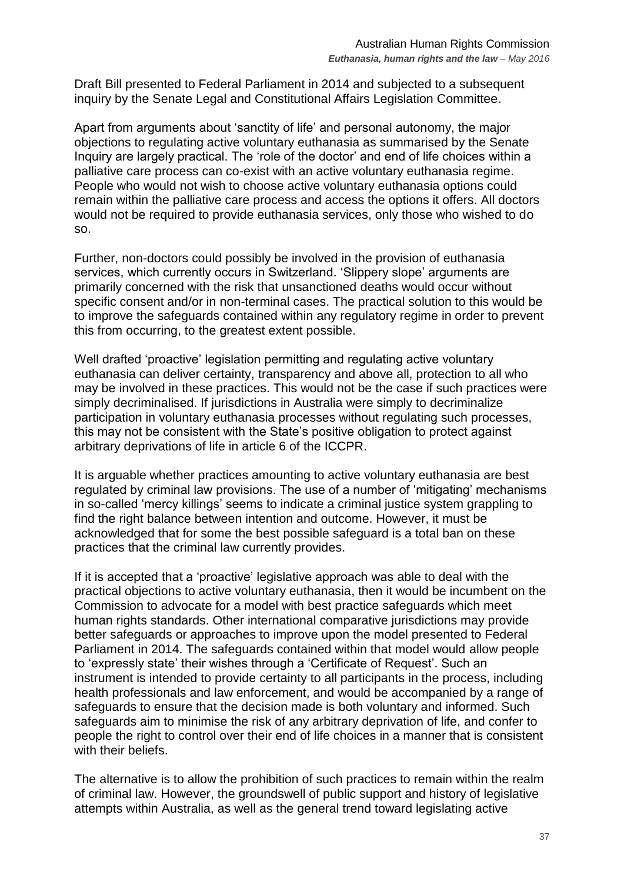Draft Bill presented to Federal Parliament in 2014 and subjected to a subsequent inquiry by the Senate Legal and Constitutional Affairs Legislation Committee.

Apart from arguments about 'sanctity of life' and personal autonomy, the major objections to regulating active voluntary euthanasia as summarised by the Senate Inquiry are largely practical. The 'role of the doctor' and end of life choices within a palliative care process can co-exist with an active voluntary euthanasia regime. People who would not wish to choose active voluntary euthanasia options could remain within the palliative care process and access the options it offers. All doctors would not be required to provide euthanasia services, only those who wished to do so.

Further, non-doctors could possibly be involved in the provision of euthanasia services, which currently occurs in Switzerland. 'Slippery slope' arguments are primarily concerned with the risk that unsanctioned deaths would occur without specific consent and/or in non-terminal cases. The practical solution to this would be to improve the safeguards contained within any regulatory regime in order to prevent this from occurring, to the greatest extent possible.

Well drafted 'proactive' legislation permitting and regulating active voluntary euthanasia can deliver certainty, transparency and above all, protection to all who may be involved in these practices. This would not be the case if such practices were simply decriminalised. If jurisdictions in Australia were simply to decriminalize participation in voluntary euthanasia processes without regulating such processes, this may not be consistent with the State's positive obligation to protect against arbitrary deprivations of life in article 6 of the ICCPR.

It is arguable whether practices amounting to active voluntary euthanasia are best regulated by criminal law provisions. The use of a number of 'mitigating' mechanisms in so-called 'mercy killings' seems to indicate a criminal justice system grappling to find the right balance between intention and outcome. However, it must be acknowledged that for some the best possible safeguard is a total ban on these practices that the criminal law currently provides.

If it is accepted that a 'proactive' legislative approach was able to deal with the practical objections to active voluntary euthanasia, then it would be incumbent on the Commission to advocate for a model with best practice safeguards which meet human rights standards. Other international comparative jurisdictions may provide better safeguards or approaches to improve upon the model presented to Federal Parliament in 2014. The safeguards contained within that model would allow people to 'expressly state' their wishes through a 'Certificate of Request'. Such an instrument is intended to provide certainty to all participants in the process, including health professionals and law enforcement, and would be accompanied by a range of safeguards to ensure that the decision made is both voluntary and informed. Such safeguards aim to minimise the risk of any arbitrary deprivation of life, and confer to people the right to control over their end of life choices in a manner that is consistent with their beliefs.

The alternative is to allow the prohibition of such practices to remain within the realm of criminal law. However, the groundswell of public support and history of legislative attempts within Australia, as well as the general trend toward legislating active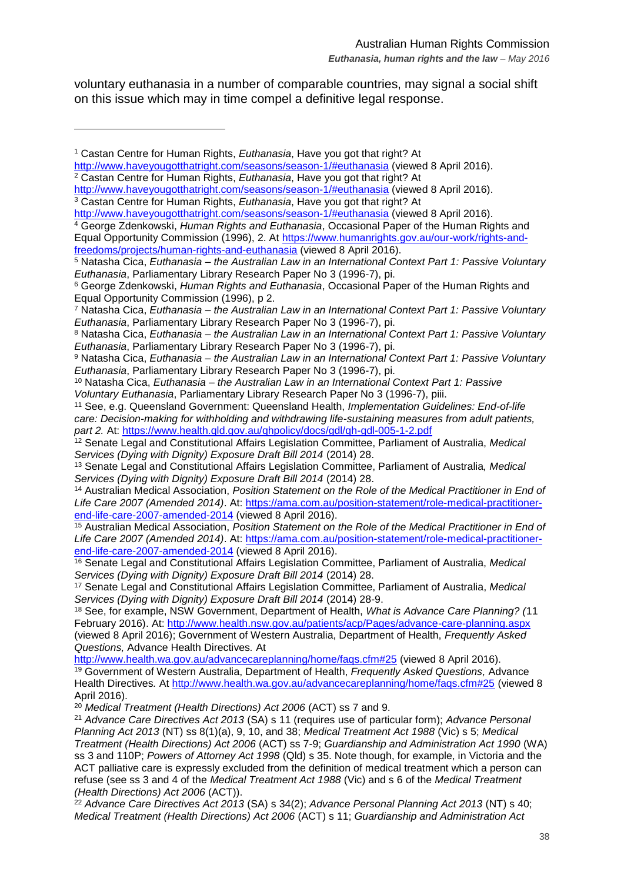voluntary euthanasia in a number of comparable countries, may signal a social shift on this issue which may in time compel a definitive legal response.

 $\overline{a}$ 

<sup>7</sup> Natasha Cica, *Euthanasia – the Australian Law in an International Context Part 1: Passive Voluntary Euthanasia*, Parliamentary Library Research Paper No 3 (1996-7), pi.

<sup>1</sup> Castan Centre for Human Rights, *Euthanasia*, Have you got that right? At

<http://www.haveyougotthatright.com/seasons/season-1/#euthanasia> (viewed 8 April 2016). <sup>2</sup> Castan Centre for Human Rights, *Euthanasia*, Have you got that right? At

<http://www.haveyougotthatright.com/seasons/season-1/#euthanasia> (viewed 8 April 2016). <sup>3</sup> Castan Centre for Human Rights, *Euthanasia*, Have you got that right? At

<http://www.haveyougotthatright.com/seasons/season-1/#euthanasia> (viewed 8 April 2016).

<sup>4</sup> George Zdenkowski, *Human Rights and Euthanasia*, Occasional Paper of the Human Rights and Equal Opportunity Commission (1996), 2. At [https://www.humanrights.gov.au/our-work/rights-and](https://www.humanrights.gov.au/our-work/rights-and-freedoms/projects/human-rights-and-euthanasia)[freedoms/projects/human-rights-and-euthanasia](https://www.humanrights.gov.au/our-work/rights-and-freedoms/projects/human-rights-and-euthanasia) (viewed 8 April 2016).

<sup>5</sup> Natasha Cica, *Euthanasia – the Australian Law in an International Context Part 1: Passive Voluntary Euthanasia*, Parliamentary Library Research Paper No 3 (1996-7), pi.

<sup>6</sup> George Zdenkowski, *Human Rights and Euthanasia*, Occasional Paper of the Human Rights and Equal Opportunity Commission (1996), p 2.

<sup>8</sup> Natasha Cica, *Euthanasia – the Australian Law in an International Context Part 1: Passive Voluntary Euthanasia*, Parliamentary Library Research Paper No 3 (1996-7), pi.

<sup>9</sup> Natasha Cica, *Euthanasia – the Australian Law in an International Context Part 1: Passive Voluntary Euthanasia*, Parliamentary Library Research Paper No 3 (1996-7), pi.

<sup>10</sup> Natasha Cica, *Euthanasia – the Australian Law in an International Context Part 1: Passive Voluntary Euthanasia*, Parliamentary Library Research Paper No 3 (1996-7), piii.

<sup>11</sup> See, e.g. Queensland Government: Queensland Health, *Implementation Guidelines: End-of-life care: Decision-making for withholding and withdrawing life-sustaining measures from adult patients, part 2.* At:<https://www.health.qld.gov.au/qhpolicy/docs/gdl/qh-gdl-005-1-2.pdf>

<sup>12</sup> Senate Legal and Constitutional Affairs Legislation Committee, Parliament of Australia, *Medical Services (Dying with Dignity) Exposure Draft Bill 2014* (2014) 28.

<sup>13</sup> Senate Legal and Constitutional Affairs Legislation Committee, Parliament of Australia*, Medical Services (Dying with Dignity) Exposure Draft Bill 2014* (2014) 28.

<sup>14</sup> Australian Medical Association, *Position Statement on the Role of the Medical Practitioner in End of Life Care 2007 (Amended 2014)*. At: [https://ama.com.au/position-statement/role-medical-practitioner](https://ama.com.au/position-statement/role-medical-practitioner-end-life-care-2007-amended-2014)[end-life-care-2007-amended-2014](https://ama.com.au/position-statement/role-medical-practitioner-end-life-care-2007-amended-2014) (viewed 8 April 2016).

<sup>15</sup> Australian Medical Association, *Position Statement on the Role of the Medical Practitioner in End of Life Care 2007 (Amended 2014)*. At: [https://ama.com.au/position-statement/role-medical-practitioner](https://ama.com.au/position-statement/role-medical-practitioner-end-life-care-2007-amended-2014)[end-life-care-2007-amended-2014](https://ama.com.au/position-statement/role-medical-practitioner-end-life-care-2007-amended-2014) (viewed 8 April 2016).

<sup>16</sup> Senate Legal and Constitutional Affairs Legislation Committee, Parliament of Australia, *Medical Services (Dying with Dignity) Exposure Draft Bill 2014* (2014) 28.

<sup>17</sup> Senate Legal and Constitutional Affairs Legislation Committee, Parliament of Australia, *Medical Services (Dying with Dignity) Exposure Draft Bill 2014* (2014) 28-9.

<sup>18</sup> See, for example, NSW Government, Department of Health, *What is Advance Care Planning? (*11 February 2016). At:<http://www.health.nsw.gov.au/patients/acp/Pages/advance-care-planning.aspx> (viewed 8 April 2016); Government of Western Australia, Department of Health, *Frequently Asked Questions,* Advance Health Directives*.* At

<http://www.health.wa.gov.au/advancecareplanning/home/faqs.cfm#25> (viewed 8 April 2016). <sup>19</sup> Government of Western Australia, Department of Health, *Frequently Asked Questions,* Advance Health Directives*.* At<http://www.health.wa.gov.au/advancecareplanning/home/faqs.cfm#25> (viewed 8 April 2016).

<sup>20</sup> *Medical Treatment (Health Directions) Act 2006* (ACT) ss 7 and 9.

<sup>21</sup> *Advance Care Directives Act 2013* (SA) s 11 (requires use of particular form); *Advance Personal Planning Act 2013* (NT) ss 8(1)(a), 9, 10, and 38; *Medical Treatment Act 1988* (Vic) s 5; *Medical Treatment (Health Directions) Act 2006* (ACT) ss 7-9; *Guardianship and Administration Act 1990* (WA) ss 3 and 110P; *Powers of Attorney Act 1998* (Qld) s 35. Note though, for example, in Victoria and the ACT palliative care is expressly excluded from the definition of medical treatment which a person can refuse (see ss 3 and 4 of the *Medical Treatment Act 1988* (Vic) and s 6 of the *Medical Treatment (Health Directions) Act 2006* (ACT)).

<sup>22</sup> *Advance Care Directives Act 2013* (SA) s 34(2); *Advance Personal Planning Act 2013* (NT) s 40; *Medical Treatment (Health Directions) Act 2006* (ACT) s 11; *Guardianship and Administration Act*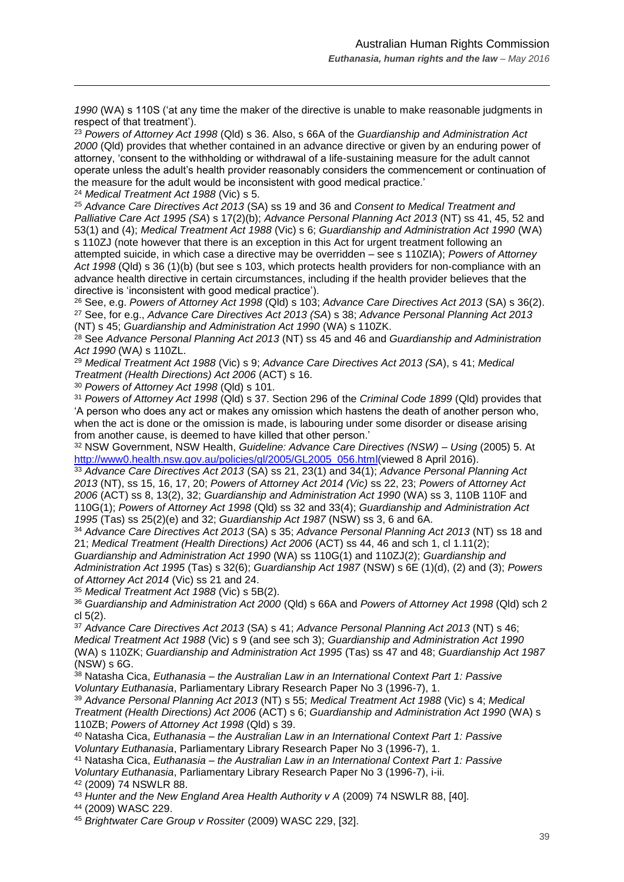*1990* (WA) s 110S ('at any time the maker of the directive is unable to make reasonable judgments in respect of that treatment').

<sup>23</sup> *Powers of Attorney Act 1998* (Qld) s 36. Also, s 66A of the *Guardianship and Administration Act 2000* (Qld) provides that whether contained in an advance directive or given by an enduring power of attorney, 'consent to the withholding or withdrawal of a life-sustaining measure for the adult cannot operate unless the adult's health provider reasonably considers the commencement or continuation of the measure for the adult would be inconsistent with good medical practice.'

<sup>24</sup> *Medical Treatment Act 1988* (Vic) s 5.

 $\overline{a}$ 

<sup>25</sup> *Advance Care Directives Act 2013* (SA) ss 19 and 36 and *Consent to Medical Treatment and Palliative Care Act 1995 (SA*) s 17(2)(b); *Advance Personal Planning Act 2013* (NT) ss 41, 45, 52 and 53(1) and (4); *Medical Treatment Act 1988* (Vic) s 6; *Guardianship and Administration Act 1990* (WA) s 110ZJ (note however that there is an exception in this Act for urgent treatment following an attempted suicide, in which case a directive may be overridden – see s 110ZIA); *Powers of Attorney Act 1998* (Qld) s 36 (1)(b) (but see s 103, which protects health providers for non-compliance with an advance health directive in certain circumstances, including if the health provider believes that the directive is 'inconsistent with good medical practice').

<sup>26</sup> See, e.g. *Powers of Attorney Act 1998* (Qld) s 103; *Advance Care Directives Act 2013* (SA) s 36(2). <sup>27</sup> See, for e.g., *Advance Care Directives Act 2013 (SA*) s 38; *Advance Personal Planning Act 2013* (NT) s 45; *Guardianship and Administration Act 1990* (WA) s 110ZK.

<sup>28</sup> See *Advance Personal Planning Act 2013* (NT) ss 45 and 46 and *Guardianship and Administration Act 1990* (WA*)* s 110ZL.

<sup>29</sup> *Medical Treatment Act 1988* (Vic) s 9; *Advance Care Directives Act 2013 (SA*), s 41; *Medical Treatment (Health Directions) Act 2006* (ACT) s 16.

<sup>30</sup> *Powers of Attorney Act 1998* (Qld) s 101.

<sup>31</sup> *Powers of Attorney Act 1998* (Qld) s 37. Section 296 of the *Criminal Code 1899* (Qld) provides that 'A person who does any act or makes any omission which hastens the death of another person who, when the act is done or the omission is made, is labouring under some disorder or disease arising from another cause, is deemed to have killed that other person.'

<sup>32</sup> NSW Government, NSW Health, *Guideline: Advance Care Directives (NSW) – Using* (2005) 5. At [http://www0.health.nsw.gov.au/policies/gl/2005/GL2005\\_056.html\(](http://www0.health.nsw.gov.au/policies/gl/2005/GL2005_056.html)viewed 8 April 2016).

 *Advance Care Directives Act 2013* (SA) ss 21, 23(1) and 34(1); *Advance Personal Planning Act*  (NT), ss 15, 16, 17, 20; *Powers of Attorney Act 2014 (Vic)* ss 22, 23; *Powers of Attorney Act*  (ACT) ss 8, 13(2), 32; *Guardianship and Administration Act 1990* (WA) ss 3, 110B 110F and 110G(1); *Powers of Attorney Act 1998* (Qld) ss 32 and 33(4); *Guardianship and Administration Act*  (Tas) ss 25(2)(e) and 32; *Guardianship Act 1987* (NSW) ss 3, 6 and 6A.

<sup>34</sup> *Advance Care Directives Act 2013* (SA) s 35; *Advance Personal Planning Act 2013* (NT) ss 18 and 21; *Medical Treatment (Health Directions) Act 2006* (ACT) ss 44, 46 and sch 1, cl 1.11(2);

*Guardianship and Administration Act 1990* (WA) ss 110G(1) and 110ZJ(2); *Guardianship and Administration Act 1995* (Tas) s 32(6); *Guardianship Act 1987* (NSW) s 6E (1)(d), (2) and (3); *Powers of Attorney Act 2014* (Vic) ss 21 and 24.

<sup>35</sup> *Medical Treatment Act 1988* (Vic) s 5B(2).

<sup>36</sup> *Guardianship and Administration Act 2000* (Qld) s 66A and *Powers of Attorney Act 1998* (Qld) sch 2 cl 5(2).

<sup>37</sup> *Advance Care Directives Act 2013* (SA) s 41; *Advance Personal Planning Act 2013* (NT) s 46; *Medical Treatment Act 1988* (Vic) s 9 (and see sch 3); *Guardianship and Administration Act 1990*  (WA) s 110ZK; *Guardianship and Administration Act 1995* (Tas) ss 47 and 48; *Guardianship Act 1987* (NSW) s 6G.

<sup>38</sup> Natasha Cica, *Euthanasia – the Australian Law in an International Context Part 1: Passive Voluntary Euthanasia*, Parliamentary Library Research Paper No 3 (1996-7), 1.

<sup>39</sup> *Advance Personal Planning Act 2013* (NT) s 55; *Medical Treatment Act 1988* (Vic) s 4; *Medical Treatment (Health Directions) Act 2006* (ACT) s 6; *Guardianship and Administration Act 1990* (WA) s 110ZB; *Powers of Attorney Act 1998* (Qld) s 39.

<sup>40</sup> Natasha Cica, *Euthanasia – the Australian Law in an International Context Part 1: Passive Voluntary Euthanasia*, Parliamentary Library Research Paper No 3 (1996-7), 1.

<sup>41</sup> Natasha Cica, *Euthanasia – the Australian Law in an International Context Part 1: Passive Voluntary Euthanasia*, Parliamentary Library Research Paper No 3 (1996-7), i-ii.

<sup>42</sup> (2009) 74 NSWLR 88.

<sup>43</sup> Hunter and the New England Area Health Authority v A (2009) 74 NSWLR 88, [40].

<sup>44</sup> (2009) WASC 229.

<sup>45</sup> *Brightwater Care Group v Rossiter* (2009) WASC 229, [32].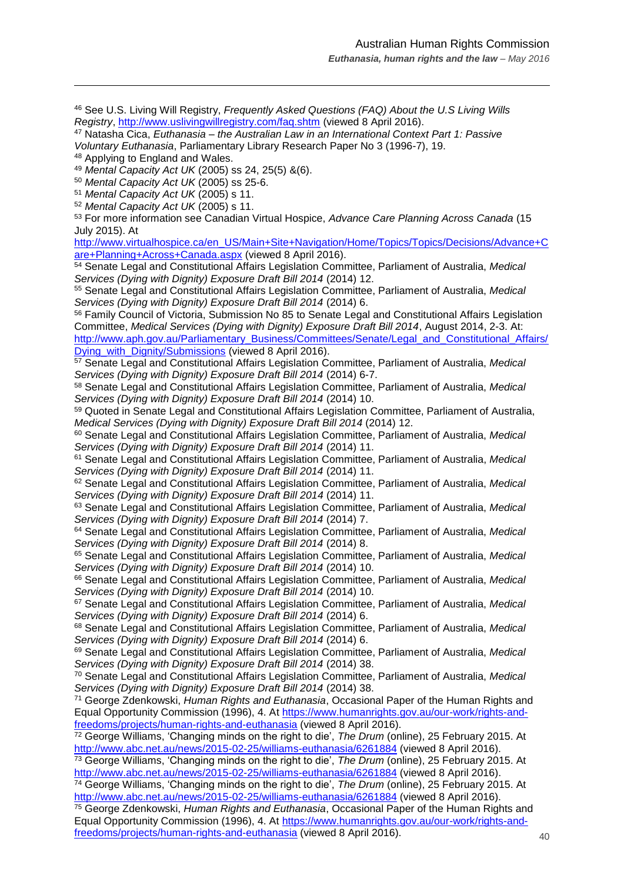<sup>46</sup> See U.S. Living Will Registry, *Frequently Asked Questions (FAQ) About the U.S Living Wills Registry*,<http://www.uslivingwillregistry.com/faq.shtm> (viewed 8 April 2016).

<sup>47</sup> Natasha Cica, *Euthanasia – the Australian Law in an International Context Part 1: Passive Voluntary Euthanasia*, Parliamentary Library Research Paper No 3 (1996-7), 19.

<sup>48</sup> Applying to England and Wales.

 $\overline{a}$ 

<sup>49</sup> *Mental Capacity Act UK* (2005) ss 24, 25(5) &(6).

<sup>50</sup> *Mental Capacity Act UK* (2005) ss 25-6.

<sup>51</sup> *Mental Capacity Act UK* (2005) s 11.

<sup>52</sup> *Mental Capacity Act UK* (2005) s 11.

<sup>53</sup> For more information see Canadian Virtual Hospice, *Advance Care Planning Across Canada* (15 July 2015). At

[http://www.virtualhospice.ca/en\\_US/Main+Site+Navigation/Home/Topics/Topics/Decisions/Advance+C](http://www.virtualhospice.ca/en_US/Main+Site+Navigation/Home/Topics/Topics/Decisions/Advance+Care+Planning+Across+Canada.aspx) [are+Planning+Across+Canada.aspx](http://www.virtualhospice.ca/en_US/Main+Site+Navigation/Home/Topics/Topics/Decisions/Advance+Care+Planning+Across+Canada.aspx) (viewed 8 April 2016).

<sup>54</sup> Senate Legal and Constitutional Affairs Legislation Committee, Parliament of Australia, *Medical Services (Dying with Dignity) Exposure Draft Bill 2014* (2014) 12.

<sup>55</sup> Senate Legal and Constitutional Affairs Legislation Committee, Parliament of Australia, *Medical Services (Dying with Dignity) Exposure Draft Bill 2014* (2014) 6.

<sup>56</sup> Family Council of Victoria, Submission No 85 to Senate Legal and Constitutional Affairs Legislation Committee, *Medical Services (Dying with Dignity) Exposure Draft Bill 2014*, August 2014, 2-3. At: [http://www.aph.gov.au/Parliamentary\\_Business/Committees/Senate/Legal\\_and\\_Constitutional\\_Affairs/](http://www.aph.gov.au/Parliamentary_Business/Committees/Senate/Legal_and_Constitutional_Affairs/Dying_with_Dignity/Submissions) [Dying\\_with\\_Dignity/Submissions](http://www.aph.gov.au/Parliamentary_Business/Committees/Senate/Legal_and_Constitutional_Affairs/Dying_with_Dignity/Submissions) (viewed 8 April 2016).

<sup>57</sup> Senate Legal and Constitutional Affairs Legislation Committee, Parliament of Australia, *Medical Services (Dying with Dignity) Exposure Draft Bill 2014* (2014) 6-7.

<sup>58</sup> Senate Legal and Constitutional Affairs Legislation Committee, Parliament of Australia, *Medical Services (Dying with Dignity) Exposure Draft Bill 2014* (2014) 10.

<sup>59</sup> Quoted in Senate Legal and Constitutional Affairs Legislation Committee, Parliament of Australia, *Medical Services (Dying with Dignity) Exposure Draft Bill 2014* (2014) 12.

<sup>60</sup> Senate Legal and Constitutional Affairs Legislation Committee, Parliament of Australia, *Medical Services (Dying with Dignity) Exposure Draft Bill 2014* (2014) 11.

<sup>61</sup> Senate Legal and Constitutional Affairs Legislation Committee, Parliament of Australia, *Medical Services (Dying with Dignity) Exposure Draft Bill 2014* (2014) 11.

<sup>62</sup> Senate Legal and Constitutional Affairs Legislation Committee, Parliament of Australia, *Medical Services (Dying with Dignity) Exposure Draft Bill 2014* (2014) 11.

<sup>63</sup> Senate Legal and Constitutional Affairs Legislation Committee, Parliament of Australia, *Medical Services (Dying with Dignity) Exposure Draft Bill 2014* (2014) 7.

<sup>64</sup> Senate Legal and Constitutional Affairs Legislation Committee, Parliament of Australia, *Medical Services (Dying with Dignity) Exposure Draft Bill 2014* (2014) 8.

<sup>65</sup> Senate Legal and Constitutional Affairs Legislation Committee, Parliament of Australia, *Medical Services (Dying with Dignity) Exposure Draft Bill 2014* (2014) 10.

<sup>66</sup> Senate Legal and Constitutional Affairs Legislation Committee, Parliament of Australia, *Medical Services (Dying with Dignity) Exposure Draft Bill 2014* (2014) 10.

<sup>67</sup> Senate Legal and Constitutional Affairs Legislation Committee, Parliament of Australia, *Medical Services (Dying with Dignity) Exposure Draft Bill 2014* (2014) 6.

<sup>68</sup> Senate Legal and Constitutional Affairs Legislation Committee, Parliament of Australia, *Medical Services (Dying with Dignity) Exposure Draft Bill 2014* (2014) 6.

<sup>69</sup> Senate Legal and Constitutional Affairs Legislation Committee, Parliament of Australia, *Medical Services (Dying with Dignity) Exposure Draft Bill 2014* (2014) 38.

<sup>70</sup> Senate Legal and Constitutional Affairs Legislation Committee, Parliament of Australia, *Medical Services (Dying with Dignity) Exposure Draft Bill 2014* (2014) 38.

<sup>71</sup> George Zdenkowski, *Human Rights and Euthanasia*, Occasional Paper of the Human Rights and Equal Opportunity Commission (1996), 4. At [https://www.humanrights.gov.au/our-work/rights-and](https://www.humanrights.gov.au/our-work/rights-and-freedoms/projects/human-rights-and-euthanasia)[freedoms/projects/human-rights-and-euthanasia](https://www.humanrights.gov.au/our-work/rights-and-freedoms/projects/human-rights-and-euthanasia) (viewed 8 April 2016).

<sup>72</sup> George Williams, 'Changing minds on the right to die', *The Drum* (online), 25 February 2015. At <http://www.abc.net.au/news/2015-02-25/williams-euthanasia/6261884> (viewed 8 April 2016).

<sup>73</sup> George Williams, 'Changing minds on the right to die', *The Drum* (online), 25 February 2015. At <http://www.abc.net.au/news/2015-02-25/williams-euthanasia/6261884> (viewed 8 April 2016).

<sup>74</sup> George Williams, 'Changing minds on the right to die', *The Drum* (online), 25 February 2015. At <http://www.abc.net.au/news/2015-02-25/williams-euthanasia/6261884> (viewed 8 April 2016).

<sup>75</sup> George Zdenkowski, *Human Rights and Euthanasia*, Occasional Paper of the Human Rights and Equal Opportunity Commission (1996), 4. At [https://www.humanrights.gov.au/our-work/rights-and](https://www.humanrights.gov.au/our-work/rights-and-freedoms/projects/human-rights-and-euthanasia)[freedoms/projects/human-rights-and-euthanasia](https://www.humanrights.gov.au/our-work/rights-and-freedoms/projects/human-rights-and-euthanasia) (viewed 8 April 2016).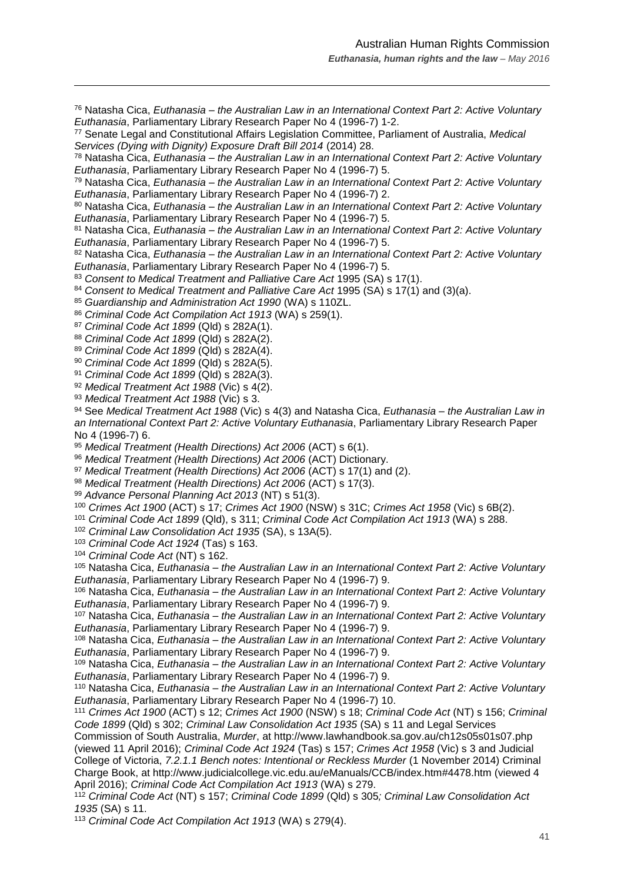Natasha Cica, *Euthanasia – the Australian Law in an International Context Part 2: Active Voluntary Euthanasia*, Parliamentary Library Research Paper No 4 (1996-7) 1-2.

 Senate Legal and Constitutional Affairs Legislation Committee, Parliament of Australia, *Medical Services (Dying with Dignity) Exposure Draft Bill 2014* (2014) 28.

 Natasha Cica, *Euthanasia – the Australian Law in an International Context Part 2: Active Voluntary Euthanasia*, Parliamentary Library Research Paper No 4 (1996-7) 5.

 Natasha Cica, *Euthanasia – the Australian Law in an International Context Part 2: Active Voluntary Euthanasia*, Parliamentary Library Research Paper No 4 (1996-7) 2.

 Natasha Cica, *Euthanasia – the Australian Law in an International Context Part 2: Active Voluntary Euthanasia*, Parliamentary Library Research Paper No 4 (1996-7) 5.

 Natasha Cica, *Euthanasia – the Australian Law in an International Context Part 2: Active Voluntary Euthanasia*, Parliamentary Library Research Paper No 4 (1996-7) 5.

 Natasha Cica, *Euthanasia – the Australian Law in an International Context Part 2: Active Voluntary Euthanasia*, Parliamentary Library Research Paper No 4 (1996-7) 5.

*Consent to Medical Treatment and Palliative Care Act* 1995 (SA) s 17(1).

*Consent to Medical Treatment and Palliative Care Act* 1995 (SA) s 17(1) and (3)(a).

*Guardianship and Administration Act 1990* (WA) s 110ZL.

*Criminal Code Act Compilation Act 1913* (WA) s 259(1).

*Criminal Code Act 1899* (Qld) s 282A(1).

 $\overline{a}$ 

*Criminal Code Act 1899* (Qld) s 282A(2).

 *Criminal Code Act 1899* (Qld) s 282A(4). *Criminal Code Act 1899* (Qld) s 282A(5).

*Criminal Code Act 1899* (Qld) s 282A(3).

*Medical Treatment Act 1988* (Vic) s 4(2).

*Medical Treatment Act 1988* (Vic) s 3.

 See *Medical Treatment Act 1988* (Vic) s 4(3) and Natasha Cica, *Euthanasia – the Australian Law in an International Context Part 2: Active Voluntary Euthanasia*, Parliamentary Library Research Paper No 4 (1996-7) 6.

*Medical Treatment (Health Directions) Act 2006* (ACT) s 6(1).

*Medical Treatment (Health Directions) Act 2006* (ACT) Dictionary.

*Medical Treatment (Health Directions) Act 2006* (ACT) s 17(1) and (2).

*Medical Treatment (Health Directions) Act 2006* (ACT) s 17(3).

*Advance Personal Planning Act 2013* (NT) s 51(3).

*Crimes Act 1900* (ACT) s 17; *Crimes Act 1900* (NSW) s 31C; *Crimes Act 1958* (Vic) s 6B(2).

*Criminal Code Act 1899* (Qld), s 311; *Criminal Code Act Compilation Act 1913* (WA) s 288.

*Criminal Law Consolidation Act 1935* (SA), s 13A(5).

*Criminal Code Act 1924* (Tas) s 163.

*Criminal Code Act* (NT) s 162.

 Natasha Cica, *Euthanasia – the Australian Law in an International Context Part 2: Active Voluntary Euthanasia*, Parliamentary Library Research Paper No 4 (1996-7) 9.

 Natasha Cica, *Euthanasia – the Australian Law in an International Context Part 2: Active Voluntary Euthanasia*, Parliamentary Library Research Paper No 4 (1996-7) 9.

 Natasha Cica, *Euthanasia – the Australian Law in an International Context Part 2: Active Voluntary Euthanasia*, Parliamentary Library Research Paper No 4 (1996-7) 9.

 Natasha Cica, *Euthanasia – the Australian Law in an International Context Part 2: Active Voluntary Euthanasia*, Parliamentary Library Research Paper No 4 (1996-7) 9.

 Natasha Cica, *Euthanasia – the Australian Law in an International Context Part 2: Active Voluntary Euthanasia*, Parliamentary Library Research Paper No 4 (1996-7) 9.

 Natasha Cica, *Euthanasia – the Australian Law in an International Context Part 2: Active Voluntary Euthanasia*, Parliamentary Library Research Paper No 4 (1996-7) 10.

 *Crimes Act 1900* (ACT) s 12; *Crimes Act 1900* (NSW) s 18; *Criminal Code Act* (NT) s 156; *Criminal Code 1899* (Qld) s 302; *Criminal Law Consolidation Act 1935* (SA) s 11 and Legal Services

Commission of South Australia, *Murder*, at http://www.lawhandbook.sa.gov.au/ch12s05s01s07.php (viewed 11 April 2016); *Criminal Code Act 1924* (Tas) s 157; *Crimes Act 1958* (Vic) s 3 and Judicial College of Victoria, *7.2.1.1 Bench notes: Intentional or Reckless Murder* (1 November 2014) Criminal Charge Book, at http://www.judicialcollege.vic.edu.au/eManuals/CCB/index.htm#4478.htm (viewed 4 April 2016); *Criminal Code Act Compilation Act 1913* (WA) s 279.

 *Criminal Code Act* (NT) s 157; *Criminal Code 1899* (Qld) s 305*; Criminal Law Consolidation Act*  (SA) s 11.

*Criminal Code Act Compilation Act 1913* (WA) s 279(4).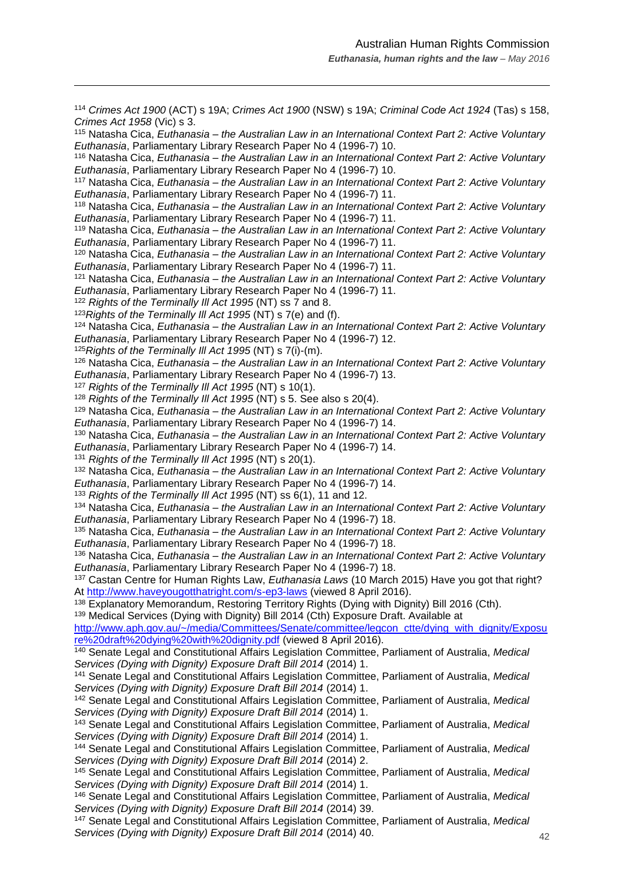<sup>114</sup> *Crimes Act 1900* (ACT) s 19A; *Crimes Act 1900* (NSW) s 19A; *Criminal Code Act 1924* (Tas) s 158, *Crimes Act 1958* (Vic) s 3.

<sup>115</sup> Natasha Cica, *Euthanasia – the Australian Law in an International Context Part 2: Active Voluntary Euthanasia*, Parliamentary Library Research Paper No 4 (1996-7) 10.

<sup>116</sup> Natasha Cica, *Euthanasia – the Australian Law in an International Context Part 2: Active Voluntary Euthanasia*, Parliamentary Library Research Paper No 4 (1996-7) 10.

<sup>117</sup> Natasha Cica, *Euthanasia – the Australian Law in an International Context Part 2: Active Voluntary Euthanasia*, Parliamentary Library Research Paper No 4 (1996-7) 11.

<sup>118</sup> Natasha Cica, *Euthanasia – the Australian Law in an International Context Part 2: Active Voluntary Euthanasia*, Parliamentary Library Research Paper No 4 (1996-7) 11.

<sup>119</sup> Natasha Cica, *Euthanasia – the Australian Law in an International Context Part 2: Active Voluntary Euthanasia*, Parliamentary Library Research Paper No 4 (1996-7) 11.

<sup>120</sup> Natasha Cica, *Euthanasia – the Australian Law in an International Context Part 2: Active Voluntary Euthanasia*, Parliamentary Library Research Paper No 4 (1996-7) 11.

<sup>121</sup> Natasha Cica, *Euthanasia – the Australian Law in an International Context Part 2: Active Voluntary Euthanasia*, Parliamentary Library Research Paper No 4 (1996-7) 11.

<sup>122</sup> *Rights of the Terminally Ill Act 1995* (NT) ss 7 and 8.

 $\overline{a}$ 

<sup>123</sup>*Rights of the Terminally Ill Act 1995* (NT) s 7(e) and (f).

<sup>124</sup> Natasha Cica, *Euthanasia – the Australian Law in an International Context Part 2: Active Voluntary Euthanasia*, Parliamentary Library Research Paper No 4 (1996-7) 12.

<sup>125</sup>*Rights of the Terminally Ill Act 1995* (NT) s 7(i)-(m).

<sup>126</sup> Natasha Cica, *Euthanasia – the Australian Law in an International Context Part 2: Active Voluntary Euthanasia*, Parliamentary Library Research Paper No 4 (1996-7) 13.

<sup>127</sup> *Rights of the Terminally Ill Act 1995* (NT) s 10(1).

<sup>128</sup> *Rights of the Terminally Ill Act 1995* (NT) s 5. See also s 20(4).

<sup>129</sup> Natasha Cica, *Euthanasia – the Australian Law in an International Context Part 2: Active Voluntary Euthanasia*, Parliamentary Library Research Paper No 4 (1996-7) 14.

<sup>130</sup> Natasha Cica, *Euthanasia – the Australian Law in an International Context Part 2: Active Voluntary Euthanasia*, Parliamentary Library Research Paper No 4 (1996-7) 14.

<sup>131</sup> *Rights of the Terminally Ill Act 1995* (NT) s 20(1).

<sup>132</sup> Natasha Cica, *Euthanasia – the Australian Law in an International Context Part 2: Active Voluntary Euthanasia*, Parliamentary Library Research Paper No 4 (1996-7) 14.

<sup>133</sup> *Rights of the Terminally Ill Act 1995* (NT) ss 6(1), 11 and 12.

<sup>134</sup> Natasha Cica, *Euthanasia – the Australian Law in an International Context Part 2: Active Voluntary Euthanasia*, Parliamentary Library Research Paper No 4 (1996-7) 18.

<sup>135</sup> Natasha Cica, *Euthanasia – the Australian Law in an International Context Part 2: Active Voluntary Euthanasia*, Parliamentary Library Research Paper No 4 (1996-7) 18.

<sup>136</sup> Natasha Cica, *Euthanasia – the Australian Law in an International Context Part 2: Active Voluntary Euthanasia*, Parliamentary Library Research Paper No 4 (1996-7) 18.

<sup>137</sup> Castan Centre for Human Rights Law, *Euthanasia Laws* (10 March 2015) Have you got that right? At<http://www.haveyougotthatright.com/s-ep3-laws> (viewed 8 April 2016).

<sup>138</sup> Explanatory Memorandum, Restoring Territory Rights (Dying with Dignity) Bill 2016 (Cth).

<sup>139</sup> Medical Services (Dying with Dignity) Bill 2014 (Cth) Exposure Draft. Available at

[http://www.aph.gov.au/~/media/Committees/Senate/committee/legcon\\_ctte/dying\\_with\\_dignity/Exposu](http://www.aph.gov.au/~/media/Committees/Senate/committee/legcon_ctte/dying_with_dignity/Exposure%20draft%20dying%20with%20dignity.pdf) [re%20draft%20dying%20with%20dignity.pdf](http://www.aph.gov.au/~/media/Committees/Senate/committee/legcon_ctte/dying_with_dignity/Exposure%20draft%20dying%20with%20dignity.pdf) (viewed 8 April 2016).

<sup>140</sup> Senate Legal and Constitutional Affairs Legislation Committee, Parliament of Australia, *Medical Services (Dying with Dignity) Exposure Draft Bill 2014* (2014) 1.

<sup>141</sup> Senate Legal and Constitutional Affairs Legislation Committee, Parliament of Australia, *Medical Services (Dying with Dignity) Exposure Draft Bill 2014* (2014) 1.

<sup>142</sup> Senate Legal and Constitutional Affairs Legislation Committee, Parliament of Australia, *Medical Services (Dying with Dignity) Exposure Draft Bill 2014* (2014) 1.

<sup>143</sup> Senate Legal and Constitutional Affairs Legislation Committee, Parliament of Australia, *Medical Services (Dying with Dignity) Exposure Draft Bill 2014* (2014) 1.

<sup>144</sup> Senate Legal and Constitutional Affairs Legislation Committee, Parliament of Australia, *Medical Services (Dying with Dignity) Exposure Draft Bill 2014* (2014) 2.

<sup>145</sup> Senate Legal and Constitutional Affairs Legislation Committee, Parliament of Australia, *Medical Services (Dying with Dignity) Exposure Draft Bill 2014* (2014) 1.

<sup>146</sup> Senate Legal and Constitutional Affairs Legislation Committee, Parliament of Australia, *Medical Services (Dying with Dignity) Exposure Draft Bill 2014* (2014) 39.

<sup>147</sup> Senate Legal and Constitutional Affairs Legislation Committee, Parliament of Australia, *Medical Services (Dying with Dignity) Exposure Draft Bill 2014* (2014) 40.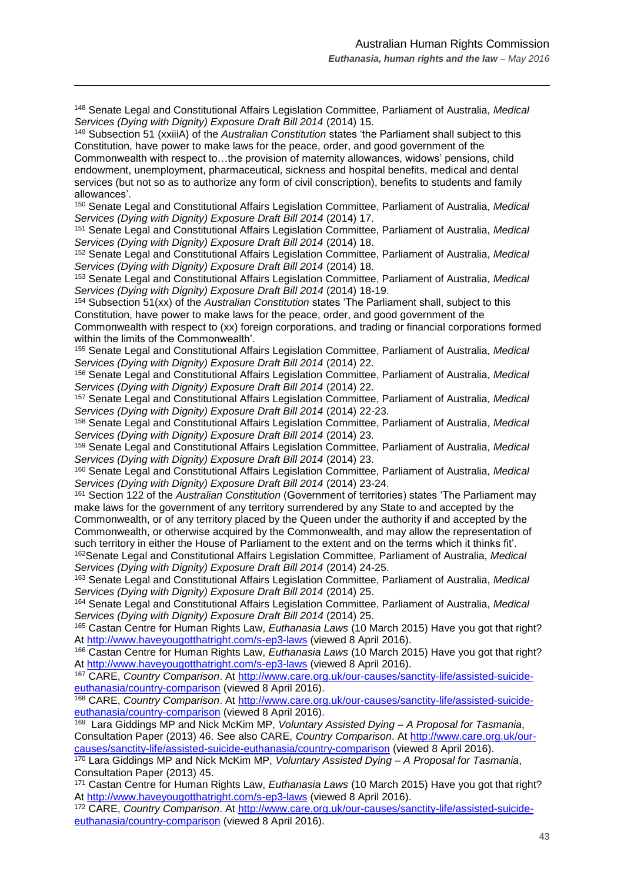<sup>148</sup> Senate Legal and Constitutional Affairs Legislation Committee, Parliament of Australia, *Medical Services (Dying with Dignity) Exposure Draft Bill 2014* (2014) 15.

 $\overline{a}$ 

<sup>149</sup> Subsection 51 (xxiiiA) of the *Australian Constitution* states 'the Parliament shall subject to this Constitution, have power to make laws for the peace, order, and good government of the Commonwealth with respect to…the provision of maternity allowances, widows' pensions, child endowment, unemployment, pharmaceutical, sickness and hospital benefits, medical and dental services (but not so as to authorize any form of civil conscription), benefits to students and family allowances'.

<sup>150</sup> Senate Legal and Constitutional Affairs Legislation Committee, Parliament of Australia, *Medical Services (Dying with Dignity) Exposure Draft Bill 2014* (2014) 17.

<sup>151</sup> Senate Legal and Constitutional Affairs Legislation Committee, Parliament of Australia, *Medical Services (Dying with Dignity) Exposure Draft Bill 2014* (2014) 18.

<sup>152</sup> Senate Legal and Constitutional Affairs Legislation Committee, Parliament of Australia, *Medical Services (Dying with Dignity) Exposure Draft Bill 2014* (2014) 18.

<sup>153</sup> Senate Legal and Constitutional Affairs Legislation Committee, Parliament of Australia, *Medical Services (Dying with Dignity) Exposure Draft Bill 2014* (2014) 18-19.

<sup>154</sup> Subsection 51(xx) of the *Australian Constitution* states 'The Parliament shall, subject to this Constitution, have power to make laws for the peace, order, and good government of the Commonwealth with respect to (xx) foreign corporations, and trading or financial corporations formed within the limits of the Commonwealth'.

<sup>155</sup> Senate Legal and Constitutional Affairs Legislation Committee, Parliament of Australia, *Medical Services (Dying with Dignity) Exposure Draft Bill 2014* (2014) 22.

<sup>156</sup> Senate Legal and Constitutional Affairs Legislation Committee, Parliament of Australia, *Medical Services (Dying with Dignity) Exposure Draft Bill 2014* (2014) 22.

<sup>157</sup> Senate Legal and Constitutional Affairs Legislation Committee, Parliament of Australia, *Medical Services (Dying with Dignity) Exposure Draft Bill 2014* (2014) 22-23.

<sup>158</sup> Senate Legal and Constitutional Affairs Legislation Committee, Parliament of Australia, *Medical Services (Dying with Dignity) Exposure Draft Bill 2014* (2014) 23.

<sup>159</sup> Senate Legal and Constitutional Affairs Legislation Committee, Parliament of Australia, *Medical Services (Dying with Dignity) Exposure Draft Bill 2014* (2014) 23.

<sup>160</sup> Senate Legal and Constitutional Affairs Legislation Committee, Parliament of Australia, *Medical Services (Dying with Dignity) Exposure Draft Bill 2014* (2014) 23-24.

<sup>161</sup> Section 122 of the *Australian Constitution* (Government of territories) states 'The Parliament may make laws for the government of any territory surrendered by any State to and accepted by the Commonwealth, or of any territory placed by the Queen under the authority if and accepted by the Commonwealth, or otherwise acquired by the Commonwealth, and may allow the representation of such territory in either the House of Parliament to the extent and on the terms which it thinks fit'. <sup>162</sup>Senate Legal and Constitutional Affairs Legislation Committee, Parliament of Australia, *Medical* 

*Services (Dying with Dignity) Exposure Draft Bill 2014* (2014) 24-25.

<sup>163</sup> Senate Legal and Constitutional Affairs Legislation Committee, Parliament of Australia, *Medical Services (Dying with Dignity) Exposure Draft Bill 2014* (2014) 25.

<sup>164</sup> Senate Legal and Constitutional Affairs Legislation Committee, Parliament of Australia, *Medical Services (Dying with Dignity) Exposure Draft Bill 2014* (2014) 25.

<sup>165</sup> Castan Centre for Human Rights Law, *Euthanasia Laws* (10 March 2015) Have you got that right? At<http://www.haveyougotthatright.com/s-ep3-laws> (viewed 8 April 2016).

<sup>166</sup> Castan Centre for Human Rights Law, *Euthanasia Laws* (10 March 2015) Have you got that right? At<http://www.haveyougotthatright.com/s-ep3-laws> (viewed 8 April 2016).

<sup>167</sup> CARE, *Country Comparison*. At [http://www.care.org.uk/our-causes/sanctity-life/assisted-suicide](http://www.care.org.uk/our-causes/sanctity-life/assisted-suicide-euthanasia/country-comparison)[euthanasia/country-comparison](http://www.care.org.uk/our-causes/sanctity-life/assisted-suicide-euthanasia/country-comparison) (viewed 8 April 2016).

<sup>168</sup> CARE, *Country Comparison*. At [http://www.care.org.uk/our-causes/sanctity-life/assisted-suicide](http://www.care.org.uk/our-causes/sanctity-life/assisted-suicide-euthanasia/country-comparison)[euthanasia/country-comparison](http://www.care.org.uk/our-causes/sanctity-life/assisted-suicide-euthanasia/country-comparison) (viewed 8 April 2016).

169 Lara Giddings MP and Nick McKim MP, *Voluntary Assisted Dying – A Proposal for Tasmania*, Consultation Paper (2013) 46. See also CARE, *Country Comparison*. At [http://www.care.org.uk/our](http://www.care.org.uk/our-causes/sanctity-life/assisted-suicide-euthanasia/country-comparison)[causes/sanctity-life/assisted-suicide-euthanasia/country-comparison](http://www.care.org.uk/our-causes/sanctity-life/assisted-suicide-euthanasia/country-comparison) (viewed 8 April 2016).

<sup>170</sup> Lara Giddings MP and Nick McKim MP, *Voluntary Assisted Dying – A Proposal for Tasmania*, Consultation Paper (2013) 45.

<sup>171</sup> Castan Centre for Human Rights Law, *Euthanasia Laws* (10 March 2015) Have you got that right? At<http://www.haveyougotthatright.com/s-ep3-laws> (viewed 8 April 2016).

<sup>172</sup> CARE, *Country Comparison*. At [http://www.care.org.uk/our-causes/sanctity-life/assisted-suicide](http://www.care.org.uk/our-causes/sanctity-life/assisted-suicide-euthanasia/country-comparison)[euthanasia/country-comparison](http://www.care.org.uk/our-causes/sanctity-life/assisted-suicide-euthanasia/country-comparison) (viewed 8 April 2016).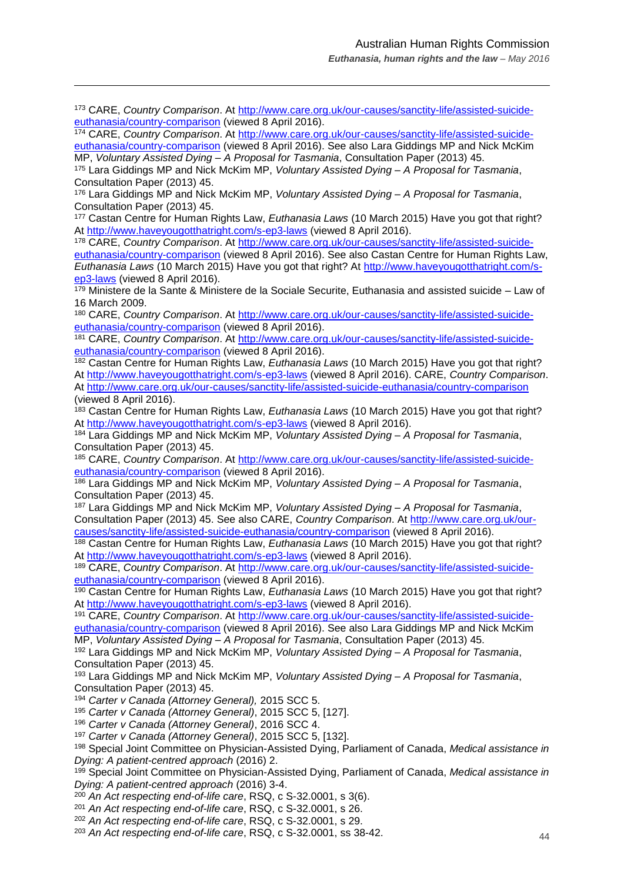<sup>173</sup> CARE, *Country Comparison*. At [http://www.care.org.uk/our-causes/sanctity-life/assisted-suicide](http://www.care.org.uk/our-causes/sanctity-life/assisted-suicide-euthanasia/country-comparison)[euthanasia/country-comparison](http://www.care.org.uk/our-causes/sanctity-life/assisted-suicide-euthanasia/country-comparison) (viewed 8 April 2016).

 $\overline{a}$ 

<sup>174</sup> CARE, *Country Comparison*. At [http://www.care.org.uk/our-causes/sanctity-life/assisted-suicide](http://www.care.org.uk/our-causes/sanctity-life/assisted-suicide-euthanasia/country-comparison)[euthanasia/country-comparison](http://www.care.org.uk/our-causes/sanctity-life/assisted-suicide-euthanasia/country-comparison) (viewed 8 April 2016). See also Lara Giddings MP and Nick McKim MP, *Voluntary Assisted Dying – A Proposal for Tasmania*, Consultation Paper (2013) 45.

<sup>175</sup> Lara Giddings MP and Nick McKim MP, *Voluntary Assisted Dying – A Proposal for Tasmania*, Consultation Paper (2013) 45.

<sup>176</sup> Lara Giddings MP and Nick McKim MP, *Voluntary Assisted Dying – A Proposal for Tasmania*, Consultation Paper (2013) 45.

<sup>177</sup> Castan Centre for Human Rights Law, *Euthanasia Laws* (10 March 2015) Have you got that right? At<http://www.haveyougotthatright.com/s-ep3-laws> (viewed 8 April 2016).

<sup>178</sup> CARE, *Country Comparison*. At [http://www.care.org.uk/our-causes/sanctity-life/assisted-suicide](http://www.care.org.uk/our-causes/sanctity-life/assisted-suicide-euthanasia/country-comparison)[euthanasia/country-comparison](http://www.care.org.uk/our-causes/sanctity-life/assisted-suicide-euthanasia/country-comparison) (viewed 8 April 2016). See also Castan Centre for Human Rights Law, *Euthanasia Laws* (10 March 2015) Have you got that right? At [http://www.haveyougotthatright.com/s](http://www.haveyougotthatright.com/s-ep3-laws)[ep3-laws](http://www.haveyougotthatright.com/s-ep3-laws) (viewed 8 April 2016).

<sup>179</sup> Ministere de la Sante & Ministere de la Sociale Securite, Euthanasia and assisted suicide – Law of 16 March 2009.

<sup>180</sup> CARE, *Country Comparison*. At [http://www.care.org.uk/our-causes/sanctity-life/assisted-suicide](http://www.care.org.uk/our-causes/sanctity-life/assisted-suicide-euthanasia/country-comparison)[euthanasia/country-comparison](http://www.care.org.uk/our-causes/sanctity-life/assisted-suicide-euthanasia/country-comparison) (viewed 8 April 2016).

<sup>181</sup> CARE, *Country Comparison*. At [http://www.care.org.uk/our-causes/sanctity-life/assisted-suicide](http://www.care.org.uk/our-causes/sanctity-life/assisted-suicide-euthanasia/country-comparison)[euthanasia/country-comparison](http://www.care.org.uk/our-causes/sanctity-life/assisted-suicide-euthanasia/country-comparison) (viewed 8 April 2016).

<sup>182</sup> Castan Centre for Human Rights Law, *Euthanasia Laws* (10 March 2015) Have you got that right? At<http://www.haveyougotthatright.com/s-ep3-laws> (viewed 8 April 2016). CARE, *Country Comparison*. At<http://www.care.org.uk/our-causes/sanctity-life/assisted-suicide-euthanasia/country-comparison> (viewed 8 April 2016).

<sup>183</sup> Castan Centre for Human Rights Law, *Euthanasia Laws* (10 March 2015) Have you got that right? At<http://www.haveyougotthatright.com/s-ep3-laws> (viewed 8 April 2016).

<sup>184</sup> Lara Giddings MP and Nick McKim MP, *Voluntary Assisted Dying – A Proposal for Tasmania*, Consultation Paper (2013) 45.

<sup>185</sup> CARE, *Country Comparison*. At [http://www.care.org.uk/our-causes/sanctity-life/assisted-suicide](http://www.care.org.uk/our-causes/sanctity-life/assisted-suicide-euthanasia/country-comparison)[euthanasia/country-comparison](http://www.care.org.uk/our-causes/sanctity-life/assisted-suicide-euthanasia/country-comparison) (viewed 8 April 2016).

<sup>186</sup> Lara Giddings MP and Nick McKim MP, *Voluntary Assisted Dying – A Proposal for Tasmania*, Consultation Paper (2013) 45.

<sup>187</sup> Lara Giddings MP and Nick McKim MP, *Voluntary Assisted Dying – A Proposal for Tasmania*, Consultation Paper (2013) 45. See also CARE, *Country Comparison*. At [http://www.care.org.uk/our](http://www.care.org.uk/our-causes/sanctity-life/assisted-suicide-euthanasia/country-comparison)[causes/sanctity-life/assisted-suicide-euthanasia/country-comparison](http://www.care.org.uk/our-causes/sanctity-life/assisted-suicide-euthanasia/country-comparison) (viewed 8 April 2016).

<sup>188</sup> Castan Centre for Human Rights Law, *Euthanasia Laws* (10 March 2015) Have you got that right? At<http://www.haveyougotthatright.com/s-ep3-laws> (viewed 8 April 2016).

<sup>189</sup> CARE, *Country Comparison*. At [http://www.care.org.uk/our-causes/sanctity-life/assisted-suicide](http://www.care.org.uk/our-causes/sanctity-life/assisted-suicide-euthanasia/country-comparison)[euthanasia/country-comparison](http://www.care.org.uk/our-causes/sanctity-life/assisted-suicide-euthanasia/country-comparison) (viewed 8 April 2016).

<sup>190</sup> Castan Centre for Human Rights Law, *Euthanasia Laws* (10 March 2015) Have you got that right? At<http://www.haveyougotthatright.com/s-ep3-laws> (viewed 8 April 2016).

<sup>191</sup> CARE, *Country Comparison*. At [http://www.care.org.uk/our-causes/sanctity-life/assisted-suicide](http://www.care.org.uk/our-causes/sanctity-life/assisted-suicide-euthanasia/country-comparison)[euthanasia/country-comparison](http://www.care.org.uk/our-causes/sanctity-life/assisted-suicide-euthanasia/country-comparison) (viewed 8 April 2016). See also Lara Giddings MP and Nick McKim MP, *Voluntary Assisted Dying – A Proposal for Tasmania*, Consultation Paper (2013) 45.

<sup>192</sup> Lara Giddings MP and Nick McKim MP, *Voluntary Assisted Dying – A Proposal for Tasmania*, Consultation Paper (2013) 45.

<sup>193</sup> Lara Giddings MP and Nick McKim MP, *Voluntary Assisted Dying – A Proposal for Tasmania*, Consultation Paper (2013) 45.

<sup>194</sup> *Carter v Canada (Attorney General),* 2015 SCC 5.

<sup>195</sup> *Carter v Canada (Attorney General)*, 2015 SCC 5, [127].

<sup>196</sup> *Carter v Canada (Attorney General)*, 2016 SCC 4.

<sup>197</sup> *Carter v Canada (Attorney General)*, 2015 SCC 5, [132].

<sup>198</sup> Special Joint Committee on Physician-Assisted Dying, Parliament of Canada, *Medical assistance in Dying: A patient-centred approach* (2016) 2.

<sup>199</sup> Special Joint Committee on Physician-Assisted Dying, Parliament of Canada, *Medical assistance in Dying: A patient-centred approach* (2016) 3-4.

<sup>200</sup> *An Act respecting end-of-life care*, RSQ, c S-32.0001, s 3(6).

<sup>201</sup> *An Act respecting end-of-life care*, RSQ, c S-32.0001, s 26.

<sup>202</sup> *An Act respecting end-of-life care*, RSQ, c S-32.0001, s 29.

<sup>203</sup> *An Act respecting end-of-life care*, RSQ, c S-32.0001, ss 38-42.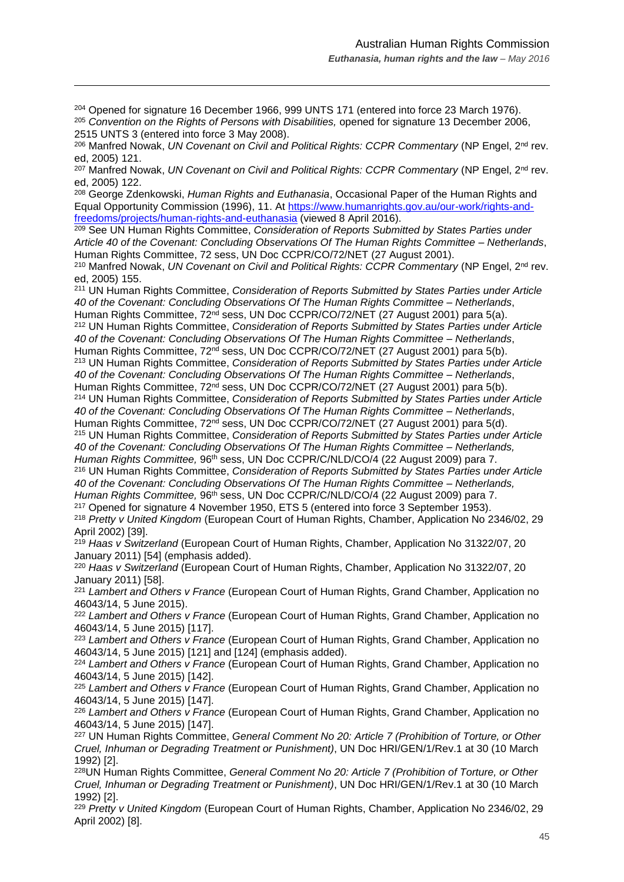<sup>204</sup> Opened for signature 16 December 1966, 999 UNTS 171 (entered into force 23 March 1976). <sup>205</sup> *Convention on the Rights of Persons with Disabilities,* opened for signature 13 December 2006, 2515 UNTS 3 (entered into force 3 May 2008).

 $\overline{a}$ 

<sup>206</sup> Manfred Nowak, *UN Covenant on Civil and Political Rights: CCPR Commentary* (NP Engel, 2nd rev. ed, 2005) 121.

<sup>207</sup> Manfred Nowak, *UN Covenant on Civil and Political Rights: CCPR Commentary* (NP Engel, 2nd rev. ed, 2005) 122.

<sup>208</sup> George Zdenkowski, *Human Rights and Euthanasia*, Occasional Paper of the Human Rights and Equal Opportunity Commission (1996), 11. At [https://www.humanrights.gov.au/our-work/rights-and](https://www.humanrights.gov.au/our-work/rights-and-freedoms/projects/human-rights-and-euthanasia)[freedoms/projects/human-rights-and-euthanasia](https://www.humanrights.gov.au/our-work/rights-and-freedoms/projects/human-rights-and-euthanasia) (viewed 8 April 2016).

<sup>209</sup> See UN Human Rights Committee, *Consideration of Reports Submitted by States Parties under Article 40 of the Covenant: Concluding Observations Of The Human Rights Committee – Netherlands*, Human Rights Committee, 72 sess, UN Doc CCPR/CO/72/NET (27 August 2001).

<sup>210</sup> Manfred Nowak, *UN Covenant on Civil and Political Rights: CCPR Commentary* (NP Engel, 2<sup>nd</sup> rev. ed, 2005) 155.

<sup>211</sup> UN Human Rights Committee, *Consideration of Reports Submitted by States Parties under Article 40 of the Covenant: Concluding Observations Of The Human Rights Committee – Netherlands*, Human Rights Committee, 72<sup>nd</sup> sess, UN Doc CCPR/CO/72/NET (27 August 2001) para 5(a). <sup>212</sup> UN Human Rights Committee, *Consideration of Reports Submitted by States Parties under Article 40 of the Covenant: Concluding Observations Of The Human Rights Committee – Netherlands*, Human Rights Committee, 72<sup>nd</sup> sess, UN Doc CCPR/CO/72/NET (27 August 2001) para 5(b).

<sup>213</sup> UN Human Rights Committee, *Consideration of Reports Submitted by States Parties under Article 40 of the Covenant: Concluding Observations Of The Human Rights Committee – Netherlands*, Human Rights Committee, 72<sup>nd</sup> sess, UN Doc CCPR/CO/72/NET (27 August 2001) para 5(b).

<sup>214</sup> UN Human Rights Committee, *Consideration of Reports Submitted by States Parties under Article 40 of the Covenant: Concluding Observations Of The Human Rights Committee – Netherlands*,

Human Rights Committee, 72<sup>nd</sup> sess, UN Doc CCPR/CO/72/NET (27 August 2001) para 5(d). <sup>215</sup> UN Human Rights Committee, *Consideration of Reports Submitted by States Parties under Article 40 of the Covenant: Concluding Observations Of The Human Rights Committee – Netherlands,* 

*Human Rights Committee,* 96th sess, UN Doc CCPR/C/NLD/CO/4 (22 August 2009) para 7. <sup>216</sup> UN Human Rights Committee, *Consideration of Reports Submitted by States Parties under Article 40 of the Covenant: Concluding Observations Of The Human Rights Committee – Netherlands, Human Rights Committee,* 96th sess, UN Doc CCPR/C/NLD/CO/4 (22 August 2009) para 7.

<sup>217</sup> Opened for signature 4 November 1950, ETS 5 (entered into force 3 September 1953).

<sup>218</sup> *Pretty v United Kingdom* (European Court of Human Rights, Chamber, Application No 2346/02, 29 April 2002) [39].

<sup>219</sup> *Haas v Switzerland* (European Court of Human Rights, Chamber, Application No 31322/07, 20 January 2011) [54] (emphasis added).

<sup>220</sup> *Haas v Switzerland* (European Court of Human Rights, Chamber, Application No 31322/07, 20 January 2011) [58].

<sup>221</sup> *Lambert and Others v France* (European Court of Human Rights, Grand Chamber, Application no 46043/14, 5 June 2015).

<sup>222</sup> *Lambert and Others v France* (European Court of Human Rights, Grand Chamber, Application no 46043/14, 5 June 2015) [117].

<sup>223</sup> *Lambert and Others v France* (European Court of Human Rights, Grand Chamber, Application no 46043/14, 5 June 2015) [121] and [124] (emphasis added).

<sup>224</sup> *Lambert and Others v France* (European Court of Human Rights, Grand Chamber, Application no 46043/14, 5 June 2015) [142].

<sup>225</sup> *Lambert and Others v France* (European Court of Human Rights, Grand Chamber, Application no 46043/14, 5 June 2015) [147].

<sup>226</sup> *Lambert and Others v France* (European Court of Human Rights, Grand Chamber, Application no 46043/14, 5 June 2015) [147].

<sup>227</sup> UN Human Rights Committee, *General Comment No 20: Article 7 (Prohibition of Torture, or Other Cruel, Inhuman or Degrading Treatment or Punishment)*, UN Doc HRI/GEN/1/Rev.1 at 30 (10 March 1992) [2].

<sup>228</sup>UN Human Rights Committee, *General Comment No 20: Article 7 (Prohibition of Torture, or Other Cruel, Inhuman or Degrading Treatment or Punishment)*, UN Doc HRI/GEN/1/Rev.1 at 30 (10 March 1992) [2].

<sup>229</sup> *Pretty v United Kingdom* (European Court of Human Rights, Chamber, Application No 2346/02, 29 April 2002) [8].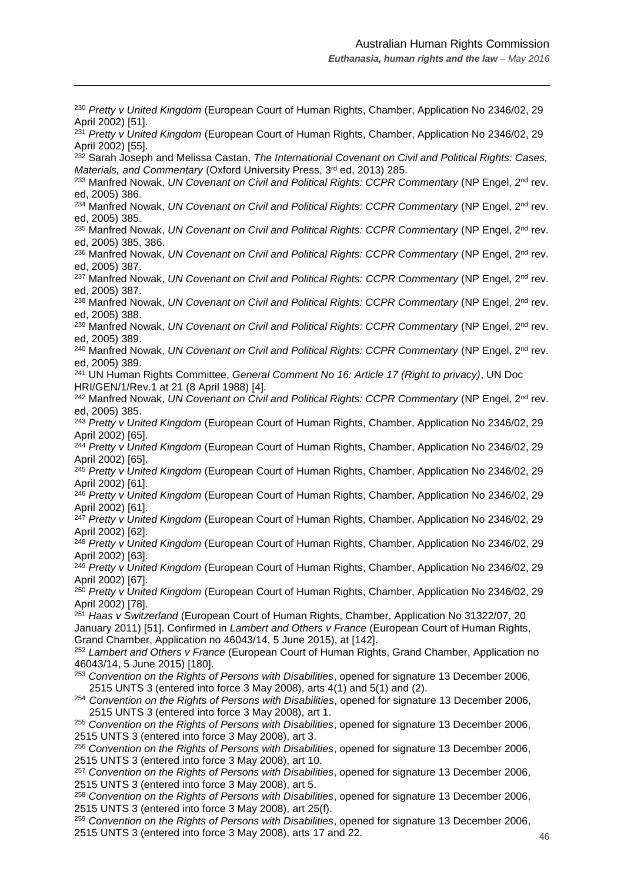<sup>230</sup> *Pretty v United Kingdom* (European Court of Human Rights, Chamber, Application No 2346/02, 29 April 2002) [51]. <sup>231</sup> *Pretty v United Kingdom* (European Court of Human Rights, Chamber, Application No 2346/02, 29 April 2002) [55]. <sup>232</sup> Sarah Joseph and Melissa Castan, *The International Covenant on Civil and Political Rights: Cases, Materials, and Commentary (Oxford University Press, 3<sup>rd</sup> ed, 2013) 285.* <sup>233</sup> Manfred Nowak, *UN Covenant on Civil and Political Rights: CCPR Commentary* (NP Engel, 2<sup>nd</sup> rev. ed, 2005) 386. <sup>234</sup> Manfred Nowak, *UN Covenant on Civil and Political Rights: CCPR Commentary* (NP Engel, 2<sup>nd</sup> rev. ed, 2005) 385. <sup>235</sup> Manfred Nowak, *UN Covenant on Civil and Political Rights: CCPR Commentary* (NP Engel, 2nd rev. ed, 2005) 385, 386. <sup>236</sup> Manfred Nowak, *UN Covenant on Civil and Political Rights: CCPR Commentary* (NP Engel, 2nd rev. ed, 2005) 387. <sup>237</sup> Manfred Nowak, *UN Covenant on Civil and Political Rights: CCPR Commentary* (NP Engel, 2<sup>nd</sup> rev. ed, 2005) 387. <sup>238</sup> Manfred Nowak, *UN Covenant on Civil and Political Rights: CCPR Commentary* (NP Engel, 2<sup>nd</sup> rev. ed, 2005) 388. <sup>239</sup> Manfred Nowak, *UN Covenant on Civil and Political Rights: CCPR Commentary* (NP Engel, 2<sup>nd</sup> rev. ed, 2005) 389. <sup>240</sup> Manfred Nowak, *UN Covenant on Civil and Political Rights: CCPR Commentary* (NP Engel, 2<sup>nd</sup> rev. ed, 2005) 389. <sup>241</sup> UN Human Rights Committee, *General Comment No 16: Article 17 (Right to privacy)*, UN Doc HRI/GEN/1/Rev.1 at 21 (8 April 1988) [4]. <sup>242</sup> Manfred Nowak, *UN Covenant on Civil and Political Rights: CCPR Commentary* (NP Engel, 2<sup>nd</sup> rev. ed, 2005) 385. <sup>243</sup> *Pretty v United Kingdom* (European Court of Human Rights, Chamber, Application No 2346/02, 29 April 2002) [65]. <sup>244</sup> *Pretty v United Kingdom* (European Court of Human Rights, Chamber, Application No 2346/02, 29 April 2002) [65]. <sup>245</sup> *Pretty v United Kingdom* (European Court of Human Rights, Chamber, Application No 2346/02, 29 April 2002) [61]. <sup>246</sup> *Pretty v United Kingdom* (European Court of Human Rights, Chamber, Application No 2346/02, 29 April 2002) [61]. <sup>247</sup> *Pretty v United Kingdom* (European Court of Human Rights, Chamber, Application No 2346/02, 29 April 2002) [62]. <sup>248</sup> *Pretty v United Kingdom* (European Court of Human Rights, Chamber, Application No 2346/02, 29 April 2002) [63]. <sup>249</sup> *Pretty v United Kingdom* (European Court of Human Rights, Chamber, Application No 2346/02, 29 April 2002) [67]. <sup>250</sup> *Pretty v United Kingdom* (European Court of Human Rights, Chamber, Application No 2346/02, 29 April 2002) [78]. <sup>251</sup> *Haas v Switzerland* (European Court of Human Rights, Chamber, Application No 31322/07, 20 January 2011) [51]. Confirmed in *Lambert and Others v France* (European Court of Human Rights, Grand Chamber, Application no 46043/14, 5 June 2015), at [142]. <sup>252</sup> *Lambert and Others v France* (European Court of Human Rights, Grand Chamber, Application no 46043/14, 5 June 2015) [180]. <sup>253</sup> *Convention on the Rights of Persons with Disabilities*, opened for signature 13 December 2006, 2515 UNTS 3 (entered into force 3 May 2008), arts 4(1) and 5(1) and (2). <sup>254</sup> *Convention on the Rights of Persons with Disabilities*, opened for signature 13 December 2006, 2515 UNTS 3 (entered into force 3 May 2008), art 1. <sup>255</sup> *Convention on the Rights of Persons with Disabilities*, opened for signature 13 December 2006, 2515 UNTS 3 (entered into force 3 May 2008), art 3. <sup>256</sup> *Convention on the Rights of Persons with Disabilities*, opened for signature 13 December 2006, 2515 UNTS 3 (entered into force 3 May 2008), art 10. <sup>257</sup> *Convention on the Rights of Persons with Disabilities*, opened for signature 13 December 2006, 2515 UNTS 3 (entered into force 3 May 2008), art 5. <sup>258</sup> *Convention on the Rights of Persons with Disabilities*, opened for signature 13 December 2006, 2515 UNTS 3 (entered into force 3 May 2008), art 25(f). <sup>259</sup> *Convention on the Rights of Persons with Disabilities*, opened for signature 13 December 2006,

2515 UNTS 3 (entered into force 3 May 2008), arts 17 and 22.

 $\overline{a}$